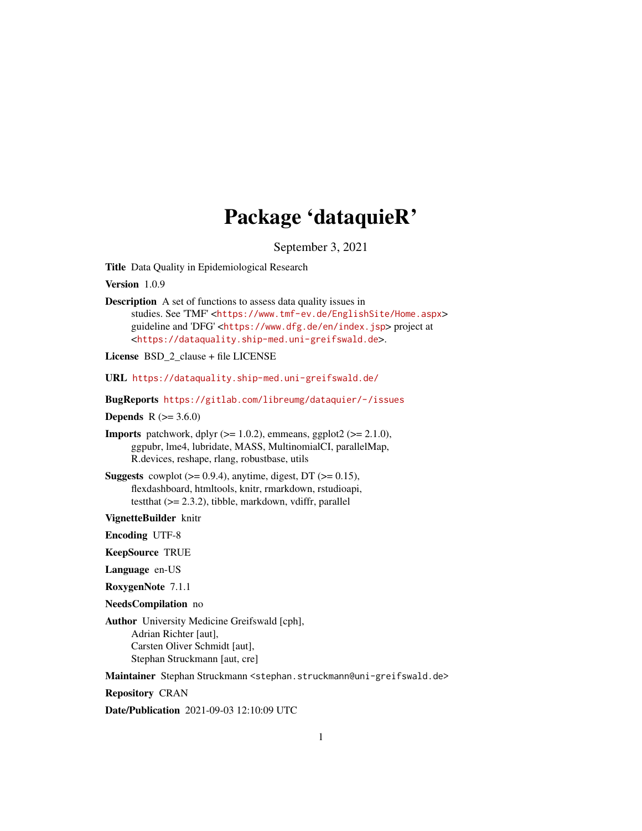## Package 'dataquieR'

September 3, 2021

<span id="page-0-0"></span>Title Data Quality in Epidemiological Research

Version 1.0.9

Description A set of functions to assess data quality issues in studies. See 'TMF' <<https://www.tmf-ev.de/EnglishSite/Home.aspx>> guideline and 'DFG' <<https://www.dfg.de/en/index.jsp>> project at <<https://dataquality.ship-med.uni-greifswald.de>>.

License BSD\_2\_clause + file LICENSE

URL <https://dataquality.ship-med.uni-greifswald.de/>

BugReports <https://gitlab.com/libreumg/dataquier/-/issues>

**Depends**  $R (= 3.6.0)$ 

**Imports** patchwork, dplyr  $(>= 1.0.2)$ , emmeans, ggplot2  $(>= 2.1.0)$ , ggpubr, lme4, lubridate, MASS, MultinomialCI, parallelMap, R.devices, reshape, rlang, robustbase, utils

**Suggests** cowplot  $(>= 0.9.4)$ , anytime, digest, DT  $(>= 0.15)$ , flexdashboard, htmltools, knitr, rmarkdown, rstudioapi, testthat (>= 2.3.2), tibble, markdown, vdiffr, parallel

VignetteBuilder knitr

Encoding UTF-8

KeepSource TRUE

Language en-US

RoxygenNote 7.1.1

NeedsCompilation no

Author University Medicine Greifswald [cph], Adrian Richter [aut], Carsten Oliver Schmidt [aut], Stephan Struckmann [aut, cre]

Maintainer Stephan Struckmann <stephan.struckmann@uni-greifswald.de>

Repository CRAN

Date/Publication 2021-09-03 12:10:09 UTC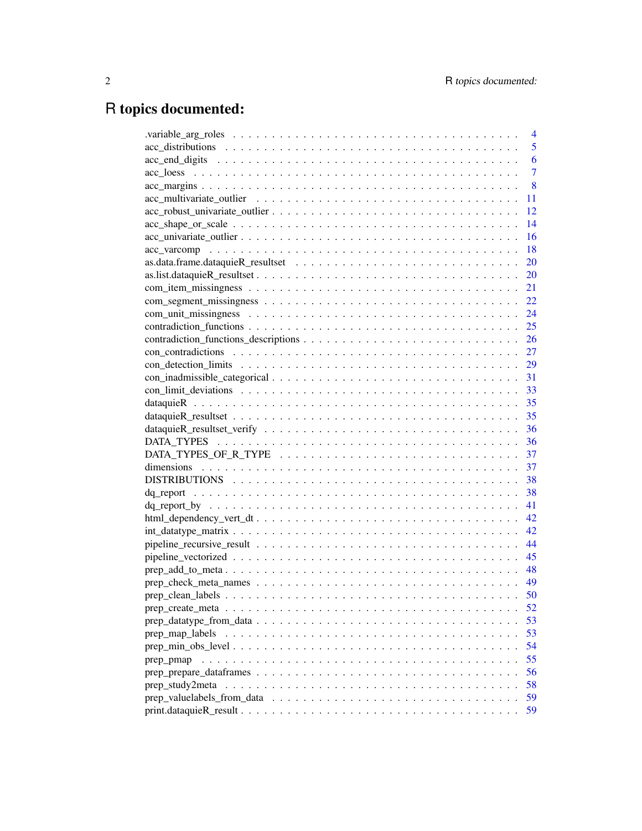# R topics documented:

|                 |  |  |  |  |  |  |  | $\overline{4}$ |
|-----------------|--|--|--|--|--|--|--|----------------|
|                 |  |  |  |  |  |  |  | 5              |
|                 |  |  |  |  |  |  |  | 6              |
|                 |  |  |  |  |  |  |  | $\overline{7}$ |
|                 |  |  |  |  |  |  |  | 8              |
|                 |  |  |  |  |  |  |  | 11             |
|                 |  |  |  |  |  |  |  | 12             |
|                 |  |  |  |  |  |  |  | 14             |
|                 |  |  |  |  |  |  |  | 16             |
|                 |  |  |  |  |  |  |  | 18             |
|                 |  |  |  |  |  |  |  | 20             |
|                 |  |  |  |  |  |  |  | 20             |
|                 |  |  |  |  |  |  |  | 21             |
|                 |  |  |  |  |  |  |  | 22             |
|                 |  |  |  |  |  |  |  | 24             |
|                 |  |  |  |  |  |  |  |                |
|                 |  |  |  |  |  |  |  |                |
|                 |  |  |  |  |  |  |  |                |
|                 |  |  |  |  |  |  |  |                |
|                 |  |  |  |  |  |  |  |                |
|                 |  |  |  |  |  |  |  |                |
|                 |  |  |  |  |  |  |  |                |
|                 |  |  |  |  |  |  |  |                |
|                 |  |  |  |  |  |  |  |                |
|                 |  |  |  |  |  |  |  |                |
|                 |  |  |  |  |  |  |  |                |
|                 |  |  |  |  |  |  |  |                |
|                 |  |  |  |  |  |  |  |                |
|                 |  |  |  |  |  |  |  | 38             |
|                 |  |  |  |  |  |  |  | 41             |
|                 |  |  |  |  |  |  |  | 42             |
|                 |  |  |  |  |  |  |  | 42             |
|                 |  |  |  |  |  |  |  | 44             |
|                 |  |  |  |  |  |  |  | 45             |
|                 |  |  |  |  |  |  |  | 48             |
|                 |  |  |  |  |  |  |  | 49             |
|                 |  |  |  |  |  |  |  | 50             |
|                 |  |  |  |  |  |  |  | 52             |
|                 |  |  |  |  |  |  |  | 53             |
| prep_map_labels |  |  |  |  |  |  |  | 53             |
|                 |  |  |  |  |  |  |  | 54             |
| prep_pmap       |  |  |  |  |  |  |  | 55             |
|                 |  |  |  |  |  |  |  | 56             |
| prep_study2meta |  |  |  |  |  |  |  | 58             |
|                 |  |  |  |  |  |  |  | 59             |
|                 |  |  |  |  |  |  |  | 59             |
|                 |  |  |  |  |  |  |  |                |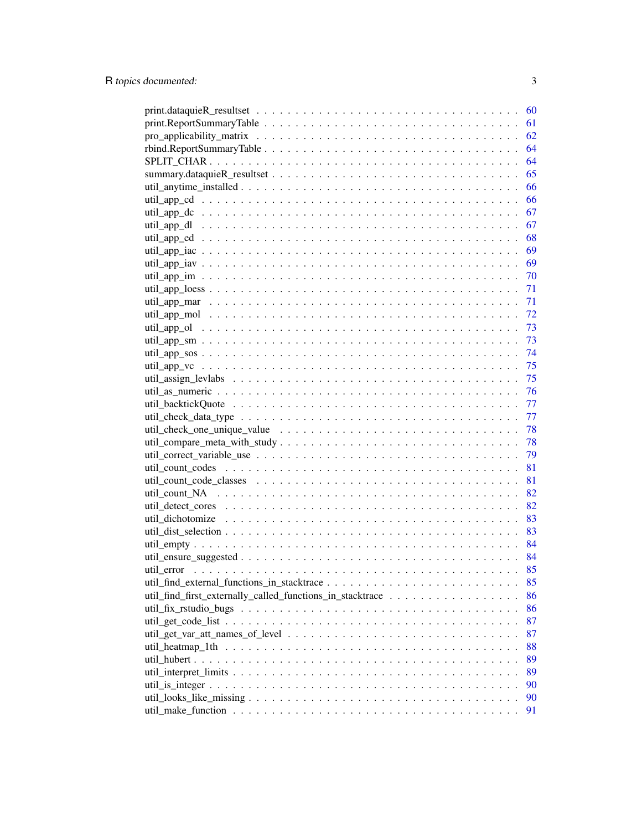|                                                           | 60 |
|-----------------------------------------------------------|----|
|                                                           | 61 |
|                                                           | 62 |
|                                                           | 64 |
|                                                           | 64 |
|                                                           | 65 |
|                                                           | 66 |
|                                                           | 66 |
|                                                           | 67 |
|                                                           | 67 |
|                                                           | 68 |
|                                                           | 69 |
|                                                           | 69 |
|                                                           | 70 |
|                                                           | 71 |
|                                                           | 71 |
|                                                           | 72 |
|                                                           | 73 |
|                                                           | 73 |
|                                                           | 74 |
|                                                           | 75 |
|                                                           | 75 |
|                                                           | 76 |
|                                                           | 77 |
|                                                           | 77 |
|                                                           | 78 |
|                                                           |    |
|                                                           | 78 |
|                                                           | 79 |
|                                                           | 81 |
|                                                           | 81 |
|                                                           | 82 |
|                                                           | 82 |
|                                                           | 83 |
|                                                           | 83 |
|                                                           | 84 |
|                                                           | 84 |
|                                                           | 85 |
|                                                           | 85 |
| util_find_first_externally_called_functions_in_stacktrace | 86 |
|                                                           | 86 |
|                                                           | 87 |
|                                                           | 87 |
|                                                           | 88 |
|                                                           | 89 |
|                                                           | 89 |
|                                                           | 90 |
|                                                           | 90 |
|                                                           | 91 |
|                                                           |    |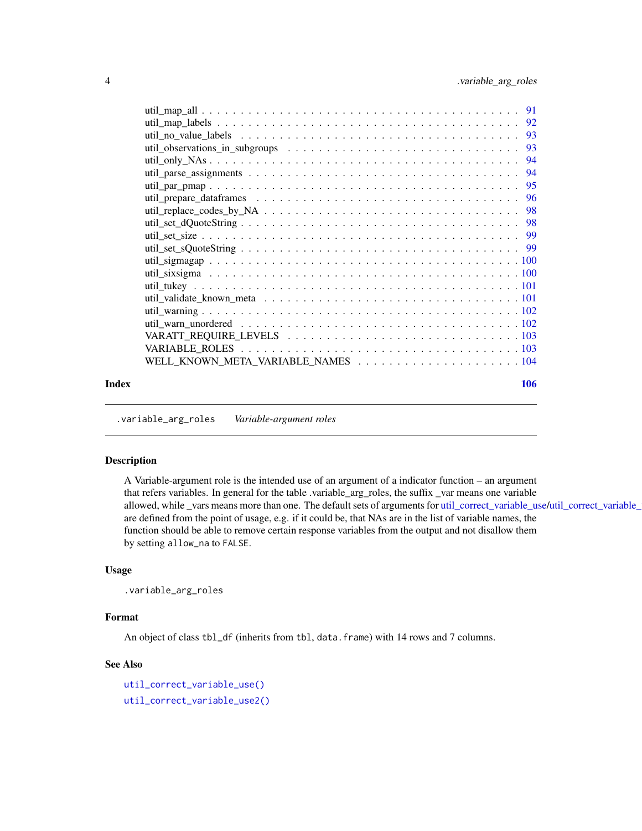<span id="page-3-0"></span>

| Index | 106 |
|-------|-----|

.variable\_arg\_roles *Variable-argument roles*

### Description

A Variable-argument role is the intended use of an argument of a indicator function – an argument that refers variables. In general for the table .variable\_arg\_roles, the suffix \_var means one variable allowed, while \_vars means more than one. The default sets of arguments for [util\\_correct\\_variable\\_use/](#page-78-1)util\_correct\_variable\_ are defined from the point of usage, e.g. if it could be, that NAs are in the list of variable names, the function should be able to remove certain response variables from the output and not disallow them by setting allow\_na to FALSE.

#### Usage

```
.variable_arg_roles
```
### Format

An object of class tbl\_df (inherits from tbl, data.frame) with 14 rows and 7 columns.

#### See Also

```
util_correct_variable_use()
util_correct_variable_use2()
```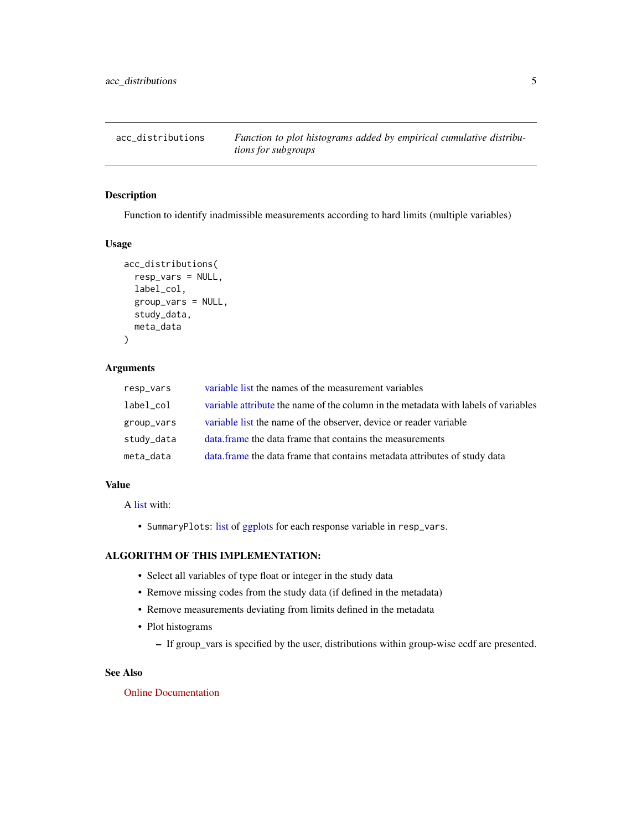<span id="page-4-0"></span>

### Description

Function to identify inadmissible measurements according to hard limits (multiple variables)

#### Usage

```
acc_distributions(
  resp_vars = NULL,
  label_col,
  group_vars = NULL,
  study_data,
  meta_data
)
```
### Arguments

| resp_vars  | variable list the names of the measurement variables                               |
|------------|------------------------------------------------------------------------------------|
| label_col  | variable attribute the name of the column in the metadata with labels of variables |
| group_vars | variable list the name of the observer, device or reader variable                  |
| study_data | data frame the data frame that contains the measurements                           |
| meta_data  | data.frame the data frame that contains metadata attributes of study data          |

### Value

A [list](#page-0-0) with:

• SummaryPlots: [list](#page-0-0) of [ggplots](#page-0-0) for each response variable in resp\_vars.

### ALGORITHM OF THIS IMPLEMENTATION:

- Select all variables of type float or integer in the study data
- Remove missing codes from the study data (if defined in the metadata)
- Remove measurements deviating from limits defined in the metadata
- Plot histograms
	- If group\_vars is specified by the user, distributions within group-wise ecdf are presented.

### See Also

[Online Documentation](https://dataquality.ship-med.uni-greifswald.de/VIN_acc_impl_distributions.html)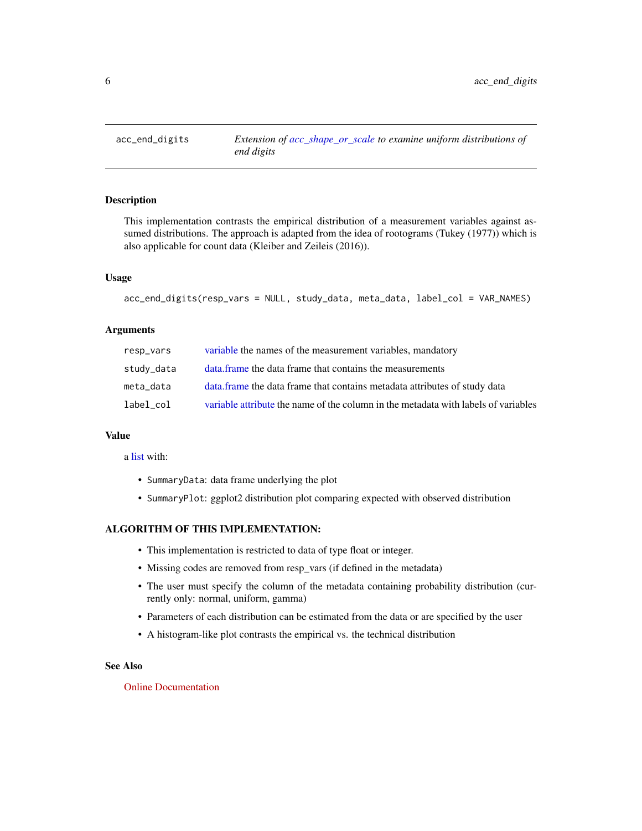<span id="page-5-0"></span>acc\_end\_digits *Extension of [acc\\_shape\\_or\\_scale](#page-13-1) to examine uniform distributions of end digits*

#### Description

This implementation contrasts the empirical distribution of a measurement variables against assumed distributions. The approach is adapted from the idea of rootograms (Tukey (1977)) which is also applicable for count data (Kleiber and Zeileis (2016)).

### Usage

```
acc_end_digits(resp_vars = NULL, study_data, meta_data, label_col = VAR_NAMES)
```
### Arguments

| resp_vars  | variable the names of the measurement variables, mandatory                         |
|------------|------------------------------------------------------------------------------------|
| study_data | data frame the data frame that contains the measurements                           |
| meta data  | data. frame the data frame that contains metadata attributes of study data         |
| label col  | variable attribute the name of the column in the metadata with labels of variables |

### Value

a [list](#page-0-0) with:

- SummaryData: data frame underlying the plot
- SummaryPlot: ggplot2 distribution plot comparing expected with observed distribution

### ALGORITHM OF THIS IMPLEMENTATION:

- This implementation is restricted to data of type float or integer.
- Missing codes are removed from resp\_vars (if defined in the metadata)
- The user must specify the column of the metadata containing probability distribution (currently only: normal, uniform, gamma)
- Parameters of each distribution can be estimated from the data or are specified by the user
- A histogram-like plot contrasts the empirical vs. the technical distribution

### See Also

### [Online Documentation](https://dataquality.ship-med.uni-greifswald.de/VIN_acc_impl_end_digits.html)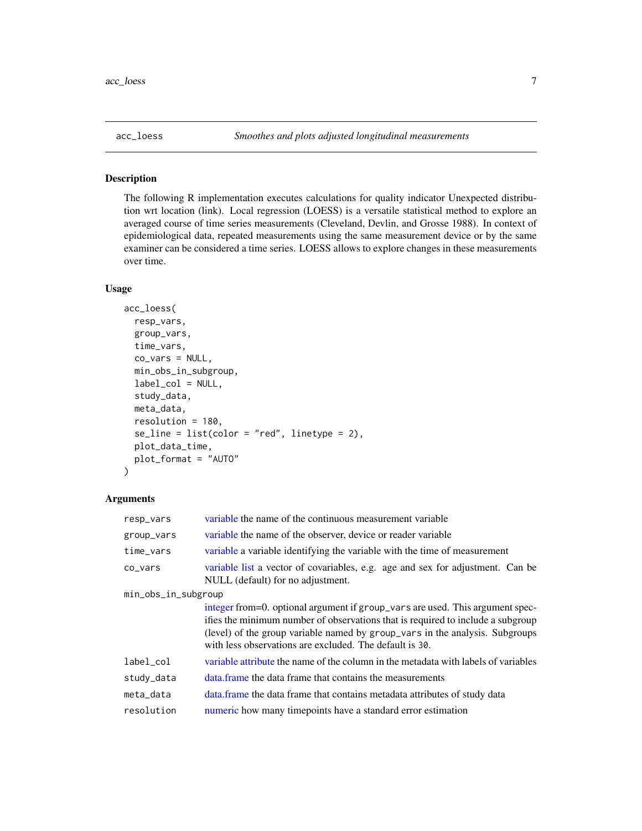### <span id="page-6-0"></span>Description

The following R implementation executes calculations for quality indicator Unexpected distribution wrt location (link). Local regression (LOESS) is a versatile statistical method to explore an averaged course of time series measurements (Cleveland, Devlin, and Grosse 1988). In context of epidemiological data, repeated measurements using the same measurement device or by the same examiner can be considered a time series. LOESS allows to explore changes in these measurements over time.

### Usage

```
acc_loess(
  resp_vars,
  group_vars,
  time_vars,
  co_vars = NULL,
 min_obs_in_subgroup,
  label_col = NULL,
  study_data,
 meta_data,
  resolution = 180,
  se\_line = list(color = "red", linetype = 2),plot_data_time,
 plot_format = "AUTO"
)
```

| resp_vars           | variable the name of the continuous measurement variable                                                                                                                                                                                                                                                    |
|---------------------|-------------------------------------------------------------------------------------------------------------------------------------------------------------------------------------------------------------------------------------------------------------------------------------------------------------|
| group_vars          | variable the name of the observer, device or reader variable                                                                                                                                                                                                                                                |
| time_vars           | variable a variable identifying the variable with the time of measurement                                                                                                                                                                                                                                   |
| $co-vars$           | variable list a vector of covariables, e.g. age and sex for adjustment. Can be<br>NULL (default) for no adjustment.                                                                                                                                                                                         |
| min_obs_in_subgroup |                                                                                                                                                                                                                                                                                                             |
|                     | integer from=0. optional argument if group_vars are used. This argument spec-<br>ifies the minimum number of observations that is required to include a subgroup<br>(level) of the group variable named by group_vars in the analysis. Subgroups<br>with less observations are excluded. The default is 30. |
| label_col           | variable attribute the name of the column in the metadata with labels of variables                                                                                                                                                                                                                          |
| study_data          | data frame the data frame that contains the measurements                                                                                                                                                                                                                                                    |
| meta_data           | data. frame the data frame that contains metadata attributes of study data                                                                                                                                                                                                                                  |
| resolution          | numeric how many time points have a standard error estimation                                                                                                                                                                                                                                               |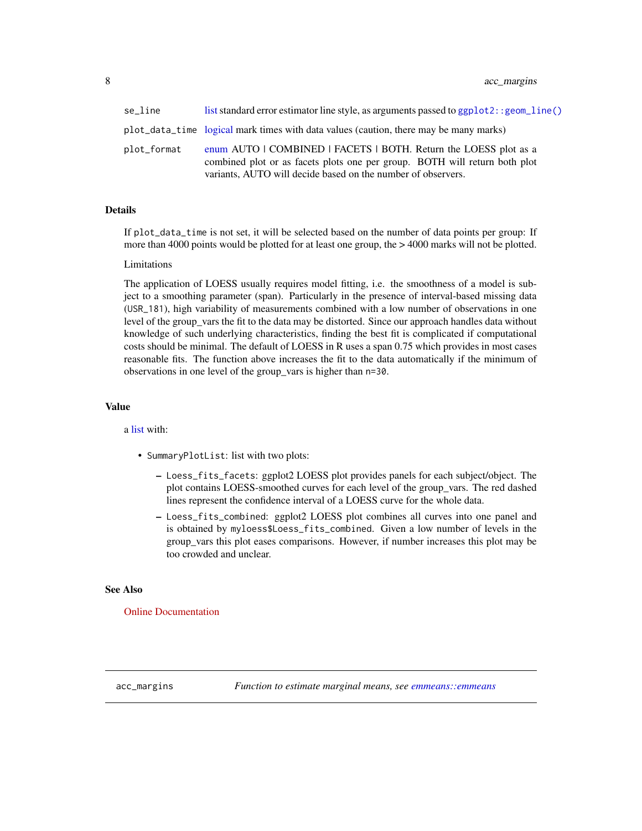<span id="page-7-0"></span>

| se line     | list standard error estimator line style, as arguments passed to ggp1ot2: : geom_line()                                                                                                                        |
|-------------|----------------------------------------------------------------------------------------------------------------------------------------------------------------------------------------------------------------|
|             | plot_data_time logical mark times with data values (caution, there may be many marks)                                                                                                                          |
| plot_format | enum AUTO   COMBINED   FACETS   BOTH. Return the LOESS plot as a<br>combined plot or as facets plots one per group. BOTH will return both plot<br>variants, AUTO will decide based on the number of observers. |

### Details

If plot\_data\_time is not set, it will be selected based on the number of data points per group: If more than 4000 points would be plotted for at least one group, the  $> 4000$  marks will not be plotted.

#### Limitations

The application of LOESS usually requires model fitting, i.e. the smoothness of a model is subject to a smoothing parameter (span). Particularly in the presence of interval-based missing data (USR\_181), high variability of measurements combined with a low number of observations in one level of the group\_vars the fit to the data may be distorted. Since our approach handles data without knowledge of such underlying characteristics, finding the best fit is complicated if computational costs should be minimal. The default of LOESS in R uses a span 0.75 which provides in most cases reasonable fits. The function above increases the fit to the data automatically if the minimum of observations in one level of the group\_vars is higher than n=30.

#### Value

a [list](#page-0-0) with:

- SummaryPlotList: list with two plots:
	- Loess\_fits\_facets: ggplot2 LOESS plot provides panels for each subject/object. The plot contains LOESS-smoothed curves for each level of the group\_vars. The red dashed lines represent the confidence interval of a LOESS curve for the whole data.
	- Loess\_fits\_combined: ggplot2 LOESS plot combines all curves into one panel and is obtained by myloess\$Loess\_fits\_combined. Given a low number of levels in the group\_vars this plot eases comparisons. However, if number increases this plot may be too crowded and unclear.

#### See Also

[Online Documentation](https://dataquality.ship-med.uni-greifswald.de/VIN_acc_impl_loess.html)

acc\_margins *Function to estimate marginal means, see [emmeans::emmeans](#page-0-0)*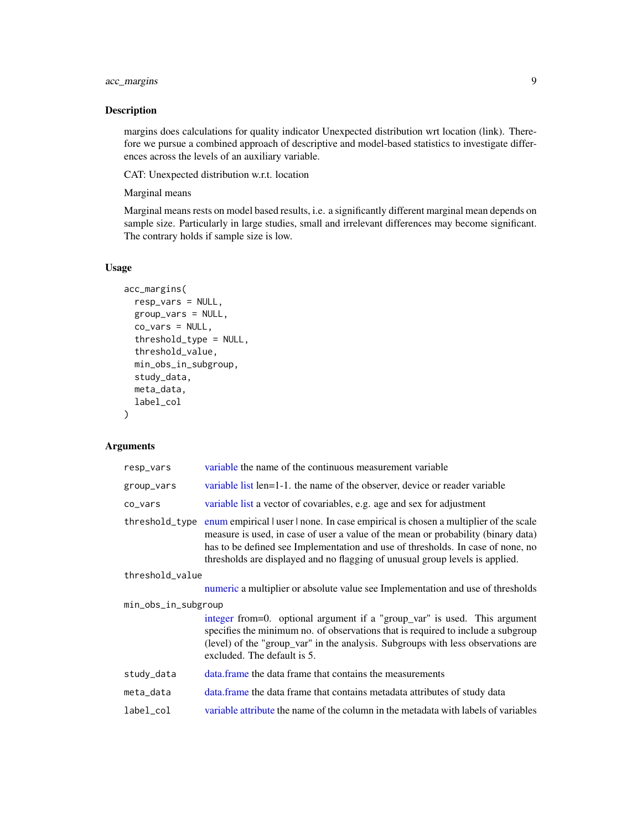### acc\_margins 9

### Description

margins does calculations for quality indicator Unexpected distribution wrt location (link). Therefore we pursue a combined approach of descriptive and model-based statistics to investigate differences across the levels of an auxiliary variable.

CAT: Unexpected distribution w.r.t. location

Marginal means

Marginal means rests on model based results, i.e. a significantly different marginal mean depends on sample size. Particularly in large studies, small and irrelevant differences may become significant. The contrary holds if sample size is low.

#### Usage

```
acc_margins(
  resp_vars = NULL,
 group_vars = NULL,
 co_vars = NULL,
  threshold_type = NULL,
  threshold_value,
  min_obs_in_subgroup,
  study_data,
 meta_data,
  label_col
\mathcal{E}
```

| resp_vars           | variable the name of the continuous measurement variable                                                                                                                                                                                                                                                                                    |  |  |
|---------------------|---------------------------------------------------------------------------------------------------------------------------------------------------------------------------------------------------------------------------------------------------------------------------------------------------------------------------------------------|--|--|
| group_vars          | variable list len=1-1, the name of the observer, device or reader variable                                                                                                                                                                                                                                                                  |  |  |
| co_vars             | variable list a vector of covariables, e.g. age and sex for adjustment                                                                                                                                                                                                                                                                      |  |  |
| threshold_type      | enum empirical l user l none. In case empirical is chosen a multiplier of the scale<br>measure is used, in case of user a value of the mean or probability (binary data)<br>has to be defined see Implementation and use of thresholds. In case of none, no<br>thresholds are displayed and no flagging of unusual group levels is applied. |  |  |
| threshold_value     |                                                                                                                                                                                                                                                                                                                                             |  |  |
|                     | numeric a multiplier or absolute value see Implementation and use of thresholds                                                                                                                                                                                                                                                             |  |  |
| min_obs_in_subgroup |                                                                                                                                                                                                                                                                                                                                             |  |  |
|                     | integer from=0. optional argument if a "group_var" is used. This argument<br>specifies the minimum no. of observations that is required to include a subgroup<br>(level) of the "group_var" in the analysis. Subgroups with less observations are<br>excluded. The default is 5.                                                            |  |  |
| study_data          | data frame the data frame that contains the measurements                                                                                                                                                                                                                                                                                    |  |  |
| meta_data           | data. frame the data frame that contains metadata attributes of study data                                                                                                                                                                                                                                                                  |  |  |
| label_col           | variable attribute the name of the column in the metadata with labels of variables                                                                                                                                                                                                                                                          |  |  |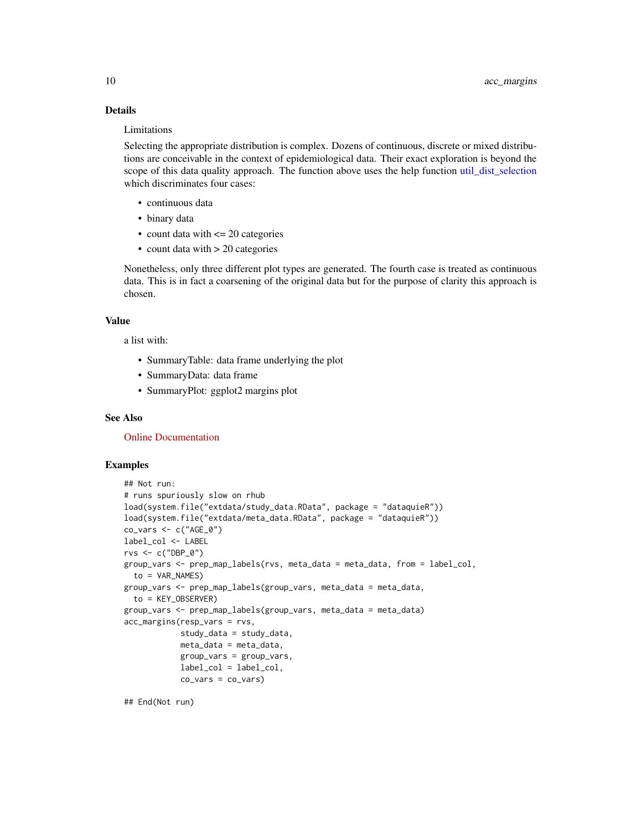### Details

#### Limitations

Selecting the appropriate distribution is complex. Dozens of continuous, discrete or mixed distributions are conceivable in the context of epidemiological data. Their exact exploration is beyond the scope of this data quality approach. The function above uses the help function [util\\_dist\\_selection](#page-82-1) which discriminates four cases:

- continuous data
- binary data
- count data with  $\leq$  20 categories
- count data with > 20 categories

Nonetheless, only three different plot types are generated. The fourth case is treated as continuous data. This is in fact a coarsening of the original data but for the purpose of clarity this approach is chosen.

#### Value

a list with:

- SummaryTable: data frame underlying the plot
- SummaryData: data frame
- SummaryPlot: ggplot2 margins plot

#### See Also

[Online Documentation](https://dataquality.ship-med.uni-greifswald.de/VIN_acc_impl_margins.html)

#### Examples

```
## Not run:
# runs spuriously slow on rhub
load(system.file("extdata/study_data.RData", package = "dataquieR"))
load(system.file("extdata/meta_data.RData", package = "dataquieR"))
co_vars <- c("AGE_0")
label_col <- LABEL
rvs <- c("DBP_0")
group_vars <- prep_map_labels(rvs, meta_data = meta_data, from = label_col,
  to = VAR_NAMES)
group_vars <- prep_map_labels(group_vars, meta_data = meta_data,
  to = KEY_OBSERVER)
group_vars <- prep_map_labels(group_vars, meta_data = meta_data)
acc_margins(resp_vars = rvs,
            study_data = study_data,
            meta_data = meta_data,
            group_vars = group_vars,
            label_col = label_col,
            co_vars = co_vars)
```
## End(Not run)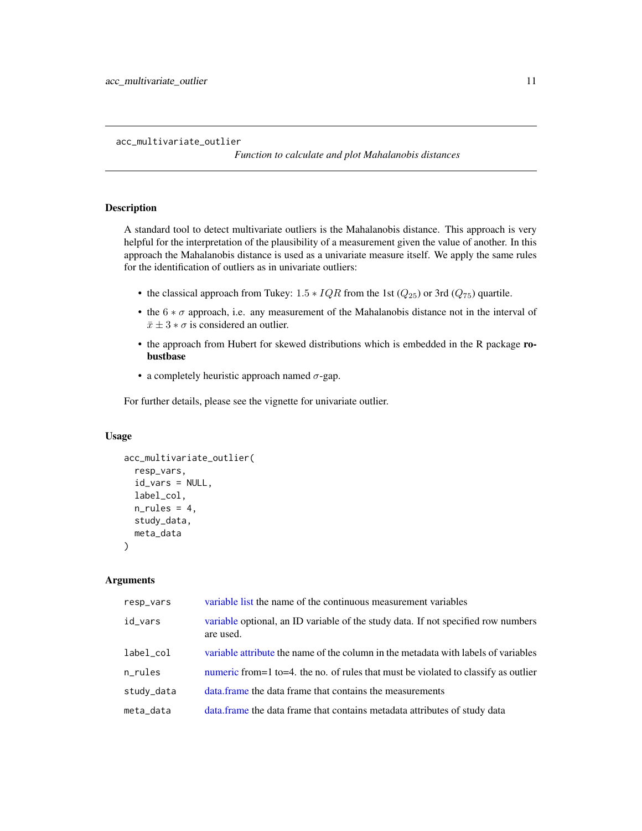#### <span id="page-10-0"></span>acc\_multivariate\_outlier

*Function to calculate and plot Mahalanobis distances*

### Description

A standard tool to detect multivariate outliers is the Mahalanobis distance. This approach is very helpful for the interpretation of the plausibility of a measurement given the value of another. In this approach the Mahalanobis distance is used as a univariate measure itself. We apply the same rules for the identification of outliers as in univariate outliers:

- the classical approach from Tukey:  $1.5 * IQR$  from the 1st ( $Q_{25}$ ) or 3rd ( $Q_{75}$ ) quartile.
- the  $6 * \sigma$  approach, i.e. any measurement of the Mahalanobis distance not in the interval of  $\bar{x} \pm 3 * \sigma$  is considered an outlier.
- the approach from Hubert for skewed distributions which is embedded in the R package robustbase
- a completely heuristic approach named  $\sigma$ -gap.

For further details, please see the vignette for univariate outlier.

#### Usage

```
acc_multivariate_outlier(
  resp_vars,
  id_vars = NULL,
  label_col,
  n_rules = 4,
  study_data,
  meta_data
)
```

| resp_vars  | variable list the name of the continuous measurement variables                                 |
|------------|------------------------------------------------------------------------------------------------|
| id_vars    | variable optional, an ID variable of the study data. If not specified row numbers<br>are used. |
| label_col  | variable attribute the name of the column in the metadata with labels of variables             |
| n_rules    | numeric from = 1 to = 4. the no. of rules that must be violated to classify as outlier         |
| study_data | data frame the data frame that contains the measurements                                       |
| meta_data  | data. frame the data frame that contains metadata attributes of study data                     |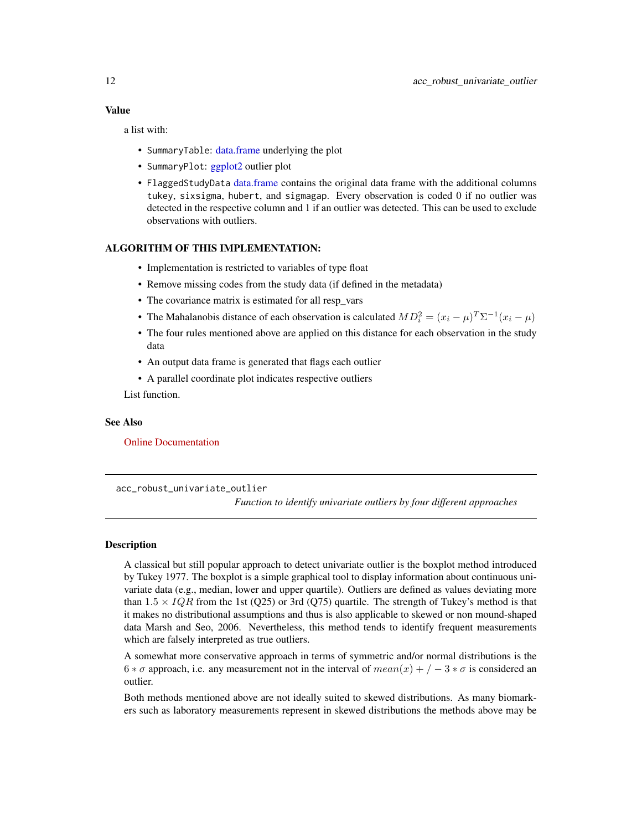<span id="page-11-0"></span>a list with:

- SummaryTable: [data.frame](#page-0-0) underlying the plot
- SummaryPlot: [ggplot2](#page-0-0) outlier plot
- FlaggedStudyData [data.frame](#page-0-0) contains the original data frame with the additional columns tukey, sixsigma, hubert, and sigmagap. Every observation is coded 0 if no outlier was detected in the respective column and 1 if an outlier was detected. This can be used to exclude observations with outliers.

### ALGORITHM OF THIS IMPLEMENTATION:

- Implementation is restricted to variables of type float
- Remove missing codes from the study data (if defined in the metadata)
- The covariance matrix is estimated for all resp\_vars
- The Mahalanobis distance of each observation is calculated  $MD_i^2 = (x_i \mu)^T \Sigma^{-1} (x_i \mu)$
- The four rules mentioned above are applied on this distance for each observation in the study data
- An output data frame is generated that flags each outlier
- A parallel coordinate plot indicates respective outliers

List function.

#### See Also

[Online Documentation](https://dataquality.ship-med.uni-greifswald.de/VIN_acc_impl_multivariate_outlier.html)

<span id="page-11-1"></span>acc\_robust\_univariate\_outlier

*Function to identify univariate outliers by four different approaches*

#### **Description**

A classical but still popular approach to detect univariate outlier is the boxplot method introduced by Tukey 1977. The boxplot is a simple graphical tool to display information about continuous univariate data (e.g., median, lower and upper quartile). Outliers are defined as values deviating more than  $1.5 \times IQR$  from the 1st (Q25) or 3rd (Q75) quartile. The strength of Tukey's method is that it makes no distributional assumptions and thus is also applicable to skewed or non mound-shaped data Marsh and Seo, 2006. Nevertheless, this method tends to identify frequent measurements which are falsely interpreted as true outliers.

A somewhat more conservative approach in terms of symmetric and/or normal distributions is the  $6 * \sigma$  approach, i.e. any measurement not in the interval of  $mean(x) + (-3 * \sigma)$  is considered an outlier.

Both methods mentioned above are not ideally suited to skewed distributions. As many biomarkers such as laboratory measurements represent in skewed distributions the methods above may be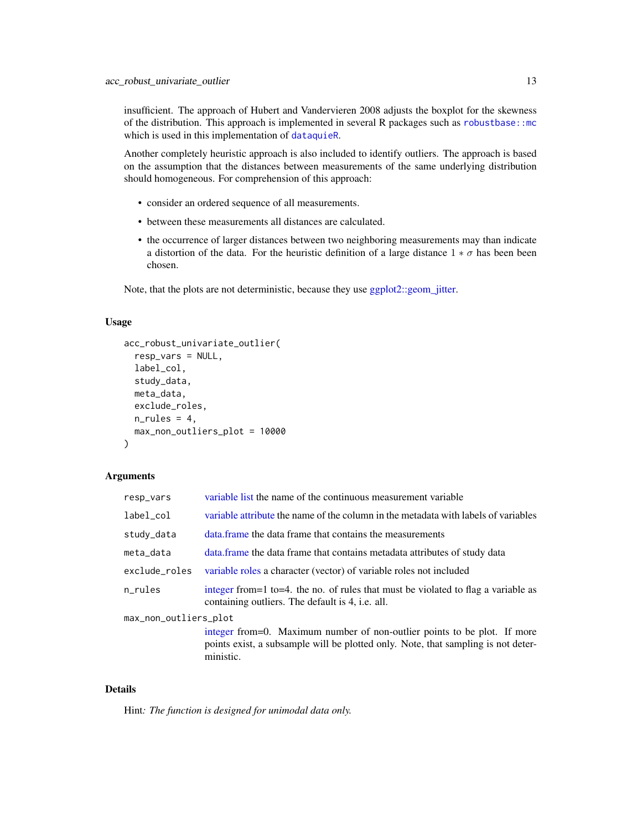insufficient. The approach of Hubert and Vandervieren 2008 adjusts the boxplot for the skewness of the distribution. This approach is implemented in several R packages such as [robustbase::mc](#page-0-0) which is used in this implementation of [dataquieR](#page-34-1).

Another completely heuristic approach is also included to identify outliers. The approach is based on the assumption that the distances between measurements of the same underlying distribution should homogeneous. For comprehension of this approach:

- consider an ordered sequence of all measurements.
- between these measurements all distances are calculated.
- the occurrence of larger distances between two neighboring measurements may than indicate a distortion of the data. For the heuristic definition of a large distance  $1 * \sigma$  has been been chosen.

Note, that the plots are not deterministic, because they use [ggplot2::geom\\_jitter.](#page-0-0)

#### Usage

```
acc_robust_univariate_outlier(
  resp_vars = NULL,
  label_col,
  study_data,
 meta_data,
  exclude_roles,
 n-rules = 4,
 max_non_outliers_plot = 10000
)
```
#### Arguments

| resp_vars             | variable list the name of the continuous measurement variable                                                                                                              |  |  |  |
|-----------------------|----------------------------------------------------------------------------------------------------------------------------------------------------------------------------|--|--|--|
| label col             | variable attribute the name of the column in the metadata with labels of variables                                                                                         |  |  |  |
| study_data            | data frame the data frame that contains the measurements                                                                                                                   |  |  |  |
| meta_data             | data. frame the data frame that contains metadata attributes of study data                                                                                                 |  |  |  |
| exclude_roles         | variable roles a character (vector) of variable roles not included                                                                                                         |  |  |  |
| n_rules               | integer from = 1 to = 4. the no. of rules that must be violated to flag a variable as<br>containing outliers. The default is 4, <i>i.e.</i> all.                           |  |  |  |
| max_non_outliers_plot |                                                                                                                                                                            |  |  |  |
|                       | integer from=0. Maximum number of non-outlier points to be plot. If more<br>points exist, a subsample will be plotted only. Note, that sampling is not deter-<br>ministic. |  |  |  |

#### Details

Hint*: The function is designed for unimodal data only.*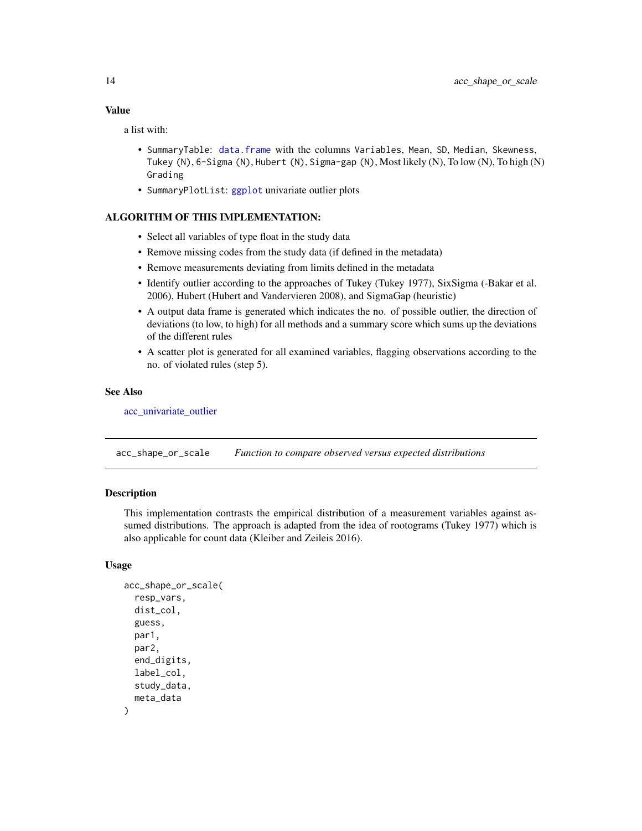### <span id="page-13-0"></span>Value

a list with:

- SummaryTable: [data.frame](#page-0-0) with the columns Variables, Mean, SD, Median, Skewness, Tukey (N), 6-Sigma (N), Hubert (N), Sigma-gap (N), Most likely (N), To low (N), To high (N) Grading
- SummaryPlotList: [ggplot](#page-0-0) univariate outlier plots

#### ALGORITHM OF THIS IMPLEMENTATION:

- Select all variables of type float in the study data
- Remove missing codes from the study data (if defined in the metadata)
- Remove measurements deviating from limits defined in the metadata
- Identify outlier according to the approaches of Tukey (Tukey 1977), SixSigma (-Bakar et al. 2006), Hubert (Hubert and Vandervieren 2008), and SigmaGap (heuristic)
- A output data frame is generated which indicates the no. of possible outlier, the direction of deviations (to low, to high) for all methods and a summary score which sums up the deviations of the different rules
- A scatter plot is generated for all examined variables, flagging observations according to the no. of violated rules (step 5).

### See Also

[acc\\_univariate\\_outlier](#page-15-1)

<span id="page-13-1"></span>acc\_shape\_or\_scale *Function to compare observed versus expected distributions*

### **Description**

This implementation contrasts the empirical distribution of a measurement variables against assumed distributions. The approach is adapted from the idea of rootograms (Tukey 1977) which is also applicable for count data (Kleiber and Zeileis 2016).

#### Usage

```
acc_shape_or_scale(
  resp_vars,
  dist_col,
  guess,
 par1,
  par2,
  end_digits,
  label_col,
  study_data,
  meta_data
)
```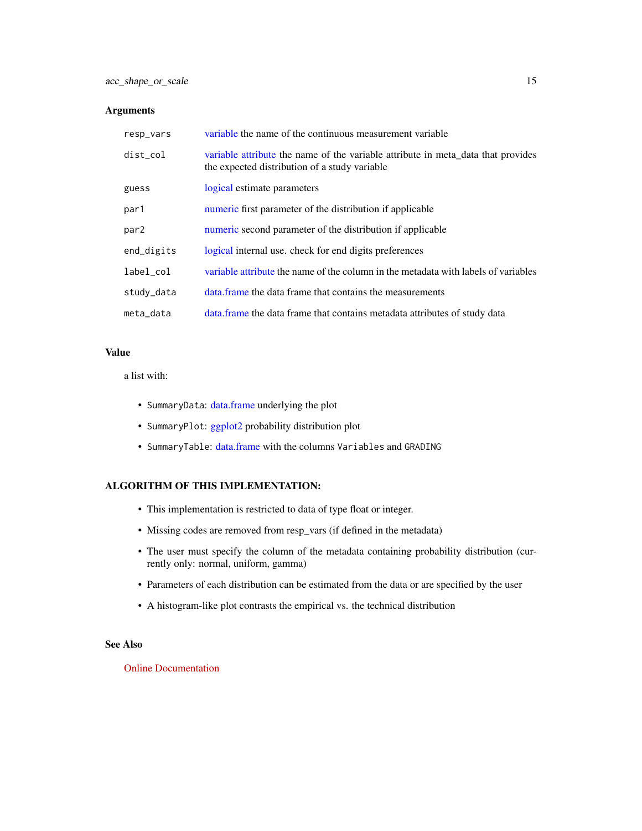### Arguments

| resp_vars  | variable the name of the continuous measurement variable                                                                          |
|------------|-----------------------------------------------------------------------------------------------------------------------------------|
| dist_col   | variable attribute the name of the variable attribute in meta_data that provides<br>the expected distribution of a study variable |
| guess      | logical estimate parameters                                                                                                       |
| par1       | numeric first parameter of the distribution if applicable                                                                         |
| par2       | numeric second parameter of the distribution if applicable                                                                        |
| end_digits | logical internal use, check for end digits preferences                                                                            |
| label col  | variable attribute the name of the column in the metadata with labels of variables                                                |
| study_data | data frame the data frame that contains the measurements                                                                          |
| meta_data  | data frame the data frame that contains metadata attributes of study data                                                         |

### Value

a list with:

- SummaryData: [data.frame](#page-0-0) underlying the plot
- SummaryPlot: [ggplot2](#page-0-0) probability distribution plot
- SummaryTable: [data.frame](#page-0-0) with the columns Variables and GRADING

## ALGORITHM OF THIS IMPLEMENTATION:

- This implementation is restricted to data of type float or integer.
- Missing codes are removed from resp\_vars (if defined in the metadata)
- The user must specify the column of the metadata containing probability distribution (currently only: normal, uniform, gamma)
- Parameters of each distribution can be estimated from the data or are specified by the user
- A histogram-like plot contrasts the empirical vs. the technical distribution

#### See Also

[Online Documentation](https://dataquality.ship-med.uni-greifswald.de/VIN_acc_impl_shape_or_scale.html)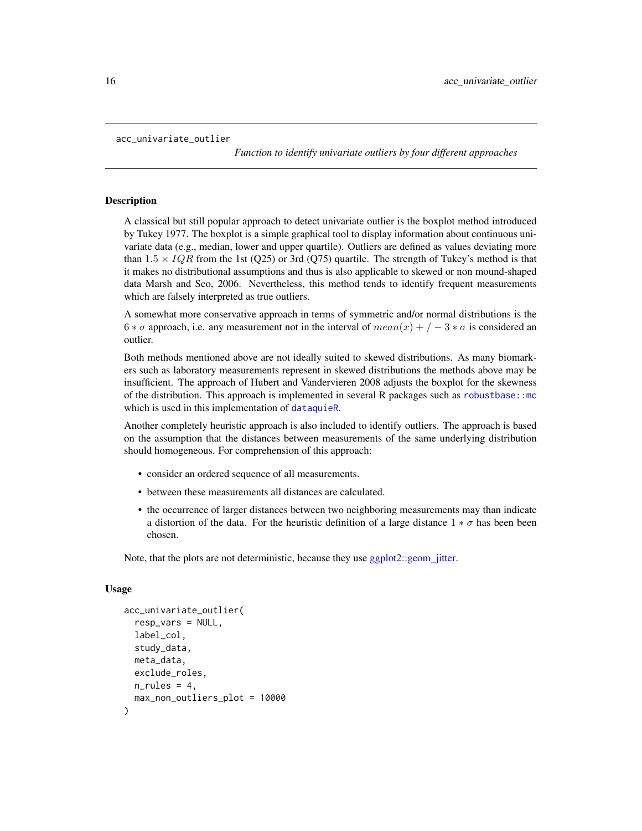```
acc_univariate_outlier
```
*Function to identify univariate outliers by four different approaches*

#### Description

A classical but still popular approach to detect univariate outlier is the boxplot method introduced by Tukey 1977. The boxplot is a simple graphical tool to display information about continuous univariate data (e.g., median, lower and upper quartile). Outliers are defined as values deviating more than  $1.5 \times IQR$  from the 1st (Q25) or 3rd (Q75) quartile. The strength of Tukey's method is that it makes no distributional assumptions and thus is also applicable to skewed or non mound-shaped data Marsh and Seo, 2006. Nevertheless, this method tends to identify frequent measurements which are falsely interpreted as true outliers.

A somewhat more conservative approach in terms of symmetric and/or normal distributions is the  $6 * \sigma$  approach, i.e. any measurement not in the interval of  $mean(x) + \sqrt{-3} * \sigma$  is considered an outlier.

Both methods mentioned above are not ideally suited to skewed distributions. As many biomarkers such as laboratory measurements represent in skewed distributions the methods above may be insufficient. The approach of Hubert and Vandervieren 2008 adjusts the boxplot for the skewness of the distribution. This approach is implemented in several R packages such as [robustbase::mc](#page-0-0) which is used in this implementation of [dataquieR](#page-34-1).

Another completely heuristic approach is also included to identify outliers. The approach is based on the assumption that the distances between measurements of the same underlying distribution should homogeneous. For comprehension of this approach:

- consider an ordered sequence of all measurements.
- between these measurements all distances are calculated.
- the occurrence of larger distances between two neighboring measurements may than indicate a distortion of the data. For the heuristic definition of a large distance  $1 * \sigma$  has been been chosen.

Note, that the plots are not deterministic, because they use [ggplot2::geom\\_jitter.](#page-0-0)

#### Usage

```
acc_univariate_outlier(
  resp_vars = NULL,
  label_col,
  study_data,
 meta_data,
  exclude_roles,
 n_rules = 4,
  max_non_outliers_plot = 10000
)
```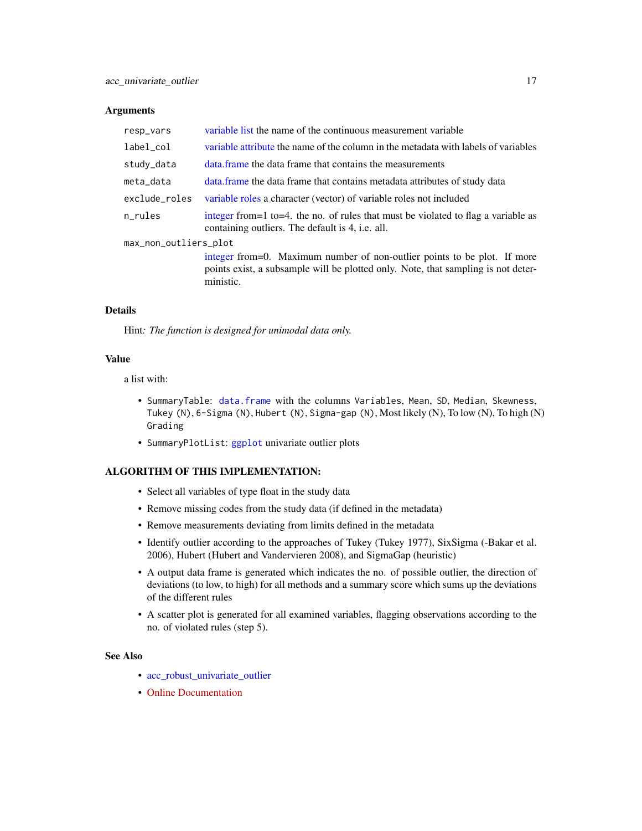#### **Arguments**

| resp_vars             | variable list the name of the continuous measurement variable                                                                                                              |
|-----------------------|----------------------------------------------------------------------------------------------------------------------------------------------------------------------------|
| label_col             | variable attribute the name of the column in the metadata with labels of variables                                                                                         |
| study_data            | data frame the data frame that contains the measurements                                                                                                                   |
| meta data             | data. frame the data frame that contains metadata attributes of study data                                                                                                 |
| exclude_roles         | variable roles a character (vector) of variable roles not included                                                                                                         |
| n_rules               | integer from = 1 to = 4. the no. of rules that must be violated to flag a variable as<br>containing outliers. The default is 4, <i>i.e.</i> all.                           |
| max_non_outliers_plot |                                                                                                                                                                            |
|                       | integer from=0. Maximum number of non-outlier points to be plot. If more<br>points exist, a subsample will be plotted only. Note, that sampling is not deter-<br>ministic. |

#### Details

Hint*: The function is designed for unimodal data only.*

#### Value

a list with:

- SummaryTable: [data.frame](#page-0-0) with the columns Variables, Mean, SD, Median, Skewness, Tukey (N), 6-Sigma (N), Hubert (N), Sigma-gap (N), Most likely (N), To low (N), To high (N) Grading
- SummaryPlotList: [ggplot](#page-0-0) univariate outlier plots

### ALGORITHM OF THIS IMPLEMENTATION:

- Select all variables of type float in the study data
- Remove missing codes from the study data (if defined in the metadata)
- Remove measurements deviating from limits defined in the metadata
- Identify outlier according to the approaches of Tukey (Tukey 1977), SixSigma (-Bakar et al. 2006), Hubert (Hubert and Vandervieren 2008), and SigmaGap (heuristic)
- A output data frame is generated which indicates the no. of possible outlier, the direction of deviations (to low, to high) for all methods and a summary score which sums up the deviations of the different rules
- A scatter plot is generated for all examined variables, flagging observations according to the no. of violated rules (step 5).

#### See Also

- [acc\\_robust\\_univariate\\_outlier](#page-11-1)
- [Online Documentation](https://dataquality.ship-med.uni-greifswald.de/VIN_acc_impl_robust_univariate_outlier.html)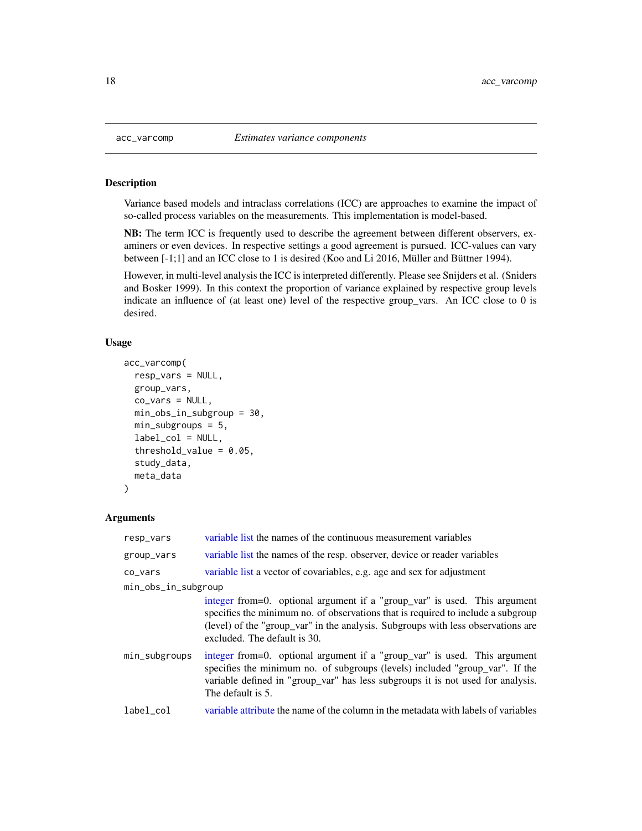#### Description

Variance based models and intraclass correlations (ICC) are approaches to examine the impact of so-called process variables on the measurements. This implementation is model-based.

NB: The term ICC is frequently used to describe the agreement between different observers, examiners or even devices. In respective settings a good agreement is pursued. ICC-values can vary between [-1;1] and an ICC close to 1 is desired (Koo and Li 2016, Müller and Büttner 1994).

However, in multi-level analysis the ICC is interpreted differently. Please see Snijders et al. (Sniders and Bosker 1999). In this context the proportion of variance explained by respective group levels indicate an influence of (at least one) level of the respective group\_vars. An ICC close to 0 is desired.

#### Usage

```
acc_varcomp(
  resp_vars = NULL,
  group_vars,
  co_vars = NULL,
  min_obs_in_subgroup = 30,
  min_subgroups = 5,
  label_col = NULL,
  threshold_value = 0.05,
  study_data,
  meta_data
)
```

| resp_vars           | variable list the names of the continuous measurement variables                                                                                                                                                                                                                   |
|---------------------|-----------------------------------------------------------------------------------------------------------------------------------------------------------------------------------------------------------------------------------------------------------------------------------|
| group_vars          | variable list the names of the resp. observer, device or reader variables                                                                                                                                                                                                         |
| co_vars             | variable list a vector of covariables, e.g. age and sex for adjustment                                                                                                                                                                                                            |
| min_obs_in_subgroup |                                                                                                                                                                                                                                                                                   |
|                     | integer from=0. optional argument if a "group_var" is used. This argument<br>specifies the minimum no. of observations that is required to include a subgroup<br>(level) of the "group_var" in the analysis. Subgroups with less observations are<br>excluded. The default is 30. |
| min_subgroups       | integer from=0. optional argument if a "group_var" is used. This argument<br>specifies the minimum no. of subgroups (levels) included "group_var". If the<br>variable defined in "group_var" has less subgroups it is not used for analysis.<br>The default is 5.                 |
| label_col           | variable attribute the name of the column in the metadata with labels of variables                                                                                                                                                                                                |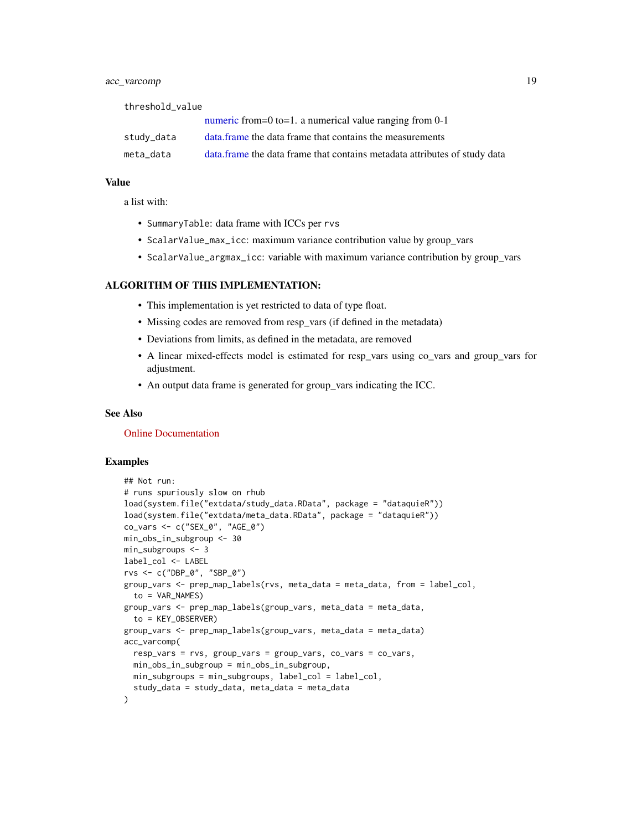### acc\_varcomp 19

threshold\_value [numeric](#page-35-1) from=0 to=1. a numerical value ranging from 0-1

| study_data | data frame the data frame that contains the measurements                   |
|------------|----------------------------------------------------------------------------|
| meta data  | data. frame the data frame that contains metadata attributes of study data |

#### Value

a list with:

- SummaryTable: data frame with ICCs per rvs
- ScalarValue\_max\_icc: maximum variance contribution value by group\_vars
- ScalarValue\_argmax\_icc: variable with maximum variance contribution by group\_vars

#### ALGORITHM OF THIS IMPLEMENTATION:

- This implementation is yet restricted to data of type float.
- Missing codes are removed from resp\_vars (if defined in the metadata)
- Deviations from limits, as defined in the metadata, are removed
- A linear mixed-effects model is estimated for resp\_vars using co\_vars and group\_vars for adjustment.
- An output data frame is generated for group\_vars indicating the ICC.

#### See Also

[Online Documentation](https://dataquality.ship-med.uni-greifswald.de/VIN_acc_impl_varcomp.html)

#### Examples

```
## Not run:
# runs spuriously slow on rhub
load(system.file("extdata/study_data.RData", package = "dataquieR"))
load(system.file("extdata/meta_data.RData", package = "dataquieR"))
co_vars <- c("SEX_0", "AGE_0")
min_obs_in_subgroup <- 30
min_subgroups <- 3
label_col <- LABEL
rvs <- c("DBP_0", "SBP_0")
group_vars <- prep_map_labels(rvs, meta_data = meta_data, from = label_col,
  to = VAR_NAMES)
group_vars <- prep_map_labels(group_vars, meta_data = meta_data,
  to = KEY_OBSERVER)
group_vars <- prep_map_labels(group_vars, meta_data = meta_data)
acc_varcomp(
  resp_vars = rvs, group_vars = group_vars, co_vars = co_vars,
  min_obs_in_subgroup = min_obs_in_subgroup,
  min_subgroups = min_subgroups, label_col = label_col,
  study_data = study_data, meta_data = meta_data
)
```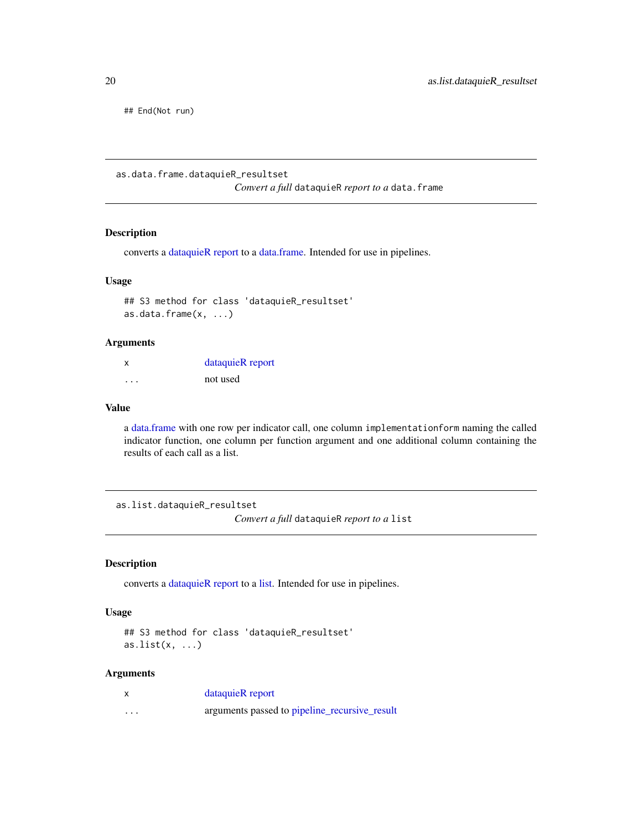<span id="page-19-0"></span>## End(Not run)

<span id="page-19-1"></span>as.data.frame.dataquieR\_resultset

*Convert a full* dataquieR *report to a* data.frame

### Description

converts a [dataquieR report](#page-37-1) to a [data.frame.](#page-0-0) Intended for use in pipelines.

#### Usage

## S3 method for class 'dataquieR\_resultset' as.data.frame(x, ...)

### Arguments

| X        | dataquieR report |
|----------|------------------|
| $\cdots$ | not used         |

#### Value

a [data.frame](#page-0-0) with one row per indicator call, one column implementationform naming the called indicator function, one column per function argument and one additional column containing the results of each call as a list.

<span id="page-19-2"></span>as.list.dataquieR\_resultset

*Convert a full* dataquieR *report to a* list

### Description

converts a [dataquieR report](#page-37-1) to a [list.](#page-0-0) Intended for use in pipelines.

#### Usage

```
## S3 method for class 'dataquieR_resultset'
as.list(x, \ldots)
```

|   | dataquieR report                              |
|---|-----------------------------------------------|
| . | arguments passed to pipeline_recursive_result |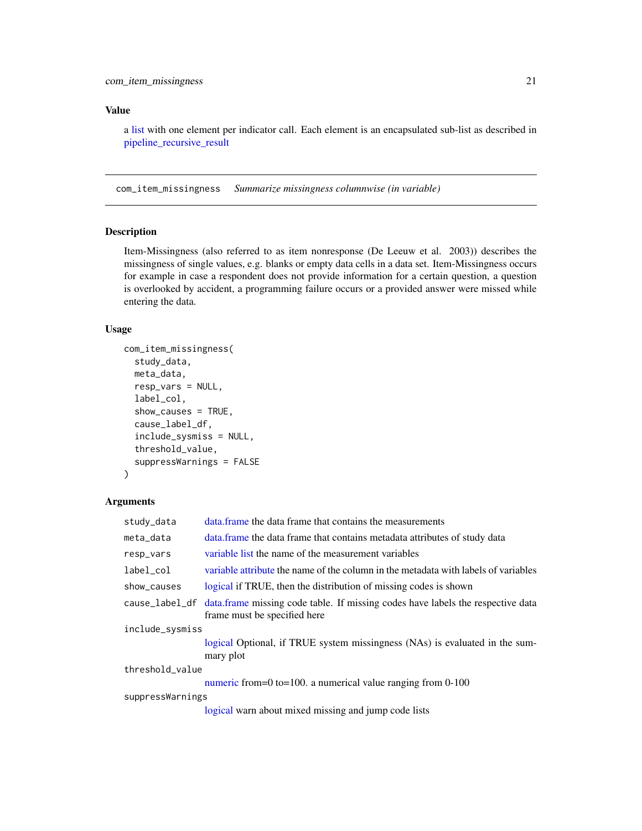### <span id="page-20-0"></span>Value

a [list](#page-0-0) with one element per indicator call. Each element is an encapsulated sub-list as described in [pipeline\\_recursive\\_result](#page-43-1)

com\_item\_missingness *Summarize missingness columnwise (in variable)*

### Description

Item-Missingness (also referred to as item nonresponse (De Leeuw et al. 2003)) describes the missingness of single values, e.g. blanks or empty data cells in a data set. Item-Missingness occurs for example in case a respondent does not provide information for a certain question, a question is overlooked by accident, a programming failure occurs or a provided answer were missed while entering the data.

### Usage

```
com_item_missingness(
  study_data,
  meta_data,
  resp_vars = NULL,
  label_col,
  show_causes = TRUE,
  cause_label_df,
  include_sysmiss = NULL,
  threshold_value,
  suppressWarnings = FALSE
)
```

| study_data       | data frame the data frame that contains the measurements                                                        |  |
|------------------|-----------------------------------------------------------------------------------------------------------------|--|
| meta_data        | data. frame the data frame that contains metadata attributes of study data                                      |  |
| resp_vars        | variable list the name of the measurement variables                                                             |  |
| label_col        | variable attribute the name of the column in the metadata with labels of variables                              |  |
| show_causes      | logical if TRUE, then the distribution of missing codes is shown                                                |  |
| cause_label_df   | data.frame missing code table. If missing codes have labels the respective data<br>frame must be specified here |  |
| include_sysmiss  |                                                                                                                 |  |
|                  | logical Optional, if TRUE system missingness (NAs) is evaluated in the sum-<br>mary plot                        |  |
| threshold_value  |                                                                                                                 |  |
|                  | numeric from=0 to=100. a numerical value ranging from $0-100$                                                   |  |
| suppressWarnings |                                                                                                                 |  |
|                  | logical warn about mixed missing and jump code lists                                                            |  |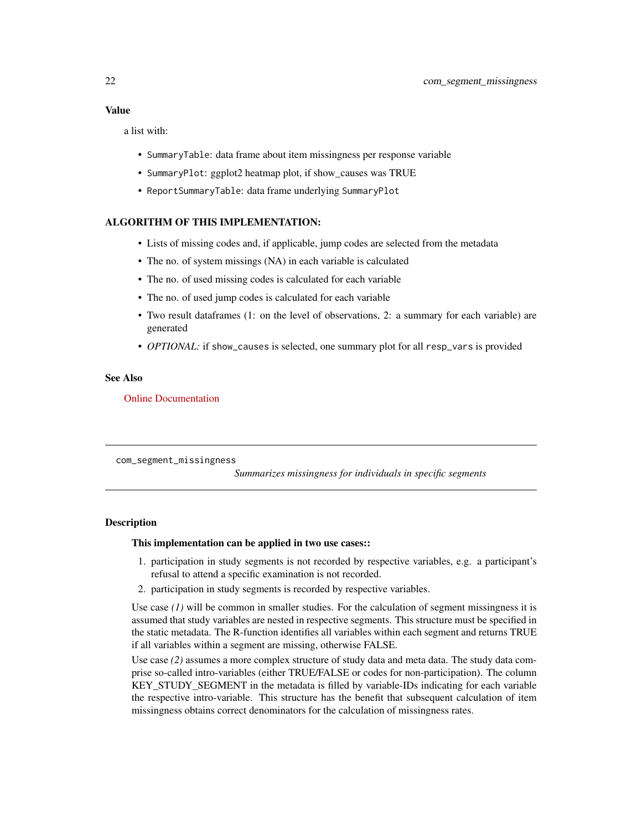#### <span id="page-21-0"></span>Value

a list with:

- SummaryTable: data frame about item missingness per response variable
- SummaryPlot: ggplot2 heatmap plot, if show\_causes was TRUE
- ReportSummaryTable: data frame underlying SummaryPlot

### ALGORITHM OF THIS IMPLEMENTATION:

- Lists of missing codes and, if applicable, jump codes are selected from the metadata
- The no. of system missings (NA) in each variable is calculated
- The no. of used missing codes is calculated for each variable
- The no. of used jump codes is calculated for each variable
- Two result dataframes (1: on the level of observations, 2: a summary for each variable) are generated
- *OPTIONAL:* if show\_causes is selected, one summary plot for all resp\_vars is provided

#### See Also

#### [Online Documentation](https://dataquality.ship-med.uni-greifswald.de/VIN_com_impl_item_missingness.html)

com\_segment\_missingness

*Summarizes missingness for individuals in specific segments*

#### Description

#### This implementation can be applied in two use cases::

- 1. participation in study segments is not recorded by respective variables, e.g. a participant's refusal to attend a specific examination is not recorded.
- 2. participation in study segments is recorded by respective variables.

Use case  $(1)$  will be common in smaller studies. For the calculation of segment missingness it is assumed that study variables are nested in respective segments. This structure must be specified in the static metadata. The R-function identifies all variables within each segment and returns TRUE if all variables within a segment are missing, otherwise FALSE.

Use case (2) assumes a more complex structure of study data and meta data. The study data comprise so-called intro-variables (either TRUE/FALSE or codes for non-participation). The column KEY\_STUDY\_SEGMENT in the metadata is filled by variable-IDs indicating for each variable the respective intro-variable. This structure has the benefit that subsequent calculation of item missingness obtains correct denominators for the calculation of missingness rates.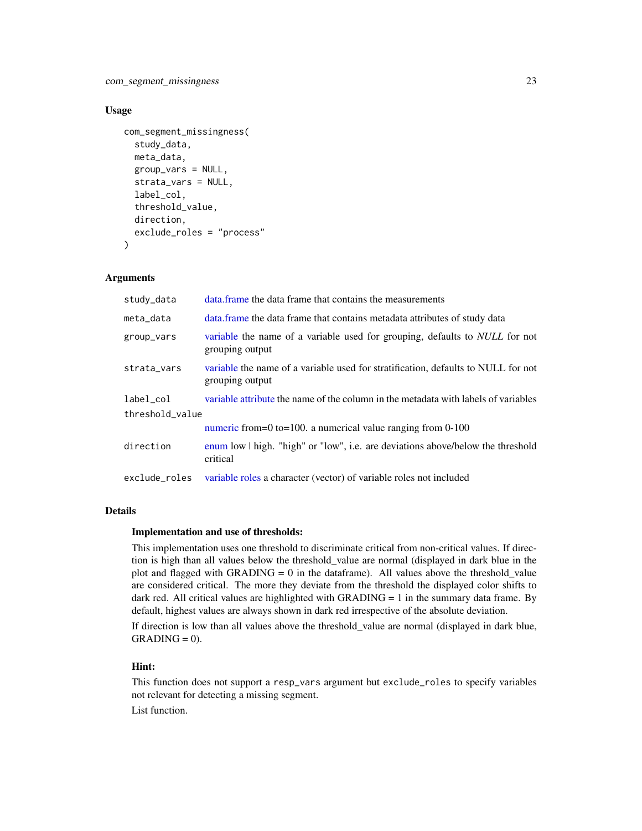### Usage

```
com_segment_missingness(
  study_data,
  meta_data,
  group_vars = NULL,
  strata_vars = NULL,
  label_col,
  threshold_value,
  direction,
  exclude_roles = "process"
\lambda
```
### Arguments

| study_data      | data frame the data frame that contains the measurements                                              |  |
|-----------------|-------------------------------------------------------------------------------------------------------|--|
| meta_data       | data frame the data frame that contains metadata attributes of study data                             |  |
| group_vars      | variable the name of a variable used for grouping, defaults to <i>NULL</i> for not<br>grouping output |  |
| strata_vars     | variable the name of a variable used for stratification, defaults to NULL for not<br>grouping output  |  |
| label col       | variable attribute the name of the column in the metadata with labels of variables                    |  |
| threshold_value |                                                                                                       |  |
|                 | numeric from=0 to=100. a numerical value ranging from $0-100$                                         |  |
| direction       | enum low $\vert$ high. "high" or "low", i.e. are deviations above/below the threshold<br>critical     |  |
| exclude roles   | variable roles a character (vector) of variable roles not included                                    |  |

### **Details**

#### Implementation and use of thresholds:

This implementation uses one threshold to discriminate critical from non-critical values. If direction is high than all values below the threshold\_value are normal (displayed in dark blue in the plot and flagged with GRADING = 0 in the dataframe). All values above the threshold value are considered critical. The more they deviate from the threshold the displayed color shifts to dark red. All critical values are highlighted with GRADING  $= 1$  in the summary data frame. By default, highest values are always shown in dark red irrespective of the absolute deviation.

If direction is low than all values above the threshold\_value are normal (displayed in dark blue,  $GRADING = 0$ .

### Hint:

This function does not support a resp\_vars argument but exclude\_roles to specify variables not relevant for detecting a missing segment.

List function.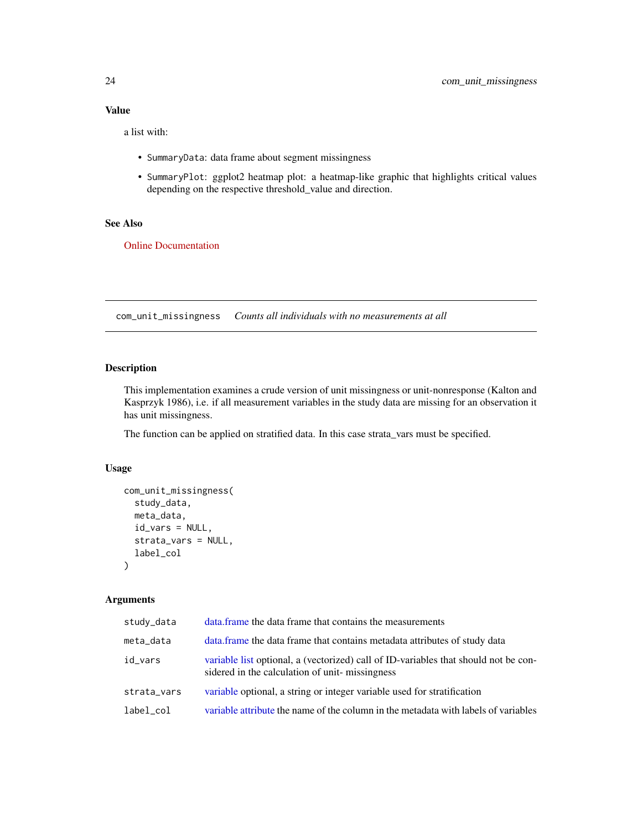### <span id="page-23-0"></span>Value

a list with:

- SummaryData: data frame about segment missingness
- SummaryPlot: ggplot2 heatmap plot: a heatmap-like graphic that highlights critical values depending on the respective threshold\_value and direction.

### See Also

[Online Documentation](https://dataquality.ship-med.uni-greifswald.de/VIN_com_impl_segment_missingness.html)

com\_unit\_missingness *Counts all individuals with no measurements at all*

#### Description

This implementation examines a crude version of unit missingness or unit-nonresponse (Kalton and Kasprzyk 1986), i.e. if all measurement variables in the study data are missing for an observation it has unit missingness.

The function can be applied on stratified data. In this case strata\_vars must be specified.

### Usage

```
com_unit_missingness(
  study_data,
 meta_data,
  id_vars = NULL,
  strata_vars = NULL,
  label_col
\mathcal{E}
```

| study_data  | data.frame the data frame that contains the measurements                                                                              |
|-------------|---------------------------------------------------------------------------------------------------------------------------------------|
| meta_data   | data. frame the data frame that contains metadata attributes of study data                                                            |
| id_vars     | variable list optional, a (vectorized) call of ID-variables that should not be con-<br>sidered in the calculation of unit-missingness |
| strata_vars | variable optional, a string or integer variable used for stratification                                                               |
| label_col   | variable attribute the name of the column in the metadata with labels of variables                                                    |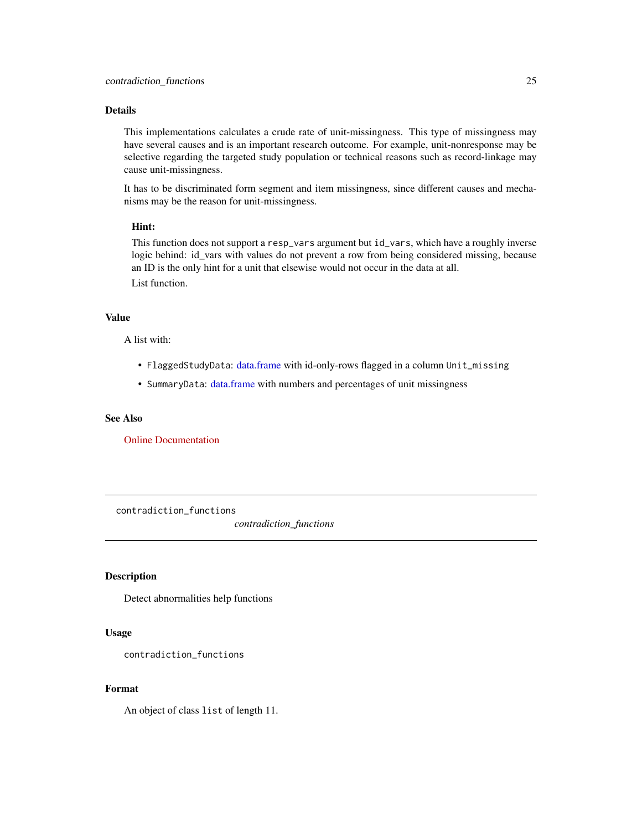### <span id="page-24-0"></span>Details

This implementations calculates a crude rate of unit-missingness. This type of missingness may have several causes and is an important research outcome. For example, unit-nonresponse may be selective regarding the targeted study population or technical reasons such as record-linkage may cause unit-missingness.

It has to be discriminated form segment and item missingness, since different causes and mechanisms may be the reason for unit-missingness.

#### Hint:

This function does not support a resp\_vars argument but id\_vars, which have a roughly inverse logic behind: id\_vars with values do not prevent a row from being considered missing, because an ID is the only hint for a unit that elsewise would not occur in the data at all. List function.

### Value

A list with:

- FlaggedStudyData: [data.frame](#page-0-0) with id-only-rows flagged in a column Unit\_missing
- SummaryData: [data.frame](#page-0-0) with numbers and percentages of unit missingness

#### See Also

[Online Documentation](https://dataquality.ship-med.uni-greifswald.de/VIN_com_impl_unit_missingness.html)

contradiction\_functions

*contradiction\_functions*

### Description

Detect abnormalities help functions

#### Usage

contradiction\_functions

### Format

An object of class list of length 11.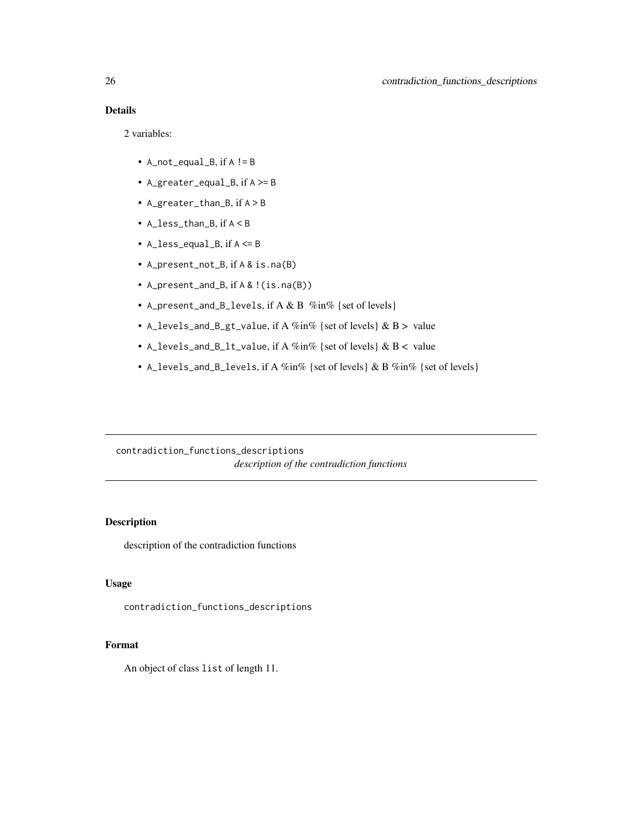## <span id="page-25-0"></span>Details

2 variables:

- A\_not\_equal\_B, if A != B
- A\_greater\_equal\_B, if A >= B
- A\_greater\_than\_B, if A > B
- A\_less\_than\_B, if A < B
- A $\angle$ less\_equal $\angle$ B, if A  $\leq$ = B
- A\_present\_not\_B, if A & is.na(B)
- A\_present\_and\_B, if A & !(is.na(B))
- A\_present\_and\_B\_levels, if A & B %in% {set of levels}
- A\_levels\_and\_B\_gt\_value, if A  $\%$ in $\%$  {set of levels} & B > value
- A\_levels\_and\_B\_lt\_value, if A %in% {set of levels} & B < value
- A\_levels\_and\_B\_levels, if A %in% {set of levels} & B %in% {set of levels}

contradiction\_functions\_descriptions *description of the contradiction functions*

### Description

description of the contradiction functions

### Usage

contradiction\_functions\_descriptions

#### Format

An object of class list of length 11.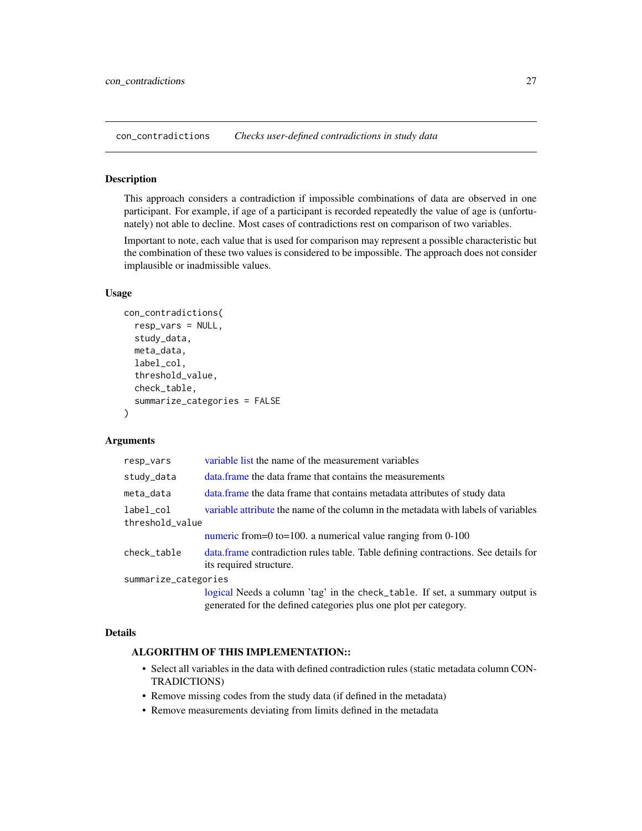<span id="page-26-0"></span>con\_contradictions *Checks user-defined contradictions in study data*

#### Description

This approach considers a contradiction if impossible combinations of data are observed in one participant. For example, if age of a participant is recorded repeatedly the value of age is (unfortunately) not able to decline. Most cases of contradictions rest on comparison of two variables.

Important to note, each value that is used for comparison may represent a possible characteristic but the combination of these two values is considered to be impossible. The approach does not consider implausible or inadmissible values.

### Usage

```
con_contradictions(
  resp_vars = NULL,
  study_data,
 meta_data,
  label_col,
  threshold_value,
  check_table,
  summarize_categories = FALSE
\lambda
```
### Arguments

| resp_vars                    | variable list the name of the measurement variables                                                                                              |
|------------------------------|--------------------------------------------------------------------------------------------------------------------------------------------------|
| study_data                   | data frame the data frame that contains the measurements                                                                                         |
| meta_data                    | data. frame the data frame that contains metadata attributes of study data                                                                       |
| label_col<br>threshold_value | variable attribute the name of the column in the metadata with labels of variables                                                               |
|                              | numeric from=0 to=100. a numerical value ranging from $0-100$                                                                                    |
| check_table                  | data.frame contradiction rules table. Table defining contractions. See details for<br>its required structure.                                    |
| summarize_categories         |                                                                                                                                                  |
|                              | logical Needs a column 'tag' in the check_table. If set, a summary output is<br>generated for the defined categories plus one plot per category. |

#### Details

## ALGORITHM OF THIS IMPLEMENTATION::

- Select all variables in the data with defined contradiction rules (static metadata column CON-TRADICTIONS)
- Remove missing codes from the study data (if defined in the metadata)
- Remove measurements deviating from limits defined in the metadata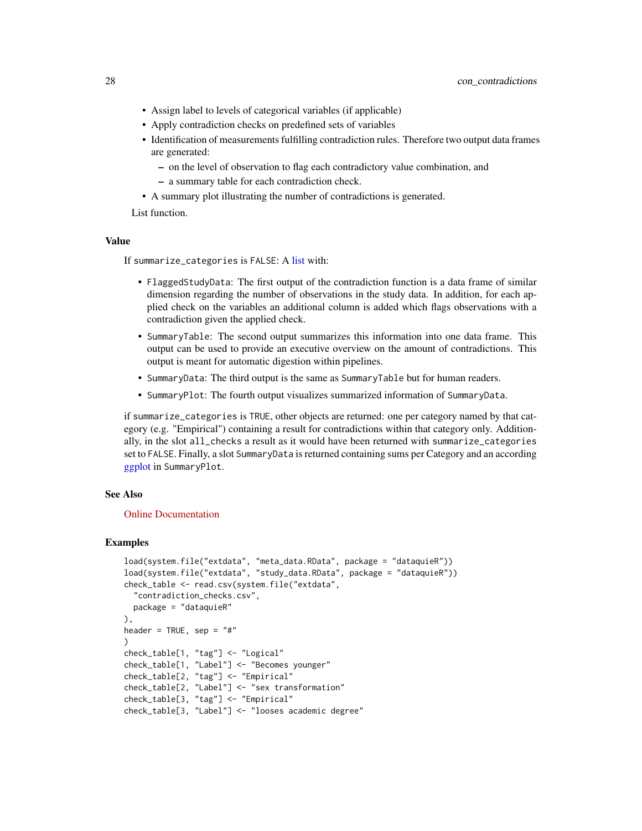- Assign label to levels of categorical variables (if applicable)
- Apply contradiction checks on predefined sets of variables
- Identification of measurements fulfilling contradiction rules. Therefore two output data frames are generated:
	- on the level of observation to flag each contradictory value combination, and
	- a summary table for each contradiction check.
- A summary plot illustrating the number of contradictions is generated.

List function.

### Value

If summarize\_categories is FALSE: A [list](#page-0-0) with:

- FlaggedStudyData: The first output of the contradiction function is a data frame of similar dimension regarding the number of observations in the study data. In addition, for each applied check on the variables an additional column is added which flags observations with a contradiction given the applied check.
- SummaryTable: The second output summarizes this information into one data frame. This output can be used to provide an executive overview on the amount of contradictions. This output is meant for automatic digestion within pipelines.
- SummaryData: The third output is the same as SummaryTable but for human readers.
- SummaryPlot: The fourth output visualizes summarized information of SummaryData.

if summarize\_categories is TRUE, other objects are returned: one per category named by that category (e.g. "Empirical") containing a result for contradictions within that category only. Additionally, in the slot all\_checks a result as it would have been returned with summarize\_categories set to FALSE. Finally, a slot SummaryData is returned containing sums per Category and an according [ggplot](#page-0-0) in SummaryPlot.

#### See Also

#### [Online Documentation](https://dataquality.ship-med.uni-greifswald.de/VIN_con_impl_contradictions.html)

#### Examples

```
load(system.file("extdata", "meta_data.RData", package = "dataquieR"))
load(system.file("extdata", "study_data.RData", package = "dataquieR"))
check_table <- read.csv(system.file("extdata",
  "contradiction_checks.csv",
 package = "dataquieR"
),
header = TRUE, sep = "#")
check_table[1, "tag"] <- "Logical"
check_table[1, "Label"] <- "Becomes younger"
check_table[2, "tag"] <- "Empirical"
check_table[2, "Label"] <- "sex transformation"
check_table[3, "tag"] <- "Empirical"
check_table[3, "Label"] <- "looses academic degree"
```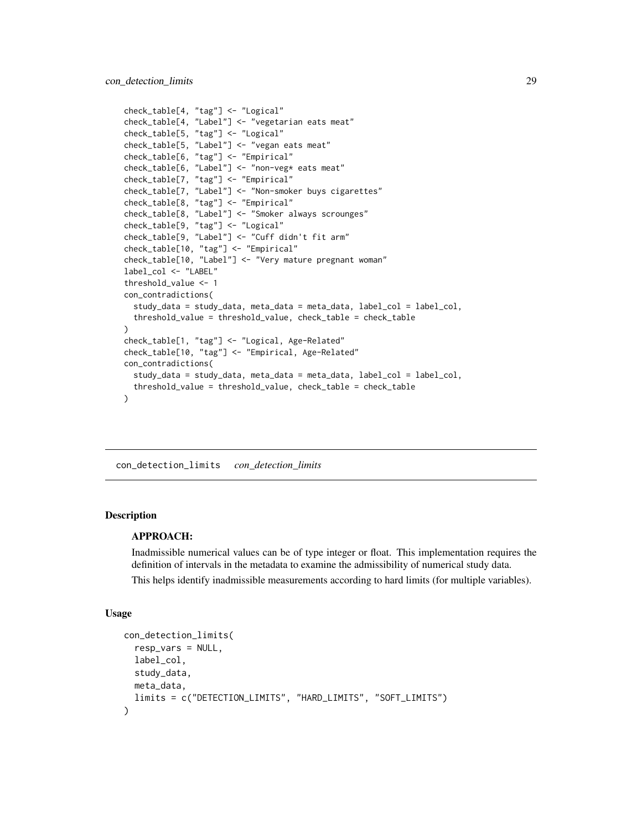```
check_table[4, "tag"] <- "Logical"
check_table[4, "Label"] <- "vegetarian eats meat"
check_table[5, "tag"] <- "Logical"
check_table[5, "Label"] <- "vegan eats meat"
check_table[6, "tag"] <- "Empirical"
check_table[6, "Label"] <- "non-veg* eats meat"
check_table[7, "tag"] <- "Empirical"
check_table[7, "Label"] <- "Non-smoker buys cigarettes"
check_table[8, "tag"] <- "Empirical"
check_table[8, "Label"] <- "Smoker always scrounges"
check_table[9, "tag"] <- "Logical"
check_table[9, "Label"] <- "Cuff didn't fit arm"
check_table[10, "tag"] <- "Empirical"
check_table[10, "Label"] <- "Very mature pregnant woman"
label_col <- "LABEL"
threshold_value <- 1
con_contradictions(
  study_data = study_data, meta_data = meta_data, label_col = label_col,
  threshold_value = threshold_value, check_table = check_table
)
check_table[1, "tag"] <- "Logical, Age-Related"
check_table[10, "tag"] <- "Empirical, Age-Related"
con_contradictions(
  study_data = study_data, meta_data = meta_data, label_col = label_col,
  threshold_value = threshold_value, check_table = check_table
)
```
<span id="page-28-1"></span>con\_detection\_limits *con\_detection\_limits*

#### **Description**

### APPROACH:

Inadmissible numerical values can be of type integer or float. This implementation requires the definition of intervals in the metadata to examine the admissibility of numerical study data.

This helps identify inadmissible measurements according to hard limits (for multiple variables).

#### Usage

```
con_detection_limits(
  resp_vars = NULL,
 label_col,
  study_data,
 meta_data,
  limits = c("DETECTION_LIMITS", "HARD_LIMITS", "SOFT_LIMITS")
)
```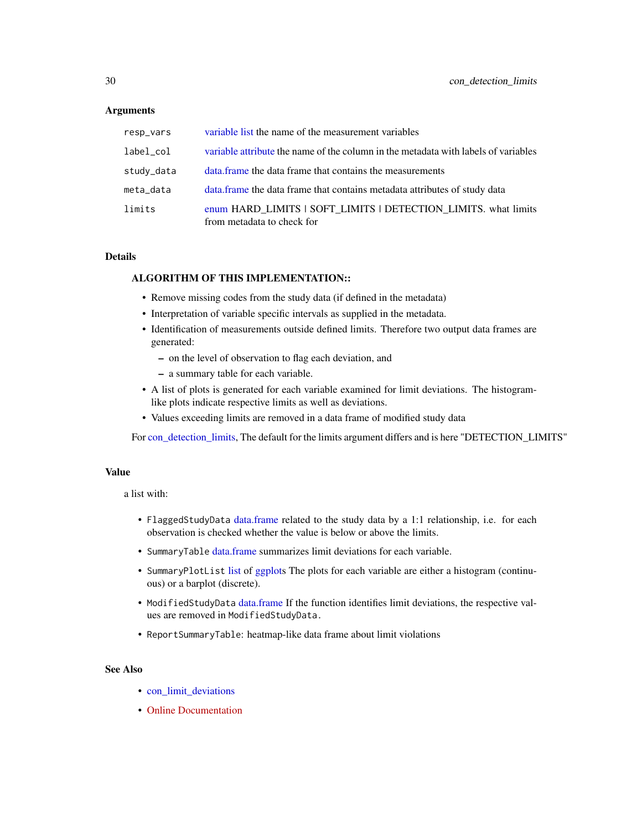### **Arguments**

| resp_vars  | variable list the name of the measurement variables                                          |
|------------|----------------------------------------------------------------------------------------------|
| label_col  | variable attribute the name of the column in the metadata with labels of variables           |
| study_data | data frame the data frame that contains the measurements                                     |
| meta_data  | data. frame the data frame that contains metadata attributes of study data                   |
| limits     | enum HARD_LIMITS   SOFT_LIMITS   DETECTION_LIMITS. what limits<br>from metadata to check for |

### Details

### ALGORITHM OF THIS IMPLEMENTATION::

- Remove missing codes from the study data (if defined in the metadata)
- Interpretation of variable specific intervals as supplied in the metadata.
- Identification of measurements outside defined limits. Therefore two output data frames are generated:
	- on the level of observation to flag each deviation, and
	- a summary table for each variable.
- A list of plots is generated for each variable examined for limit deviations. The histogramlike plots indicate respective limits as well as deviations.
- Values exceeding limits are removed in a data frame of modified study data

For [con\\_detection\\_limits,](#page-28-1) The default for the limits argument differs and is here "DETECTION\_LIMITS"

### Value

a list with:

- FlaggedStudyData [data.frame](#page-0-0) related to the study data by a 1:1 relationship, i.e. for each observation is checked whether the value is below or above the limits.
- SummaryTable [data.frame](#page-0-0) summarizes limit deviations for each variable.
- SummaryPlotList [list](#page-0-0) of [ggplots](#page-0-0) The plots for each variable are either a histogram (continuous) or a barplot (discrete).
- ModifiedStudyData [data.frame](#page-0-0) If the function identifies limit deviations, the respective values are removed in ModifiedStudyData.
- ReportSummaryTable: heatmap-like data frame about limit violations

### See Also

- [con\\_limit\\_deviations](#page-32-1)
- [Online Documentation](https://dataquality.ship-med.uni-greifswald.de/VIN_con_impl_limit_deviations.html)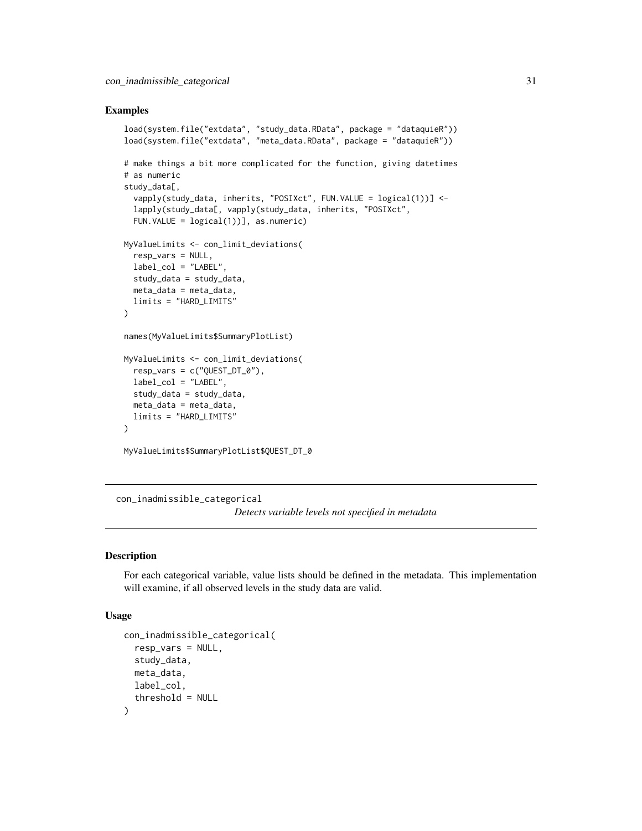#### <span id="page-30-0"></span>Examples

```
load(system.file("extdata", "study_data.RData", package = "dataquieR"))
load(system.file("extdata", "meta_data.RData", package = "dataquieR"))
# make things a bit more complicated for the function, giving datetimes
# as numeric
study_data[,
  vapply(study_data, inherits, "POSIXct", FUN.VALUE = logical(1))] <-
  lapply(study_data[, vapply(study_data, inherits, "POSIXct",
  FUN.VALUE = logical(1))], as.numeric)
MyValueLimits <- con_limit_deviations(
  resp_vars = NULL,
  label_col = "LABEL",
  study_data = study_data,
  meta_data = meta_data,
  limits = "HARD_LIMITS"
)
names(MyValueLimits$SummaryPlotList)
MyValueLimits <- con_limit_deviations(
  resp\_vars = c("QUEST_DT_0",label_col = "LABEL",
  study_data = study_data,
  meta_data = meta_data,
  limits = "HARD_LIMITS"
)
MyValueLimits$SummaryPlotList$QUEST_DT_0
```
con\_inadmissible\_categorical

*Detects variable levels not specified in metadata*

#### Description

For each categorical variable, value lists should be defined in the metadata. This implementation will examine, if all observed levels in the study data are valid.

#### Usage

```
con_inadmissible_categorical(
  resp_vars = NULL,
  study_data,
  meta_data,
  label_col,
  threshold = NULL
)
```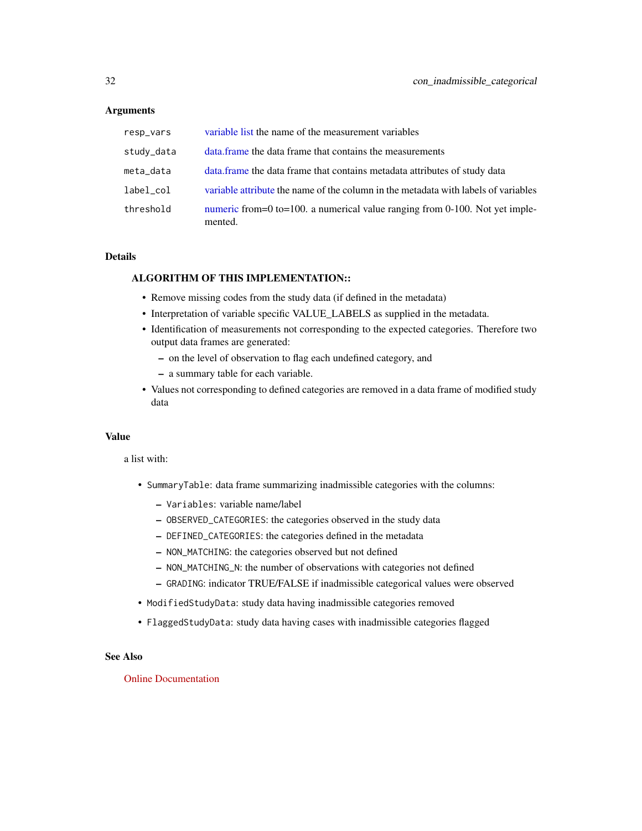#### **Arguments**

| resp_vars  | variable list the name of the measurement variables                                    |
|------------|----------------------------------------------------------------------------------------|
| study_data | data, frame the data frame that contains the measurements                              |
| meta_data  | data. frame the data frame that contains metadata attributes of study data             |
| label_col  | variable attribute the name of the column in the metadata with labels of variables     |
| threshold  | numeric from=0 to=100. a numerical value ranging from 0-100. Not yet imple-<br>mented. |

### Details

### ALGORITHM OF THIS IMPLEMENTATION::

- Remove missing codes from the study data (if defined in the metadata)
- Interpretation of variable specific VALUE\_LABELS as supplied in the metadata.
- Identification of measurements not corresponding to the expected categories. Therefore two output data frames are generated:
	- on the level of observation to flag each undefined category, and
	- a summary table for each variable.
- Values not corresponding to defined categories are removed in a data frame of modified study data

### Value

a list with:

- SummaryTable: data frame summarizing inadmissible categories with the columns:
	- Variables: variable name/label
	- OBSERVED\_CATEGORIES: the categories observed in the study data
	- DEFINED\_CATEGORIES: the categories defined in the metadata
	- NON\_MATCHING: the categories observed but not defined
	- NON\_MATCHING\_N: the number of observations with categories not defined
	- GRADING: indicator TRUE/FALSE if inadmissible categorical values were observed
- ModifiedStudyData: study data having inadmissible categories removed
- FlaggedStudyData: study data having cases with inadmissible categories flagged

### See Also

#### [Online Documentation](https://dataquality.ship-med.uni-greifswald.de/VIN_con_impl_inadmissible_categorical.html)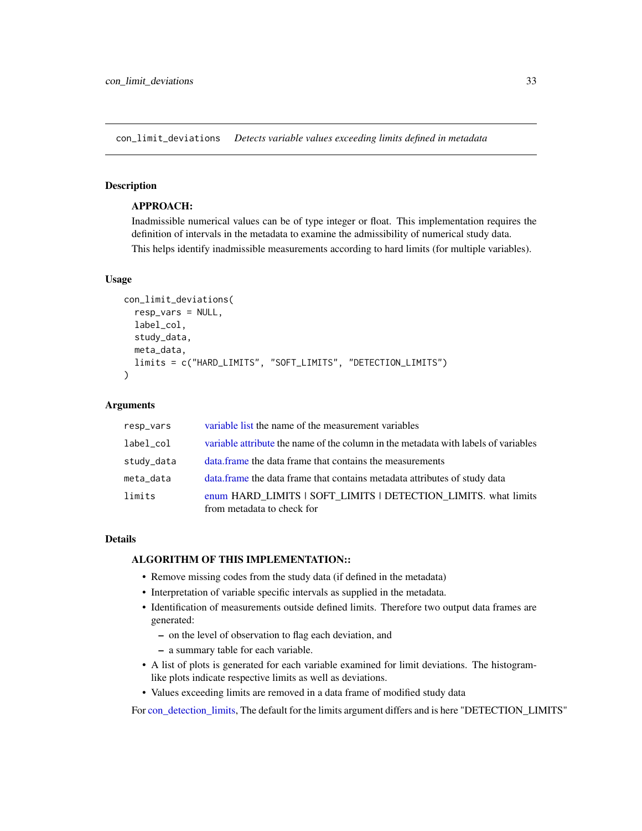<span id="page-32-1"></span><span id="page-32-0"></span>con\_limit\_deviations *Detects variable values exceeding limits defined in metadata*

#### **Description**

### APPROACH:

Inadmissible numerical values can be of type integer or float. This implementation requires the definition of intervals in the metadata to examine the admissibility of numerical study data. This helps identify inadmissible measurements according to hard limits (for multiple variables).

#### Usage

```
con_limit_deviations(
  resp_vars = NULL,
  label_col,
  study_data,
  meta_data,
  limits = c("HARD_LIMITS", "SOFT_LIMITS", "DETECTION_LIMITS")
)
```
#### **Arguments**

| resp_vars  | variable list the name of the measurement variables                                          |
|------------|----------------------------------------------------------------------------------------------|
| label_col  | variable attribute the name of the column in the metadata with labels of variables           |
| study_data | data frame the data frame that contains the measurements                                     |
| meta_data  | data. frame the data frame that contains metadata attributes of study data                   |
| limits     | enum HARD_LIMITS   SOFT_LIMITS   DETECTION_LIMITS. what limits<br>from metadata to check for |

### Details

### ALGORITHM OF THIS IMPLEMENTATION::

- Remove missing codes from the study data (if defined in the metadata)
- Interpretation of variable specific intervals as supplied in the metadata.
- Identification of measurements outside defined limits. Therefore two output data frames are generated:
	- on the level of observation to flag each deviation, and
	- a summary table for each variable.
- A list of plots is generated for each variable examined for limit deviations. The histogramlike plots indicate respective limits as well as deviations.
- Values exceeding limits are removed in a data frame of modified study data

For [con\\_detection\\_limits,](#page-28-1) The default for the limits argument differs and is here "DETECTION\_LIMITS"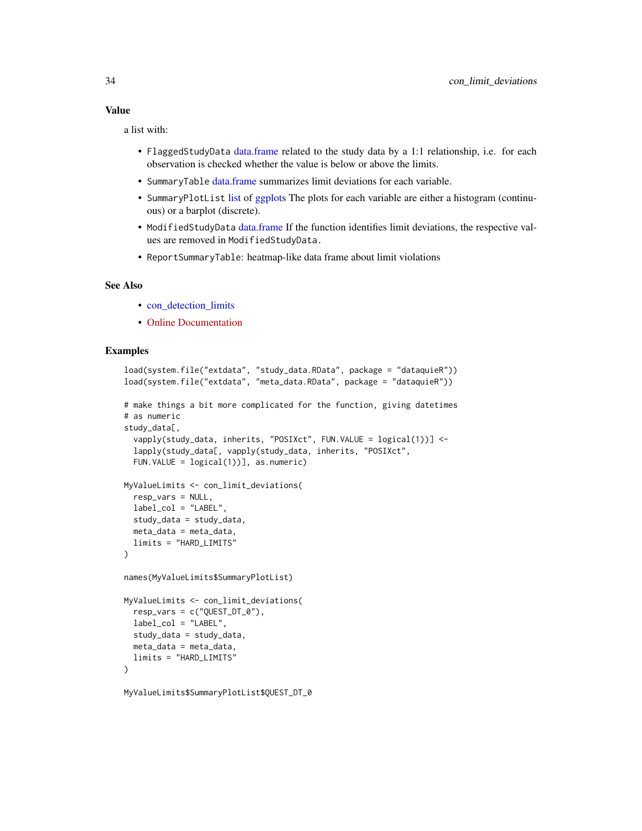### Value

a list with:

- FlaggedStudyData [data.frame](#page-0-0) related to the study data by a 1:1 relationship, i.e. for each observation is checked whether the value is below or above the limits.
- SummaryTable [data.frame](#page-0-0) summarizes limit deviations for each variable.
- SummaryPlotList [list](#page-0-0) of [ggplots](#page-0-0) The plots for each variable are either a histogram (continuous) or a barplot (discrete).
- ModifiedStudyData [data.frame](#page-0-0) If the function identifies limit deviations, the respective values are removed in ModifiedStudyData.
- ReportSummaryTable: heatmap-like data frame about limit violations

#### See Also

- [con\\_detection\\_limits](#page-28-1)
- [Online Documentation](https://dataquality.ship-med.uni-greifswald.de/VIN_con_impl_limit_deviations.html)

### Examples

```
load(system.file("extdata", "study_data.RData", package = "dataquieR"))
load(system.file("extdata", "meta_data.RData", package = "dataquieR"))
# make things a bit more complicated for the function, giving datetimes
# as numeric
study_data[,
 vapply(study_data, inherits, "POSIXct", FUN.VALUE = logical(1))] <-
 lapply(study_data[, vapply(study_data, inherits, "POSIXct",
 FUN.VALUE = logical(1))], as.numeric)
MyValueLimits <- con_limit_deviations(
 resp_vars = NULL,
 label_col = "LABEL",
 study_data = study_data,
 meta_data = meta_data,
 limits = "HARD_LIMITS"
)
names(MyValueLimits$SummaryPlotList)
MyValueLimits <- con_limit_deviations(
 resp\_vars = c("QUEST_DT_0",label_col = "LABEL",
 study_data = study_data,
 meta_data = meta_data,
 limits = "HARD_LIMITS"
\lambdaMyValueLimits$SummaryPlotList$QUEST_DT_0
```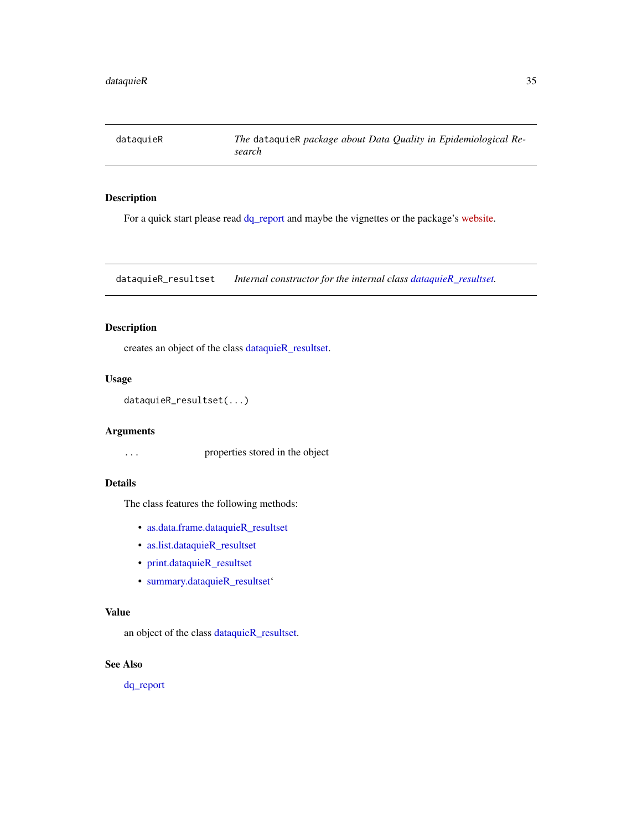<span id="page-34-1"></span><span id="page-34-0"></span>dataquieR *The* dataquieR *package about Data Quality in Epidemiological Research*

### Description

For a quick start please read  $dq$  report and maybe the vignettes or the package's [website.](https://dataquality.ship-med.uni-greifswald.de/)

<span id="page-34-2"></span>dataquieR\_resultset *Internal constructor for the internal class [dataquieR\\_resultset.](#page-34-2)*

### Description

creates an object of the class [dataquieR\\_resultset.](#page-34-2)

#### Usage

```
dataquieR_resultset(...)
```
### Arguments

... properties stored in the object

### Details

The class features the following methods:

- [as.data.frame.dataquieR\\_resultset](#page-19-1)
- [as.list.dataquieR\\_resultset](#page-19-2)
- [print.dataquieR\\_resultset](#page-59-1)
- [summary.dataquieR\\_resultset'](#page-64-1)

### Value

an object of the class [dataquieR\\_resultset.](#page-34-2)

### See Also

[dq\\_report](#page-37-1)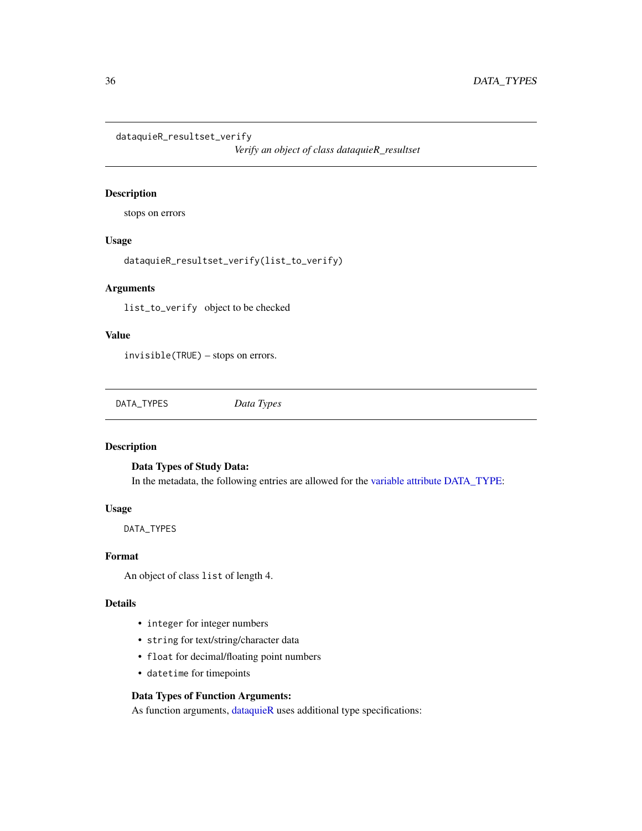<span id="page-35-0"></span>dataquieR\_resultset\_verify

*Verify an object of class dataquieR\_resultset*

#### Description

stops on errors

### Usage

dataquieR\_resultset\_verify(list\_to\_verify)

### Arguments

list\_to\_verify object to be checked

### Value

invisible(TRUE) – stops on errors.

DATA\_TYPES *Data Types*

### <span id="page-35-1"></span>Description

### Data Types of Study Data:

In the metadata, the following entries are allowed for the [variable attribute](#page-103-1) [DATA\\_TYPE:](#page-103-1)

#### Usage

DATA\_TYPES

#### Format

An object of class list of length 4.

#### Details

- integer for integer numbers
- string for text/string/character data
- float for decimal/floating point numbers
- datetime for timepoints

### Data Types of Function Arguments:

As function arguments, [dataquieR](#page-34-1) uses additional type specifications: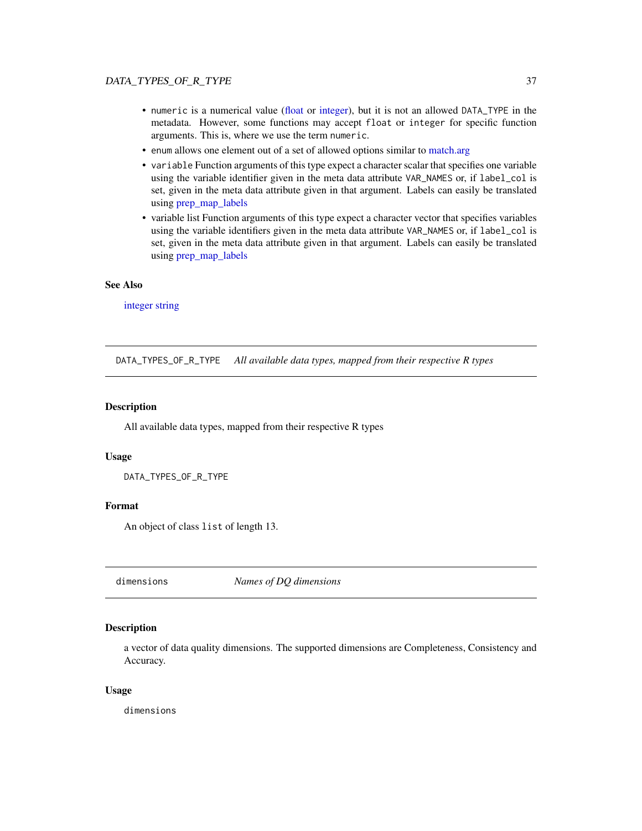- numeric is a numerical value [\(float](#page-35-0) or [integer\)](#page-35-0), but it is not an allowed DATA\_TYPE in the metadata. However, some functions may accept float or integer for specific function arguments. This is, where we use the term numeric.
- enum allows one element out of a set of allowed options similar to [match.arg](#page-0-0)
- variable Function arguments of this type expect a character scalar that specifies one variable using the variable identifier given in the meta data attribute VAR\_NAMES or, if label\_col is set, given in the meta data attribute given in that argument. Labels can easily be translated using [prep\\_map\\_labels](#page-52-0)
- variable list Function arguments of this type expect a character vector that specifies variables using the variable identifiers given in the meta data attribute VAR\_NAMES or, if label\_col is set, given in the meta data attribute given in that argument. Labels can easily be translated using [prep\\_map\\_labels](#page-52-0)

### See Also

[integer](#page-35-0) [string](#page-35-0)

DATA\_TYPES\_OF\_R\_TYPE *All available data types, mapped from their respective R types*

#### Description

All available data types, mapped from their respective R types

#### Usage

DATA\_TYPES\_OF\_R\_TYPE

#### Format

An object of class list of length 13.

<span id="page-36-0"></span>dimensions *Names of DQ dimensions*

#### Description

a vector of data quality dimensions. The supported dimensions are Completeness, Consistency and Accuracy.

#### Usage

dimensions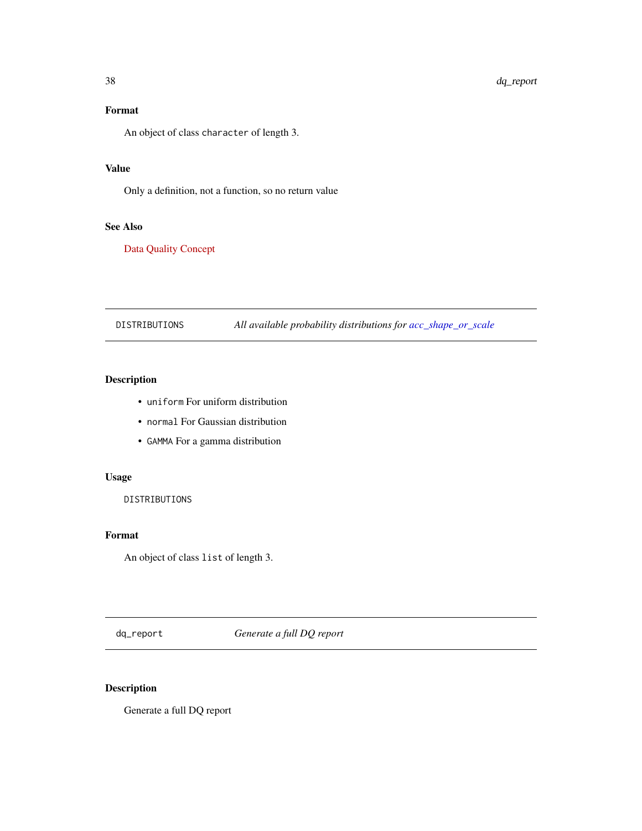# Format

An object of class character of length 3.

# Value

Only a definition, not a function, so no return value

# See Also

[Data Quality Concept](https://dataquality.ship-med.uni-greifswald.de/DQconceptNew.html)

DISTRIBUTIONS *All available probability distributions for [acc\\_shape\\_or\\_scale](#page-13-0)*

## Description

- uniform For uniform distribution
- normal For Gaussian distribution
- GAMMA For a gamma distribution

## Usage

DISTRIBUTIONS

### Format

An object of class list of length 3.

<span id="page-37-0"></span>dq\_report *Generate a full DQ report*

# Description

Generate a full DQ report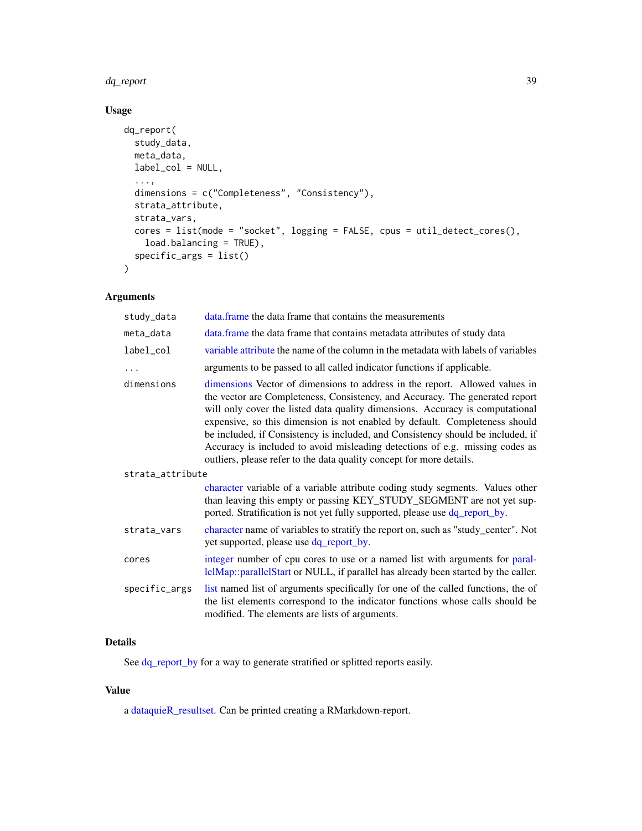#### dq\_report 39

# Usage

```
dq_report(
 study_data,
 meta_data,
 label_col = NULL,
  ...,
 dimensions = c("Completeness", "Consistency"),
 strata_attribute,
 strata_vars,
 cores = list(mode = "socket", logging = FALSE, cpus = util_detect_cores(),
   load.balancing = TRUE),
 specific_args = list()
\mathcal{L}
```
# Arguments

| study_data       | data. frame the data frame that contains the measurements                                                                                                                                                                                                                                                                                                                                                                                                                                                                                                              |
|------------------|------------------------------------------------------------------------------------------------------------------------------------------------------------------------------------------------------------------------------------------------------------------------------------------------------------------------------------------------------------------------------------------------------------------------------------------------------------------------------------------------------------------------------------------------------------------------|
| meta_data        | data.frame the data frame that contains metadata attributes of study data                                                                                                                                                                                                                                                                                                                                                                                                                                                                                              |
| label_col        | variable attribute the name of the column in the metadata with labels of variables                                                                                                                                                                                                                                                                                                                                                                                                                                                                                     |
| $\cdots$         | arguments to be passed to all called indicator functions if applicable.                                                                                                                                                                                                                                                                                                                                                                                                                                                                                                |
| dimensions       | dimensions Vector of dimensions to address in the report. Allowed values in<br>the vector are Completeness, Consistency, and Accuracy. The generated report<br>will only cover the listed data quality dimensions. Accuracy is computational<br>expensive, so this dimension is not enabled by default. Completeness should<br>be included, if Consistency is included, and Consistency should be included, if<br>Accuracy is included to avoid misleading detections of e.g. missing codes as<br>outliers, please refer to the data quality concept for more details. |
| strata_attribute |                                                                                                                                                                                                                                                                                                                                                                                                                                                                                                                                                                        |
|                  | character variable of a variable attribute coding study segments. Values other<br>than leaving this empty or passing KEY_STUDY_SEGMENT are not yet sup-<br>ported. Stratification is not yet fully supported, please use dq_report_by.                                                                                                                                                                                                                                                                                                                                 |
| strata_vars      | character name of variables to stratify the report on, such as "study_center". Not<br>yet supported, please use dq_report_by.                                                                                                                                                                                                                                                                                                                                                                                                                                          |
| cores            | integer number of cpu cores to use or a named list with arguments for paral-<br>lelMap::parallelStart or NULL, if parallel has already been started by the caller.                                                                                                                                                                                                                                                                                                                                                                                                     |
| specific_args    | list named list of arguments specifically for one of the called functions, the of<br>the list elements correspond to the indicator functions whose calls should be<br>modified. The elements are lists of arguments.                                                                                                                                                                                                                                                                                                                                                   |

### Details

See [dq\\_report\\_by](#page-40-0) for a way to generate stratified or splitted reports easily.

## Value

a [dataquieR\\_resultset.](#page-34-0) Can be printed creating a RMarkdown-report.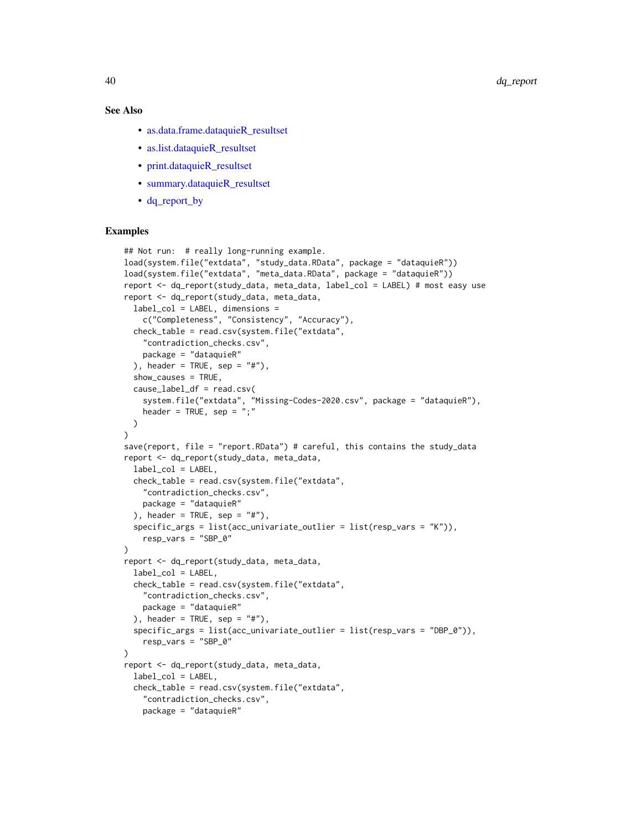### See Also

- [as.data.frame.dataquieR\\_resultset](#page-19-0)
- [as.list.dataquieR\\_resultset](#page-19-1)
- [print.dataquieR\\_resultset](#page-59-0)
- [summary.dataquieR\\_resultset](#page-64-0)
- [dq\\_report\\_by](#page-40-0)

```
## Not run: # really long-running example.
load(system.file("extdata", "study_data.RData", package = "dataquieR"))
load(system.file("extdata", "meta_data.RData", package = "dataquieR"))
report <- dq_report(study_data, meta_data, label_col = LABEL) # most easy use
report <- dq_report(study_data, meta_data,
 label_col = LABEL, dimensions =
   c("Completeness", "Consistency", "Accuracy"),
 check_table = read.csv(system.file("extdata",
    "contradiction_checks.csv",
   package = "dataquieR"
 ), header = TRUE, sep = "#"),
 show_causes = TRUE,
 cause_label_df = read.csv(
   system.file("extdata", "Missing-Codes-2020.csv", package = "dataquieR"),
   header = TRUE, sep = ";"
 )
\lambdasave(report, file = "report.RData") # careful, this contains the study_data
report <- dq_report(study_data, meta_data,
 label_col = LABEL,
 check_table = read.csv(system.file("extdata",
    "contradiction_checks.csv",
   package = "dataquieR"
 ), header = TRUE, sep = "#"),
 specific_args = list(acc_univariate_outlier = list(resp_vars = "K")),
   resp_vars = "SBP_0"
)
report <- dq_report(study_data, meta_data,
 label_col = LABEL,
 check_table = read.csv(system.file("extdata",
    "contradiction_checks.csv",
   package = "dataquieR"
 ), header = TRUE, sep = "#"),
 specific_args = list(acc_univariate_outlier = list(resp_vars = "DBP_0")),
   resp_vars = "SBP_0"
)
report <- dq_report(study_data, meta_data,
 label_col = LABEL,
 check_table = read.csv(system.file("extdata",
    "contradiction_checks.csv",
   package = "dataquieR"
```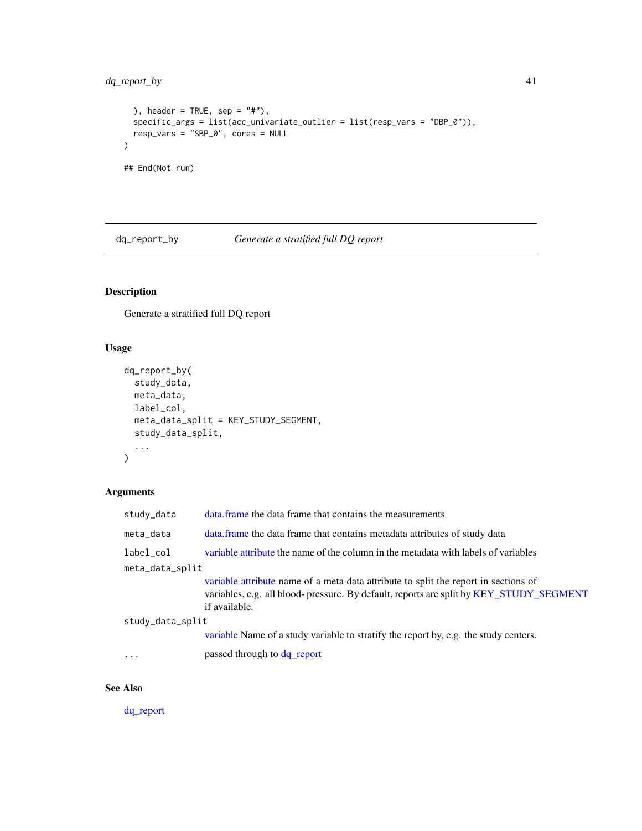## dq\_report\_by 41

```
), header = TRUE, sep = "#"),
  specific_args = list(acc_univariate_outlier = list(resp_vars = "DBP_0")),
  resp_vars = "SBP_0", cores = NULL
\overline{)}## End(Not run)
```
<span id="page-40-0"></span>dq\_report\_by *Generate a stratified full DQ report*

# Description

Generate a stratified full DQ report

## Usage

```
dq_report_by(
  study_data,
  meta_data,
  label_col,
  meta_data_split = KEY_STUDY_SEGMENT,
  study_data_split,
  ...
\mathcal{L}
```
### Arguments

| study_data       | data frame the data frame that contains the measurements                                                                                                                                        |  |
|------------------|-------------------------------------------------------------------------------------------------------------------------------------------------------------------------------------------------|--|
| meta_data        | data. frame the data frame that contains metadata attributes of study data                                                                                                                      |  |
| label_col        | variable attribute the name of the column in the metadata with labels of variables                                                                                                              |  |
| meta_data_split  |                                                                                                                                                                                                 |  |
|                  | variable attribute name of a meta data attribute to split the report in sections of<br>variables, e.g. all blood- pressure. By default, reports are split by KEY_STUDY_SEGMENT<br>if available. |  |
| study_data_split |                                                                                                                                                                                                 |  |
|                  | variable Name of a study variable to stratify the report by, e.g. the study centers.                                                                                                            |  |
| $\ddots$ .       | passed through to dq_report                                                                                                                                                                     |  |

# See Also

[dq\\_report](#page-37-0)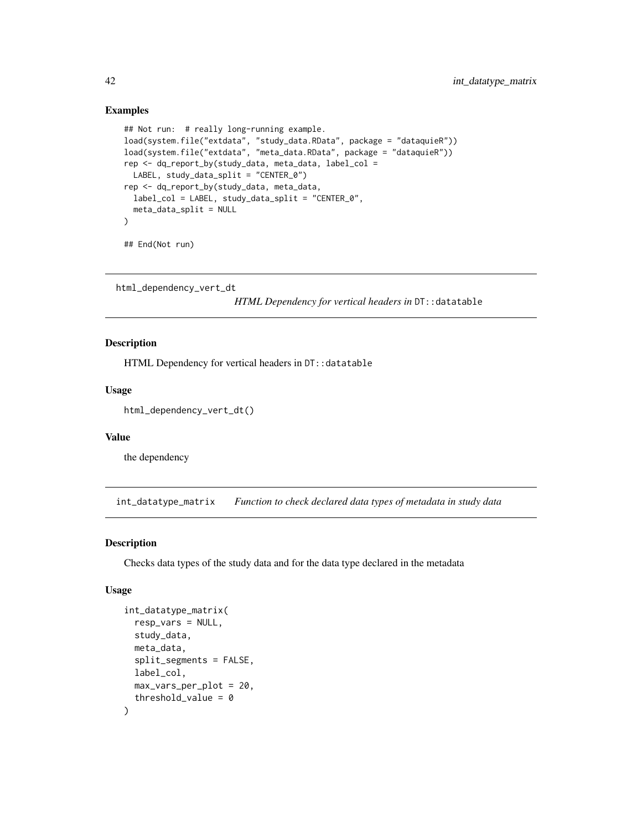### Examples

```
## Not run: # really long-running example.
load(system.file("extdata", "study_data.RData", package = "dataquieR"))
load(system.file("extdata", "meta_data.RData", package = "dataquieR"))
rep <- dq_report_by(study_data, meta_data, label_col =
  LABEL, study_data_split = "CENTER_0")
rep <- dq_report_by(study_data, meta_data,
  label_col = LABEL, study_data_split = "CENTER_0",
  meta_data_split = NULL
)
## End(Not run)
```

```
html_dependency_vert_dt
```
*HTML Dependency for vertical headers in*  $DT$ : :datatable

### Description

HTML Dependency for vertical headers in DT:: datatable

#### Usage

```
html_dependency_vert_dt()
```
### Value

the dependency

int\_datatype\_matrix *Function to check declared data types of metadata in study data*

### Description

Checks data types of the study data and for the data type declared in the metadata

### Usage

```
int_datatype_matrix(
  resp_vars = NULL,
  study_data,
 meta_data,
  split_segments = FALSE,
  label_col,
 max_vars_per_plot = 20,
  threshold_value = 0)
```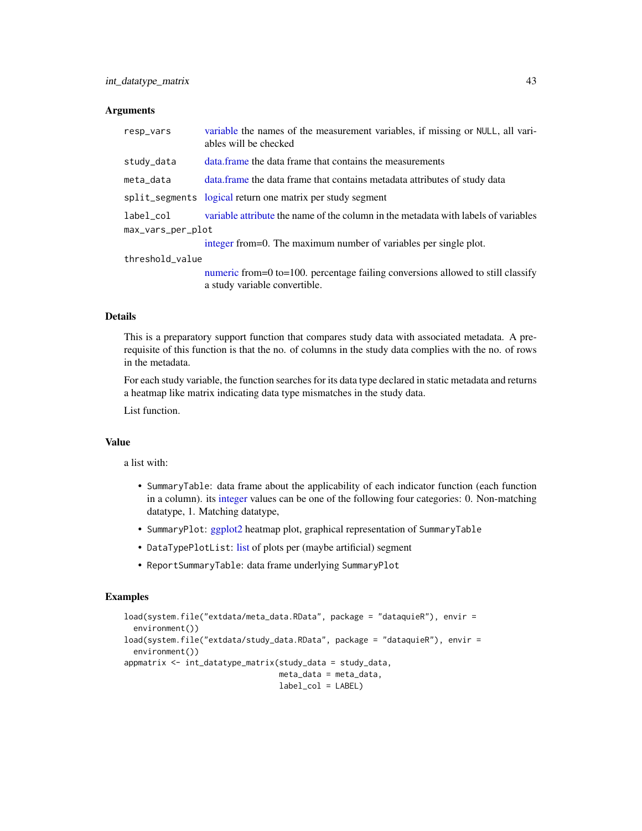#### **Arguments**

| resp_vars         | variable the names of the measurement variables, if missing or NULL, all vari-<br>ables will be checked          |
|-------------------|------------------------------------------------------------------------------------------------------------------|
| study_data        | data frame the data frame that contains the measurements                                                         |
| meta_data         | data.frame the data frame that contains metadata attributes of study data                                        |
|                   | split_segments logical return one matrix per study segment                                                       |
| label col         | variable attribute the name of the column in the metadata with labels of variables                               |
| max_vars_per_plot |                                                                                                                  |
|                   | integer from=0. The maximum number of variables per single plot.                                                 |
| threshold_value   |                                                                                                                  |
|                   | numeric from=0 to=100. percentage failing conversions allowed to still classify<br>a study variable convertible. |

#### Details

This is a preparatory support function that compares study data with associated metadata. A prerequisite of this function is that the no. of columns in the study data complies with the no. of rows in the metadata.

For each study variable, the function searches for its data type declared in static metadata and returns a heatmap like matrix indicating data type mismatches in the study data.

List function.

#### Value

a list with:

- SummaryTable: data frame about the applicability of each indicator function (each function in a column). its [integer](#page-35-0) values can be one of the following four categories: 0. Non-matching datatype, 1. Matching datatype,
- SummaryPlot: [ggplot2](#page-0-0) heatmap plot, graphical representation of SummaryTable
- DataTypePlotList: [list](#page-0-0) of plots per (maybe artificial) segment
- ReportSummaryTable: data frame underlying SummaryPlot

```
load(system.file("extdata/meta_data.RData", package = "dataquieR"), envir =
 environment())
load(system.file("extdata/study_data.RData", package = "dataquieR"), envir =
 environment())
appmatrix <- int_datatype_matrix(study_data = study_data,
                                 meta_data = meta_data,
                                 label_col = LABEL)
```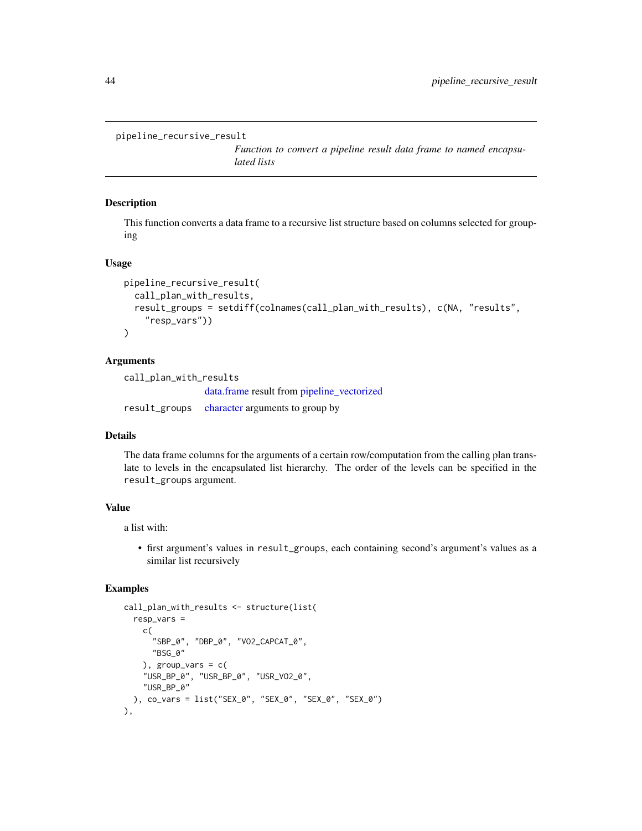```
pipeline_recursive_result
```
*Function to convert a pipeline result data frame to named encapsulated lists*

#### Description

This function converts a data frame to a recursive list structure based on columns selected for grouping

### Usage

```
pipeline_recursive_result(
  call_plan_with_results,
  result_groups = setdiff(colnames(call_plan_with_results), c(NA, "results",
    "resp_vars"))
)
```
### Arguments

call\_plan\_with\_results [data.frame](#page-0-0) result from [pipeline\\_vectorized](#page-44-0) result\_groups [character](#page-0-0) arguments to group by

### Details

The data frame columns for the arguments of a certain row/computation from the calling plan translate to levels in the encapsulated list hierarchy. The order of the levels can be specified in the result\_groups argument.

## Value

a list with:

• first argument's values in result\_groups, each containing second's argument's values as a similar list recursively

```
call_plan_with_results <- structure(list(
 resp_vars =
   c(
      "SBP_0", "DBP_0", "VO2_CAPCAT_0",
      "BSG_0"
    ), group\_vars = c()"USR_BP_0", "USR_BP_0", "USR_VO2_0",
    "USR_BP_0"
 ), co_vars = list("SEX_0", "SEX_0", "SEX_0", "SEX_0")
),
```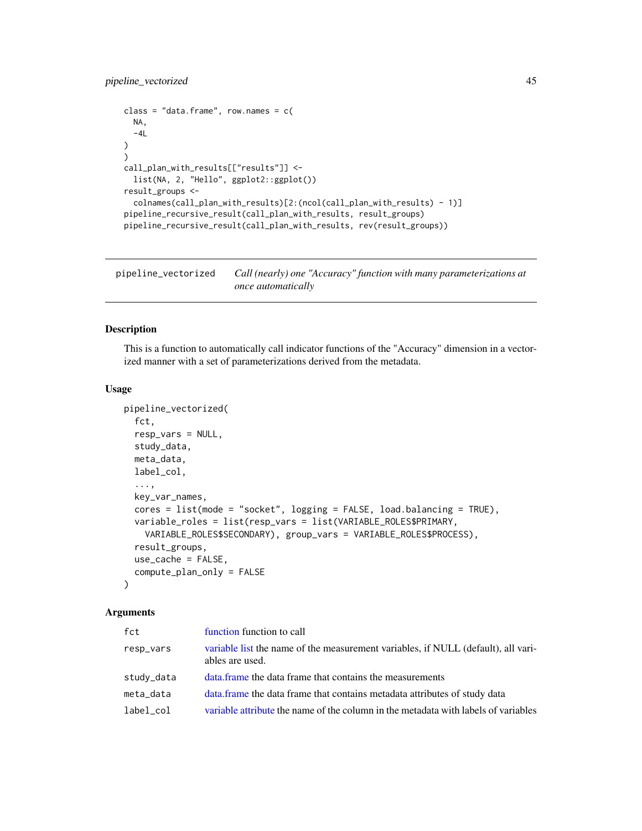```
class = "data.frame", row.names = c(NA,
  -4L\mathcal{L})
call_plan_with_results[["results"]] <-
  list(NA, 2, "Hello", ggplot2::ggplot())
result_groups <-
  colnames(call_plan_with_results)[2:(ncol(call_plan_with_results) - 1)]
pipeline_recursive_result(call_plan_with_results, result_groups)
pipeline_recursive_result(call_plan_with_results, rev(result_groups))
```
<span id="page-44-0"></span>pipeline\_vectorized *Call (nearly) one "Accuracy" function with many parameterizations at once automatically*

### Description

This is a function to automatically call indicator functions of the "Accuracy" dimension in a vectorized manner with a set of parameterizations derived from the metadata.

#### Usage

```
pipeline_vectorized(
  fct,
  resp_vars = NULL,
  study_data,
 meta_data,
 label_col,
  ...,
 key_var_names,
  cores = list(mode = "socket", logging = FALSE, load.balancing = TRUE),
  variable_roles = list(resp_vars = list(VARIABLE_ROLES$PRIMARY,
   VARIABLE_ROLES$SECONDARY), group_vars = VARIABLE_ROLES$PROCESS),
  result_groups,
  use_cache = FALSE,
  compute_plan_only = FALSE
\lambda
```

| fct        | function function to call                                                                            |
|------------|------------------------------------------------------------------------------------------------------|
| resp_vars  | variable list the name of the measurement variables, if NULL (default), all vari-<br>ables are used. |
| study_data | data frame the data frame that contains the measurements                                             |
| meta_data  | data. frame the data frame that contains metadata attributes of study data                           |
| label_col  | variable attribute the name of the column in the metadata with labels of variables                   |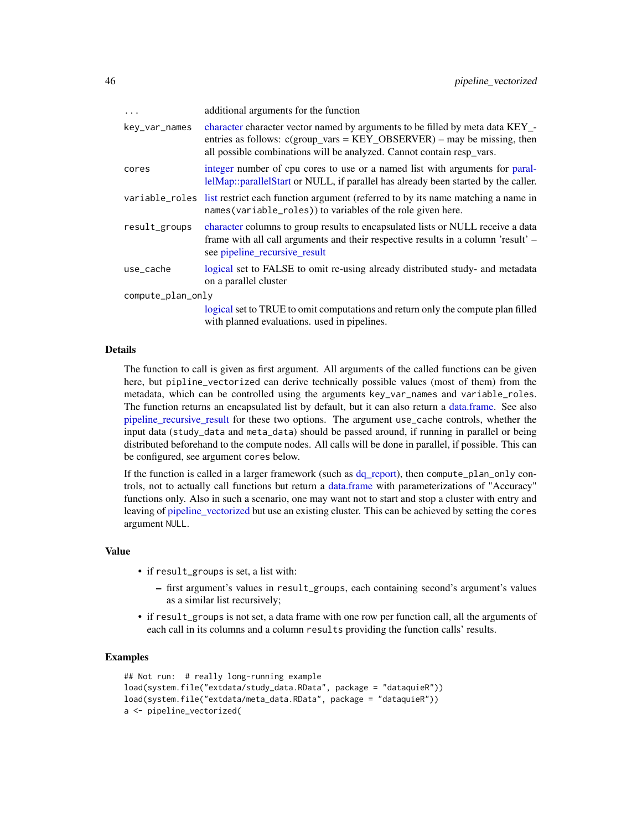| $\ddots$          | additional arguments for the function                                                                                                                                                                                                |
|-------------------|--------------------------------------------------------------------------------------------------------------------------------------------------------------------------------------------------------------------------------------|
| key_var_names     | character character vector named by arguments to be filled by meta data KEY_-<br>entries as follows: $c(group\_vars = KEY_OBSERVER)$ – may be missing, then<br>all possible combinations will be analyzed. Cannot contain resp_vars. |
| cores             | integer number of cpu cores to use or a named list with arguments for paral-<br>lelMap::parallelStart or NULL, if parallel has already been started by the caller.                                                                   |
|                   | variable_roles list restrict each function argument (referred to by its name matching a name in<br>names (variable_roles)) to variables of the role given here.                                                                      |
| result_groups     | character columns to group results to encapsulated lists or NULL receive a data<br>frame with all call arguments and their respective results in a column 'result' –<br>see pipeline_recursive_result                                |
| use_cache         | logical set to FALSE to omit re-using already distributed study- and metadata<br>on a parallel cluster                                                                                                                               |
| compute_plan_only |                                                                                                                                                                                                                                      |
|                   | logical set to TRUE to omit computations and return only the compute plan filled<br>with planned evaluations, used in pipelines.                                                                                                     |

#### Details

The function to call is given as first argument. All arguments of the called functions can be given here, but pipline\_vectorized can derive technically possible values (most of them) from the metadata, which can be controlled using the arguments key\_var\_names and variable\_roles. The function returns an encapsulated list by default, but it can also return a [data.frame.](#page-0-0) See also [pipeline\\_recursive\\_result](#page-43-0) for these two options. The argument use\_cache controls, whether the input data (study\_data and meta\_data) should be passed around, if running in parallel or being distributed beforehand to the compute nodes. All calls will be done in parallel, if possible. This can be configured, see argument cores below.

If the function is called in a larger framework (such as [dq\\_report\)](#page-37-0), then compute\_plan\_only controls, not to actually call functions but return a [data.frame](#page-0-0) with parameterizations of "Accuracy" functions only. Also in such a scenario, one may want not to start and stop a cluster with entry and leaving of [pipeline\\_vectorized](#page-44-0) but use an existing cluster. This can be achieved by setting the cores argument NULL.

#### Value

- if result\_groups is set, a list with:
	- first argument's values in result\_groups, each containing second's argument's values as a similar list recursively;
- if result\_groups is not set, a data frame with one row per function call, all the arguments of each call in its columns and a column results providing the function calls' results.

```
## Not run: # really long-running example
load(system.file("extdata/study_data.RData", package = "dataquieR"))
load(system.file("extdata/meta_data.RData", package = "dataquieR"))
a <- pipeline_vectorized(
```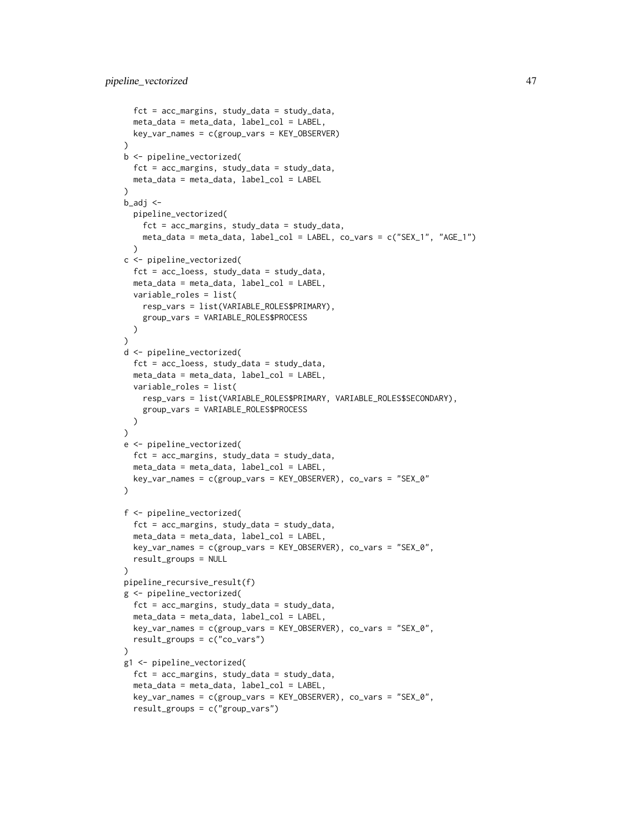```
fct = acc_margins, study_data = study_data,
  meta_data = meta_data, label_col = LABEL,
  key_var_names = c(group_vars = KEY_OBSERVER)
\lambdab <- pipeline_vectorized(
 fct = acc_margins, study_data = study_data,
 meta_data = meta_data, label_col = LABEL
)
b_adj \leq-
  pipeline_vectorized(
    fct = acc_margins, study_data = study_data,
    meta_data = meta_data, label_col = LABEL, co_vars = c("SEX_1", "AGE_1")
  )
c <- pipeline_vectorized(
  fct = acc_loess, study_data = study_data,
  meta_data = meta_data, label_col = LABEL,
  variable_roles = list(
   resp_vars = list(VARIABLE_ROLES$PRIMARY),
   group_vars = VARIABLE_ROLES$PROCESS
  )
)
d <- pipeline_vectorized(
  fct = acc_loess, study_data = study_data,
  meta_data = meta_data, label_col = LABEL,
  variable_roles = list(
   resp_vars = list(VARIABLE_ROLES$PRIMARY, VARIABLE_ROLES$SECONDARY),
    group_vars = VARIABLE_ROLES$PROCESS
  )
)
e <- pipeline_vectorized(
  fct = acc_margins, study_data = study_data,
  meta_data = meta_data, label_col = LABEL,
  key_var_names = c(group_vars = KEY_OBSERVER), co_vars = "SEX_0"
)
f <- pipeline_vectorized(
  fct = acc_margins, study_data = study_data,
  meta_data = meta_data, label_col = LABEL,
  key_var_names = c(group_vars = KEY_OBSERVER), co_vars = "SEX_0",
  result_groups = NULL
)
pipeline_recursive_result(f)
g <- pipeline_vectorized(
  fct = acc_margins, study_data = study_data,
  meta_data = meta_data, label_col = LABEL,
  key_var_names = c(group_vars = KEY_OBSERVER), co_vars = "SEX_0",
  result_groups = c("co_vars")
)
g1 <- pipeline_vectorized(
  fct = acc_margins, study_data = study_data,
  meta_data = meta_data, label_col = LABEL,
  key_var_names = c(group_vars = KEY_OBSERVER), co_vars = "SEX_0",
  result_groups = c("group_vars")
```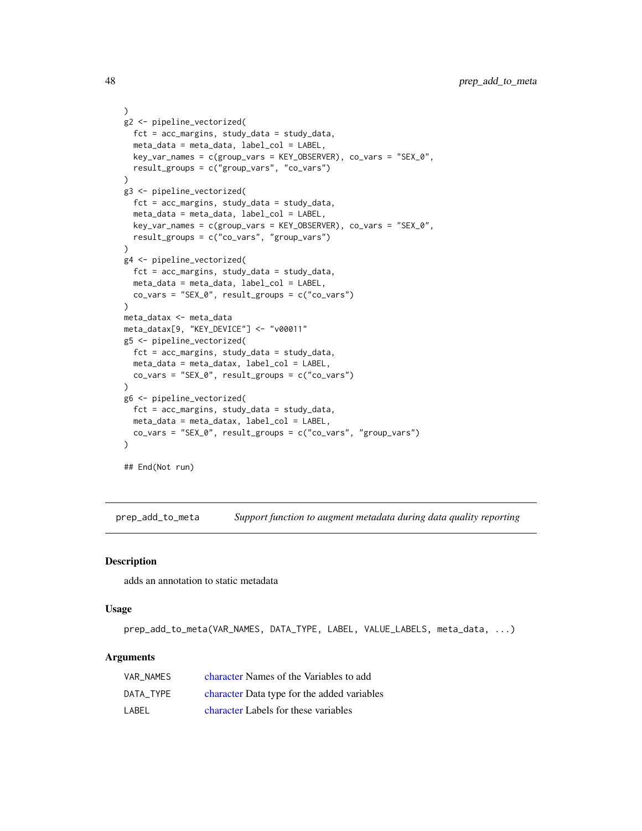```
)
g2 <- pipeline_vectorized(
 fct = acc_margins, study_data = study_data,
 meta_data = meta_data, label_col = LABEL,
  key_var_names = c(group_vars = KEY_OBSERVER), co_vars = "SEX_0",
  result_groups = c("group_vars", "co_vars")
)
g3 <- pipeline_vectorized(
  fct = acc_margins, study_data = study_data,
  meta_data = meta_data, label_col = LABEL,
  key_var_names = c(group_vars = KEY_OBSERVER), co_vars = "SEX_0",
  result_groups = c("co_vars", "group_vars")
)
g4 <- pipeline_vectorized(
  fct = acc_margins, study_data = study_data,
  meta_data = meta_data, label_col = LABEL,
  co_vars = "SEX_0", result_groups = c("co_vars")
)
meta_datax <- meta_data
meta_datax[9, "KEY_DEVICE"] <- "v00011"
g5 <- pipeline_vectorized(
  fct = acc_margins, study_data = study_data,
  meta_data = meta_datax, label_col = LABEL,
  co_vars = "SEX_0", result_groups = c("co_vars")
\mathcal{L}g6 <- pipeline_vectorized(
  fct = acc_margins, study_data = study_data,
 meta_data = meta_datax, label_col = LABEL,
  co_vars = "SEX_0", result_groups = c("co_vars", "group_vars")
)
## End(Not run)
```
prep\_add\_to\_meta *Support function to augment metadata during data quality reporting*

#### Description

adds an annotation to static metadata

#### Usage

prep\_add\_to\_meta(VAR\_NAMES, DATA\_TYPE, LABEL, VALUE\_LABELS, meta\_data, ...)

| VAR NAMES | character Names of the Variables to add     |
|-----------|---------------------------------------------|
| DATA TYPE | character Data type for the added variables |
| LABEL     | character Labels for these variables        |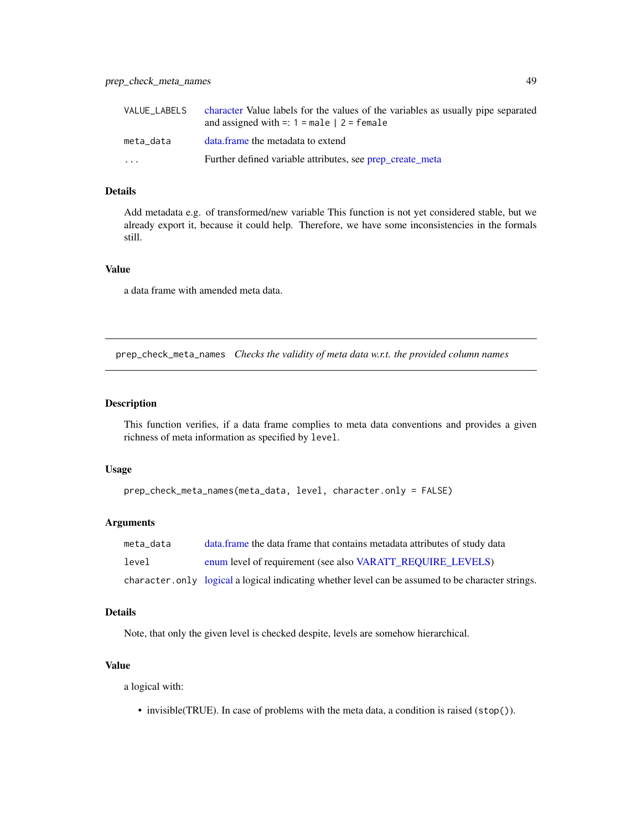| VALUE LABELS | character Value labels for the values of the variables as usually pipe separated<br>and assigned with $=$ : 1 = male $ 2$ = female |
|--------------|------------------------------------------------------------------------------------------------------------------------------------|
| meta data    | data.frame the metadata to extend                                                                                                  |
| $\cdot$      | Further defined variable attributes, see prep_create_meta                                                                          |

### Details

Add metadata e.g. of transformed/new variable This function is not yet considered stable, but we already export it, because it could help. Therefore, we have some inconsistencies in the formals still.

### Value

a data frame with amended meta data.

<span id="page-48-0"></span>prep\_check\_meta\_names *Checks the validity of meta data w.r.t. the provided column names*

## Description

This function verifies, if a data frame complies to meta data conventions and provides a given richness of meta information as specified by level.

### Usage

```
prep_check_meta_names(meta_data, level, character.only = FALSE)
```
#### Arguments

| meta data | data. frame the data frame that contains metadata attributes of study data                         |
|-----------|----------------------------------------------------------------------------------------------------|
| level     | enum level of requirement (see also VARATT REQUIRE LEVELS)                                         |
|           | character, only logical a logical indicating whether level can be assumed to be character strings. |

#### Details

Note, that only the given level is checked despite, levels are somehow hierarchical.

### Value

a logical with:

• invisible(TRUE). In case of problems with the meta data, a condition is raised (stop()).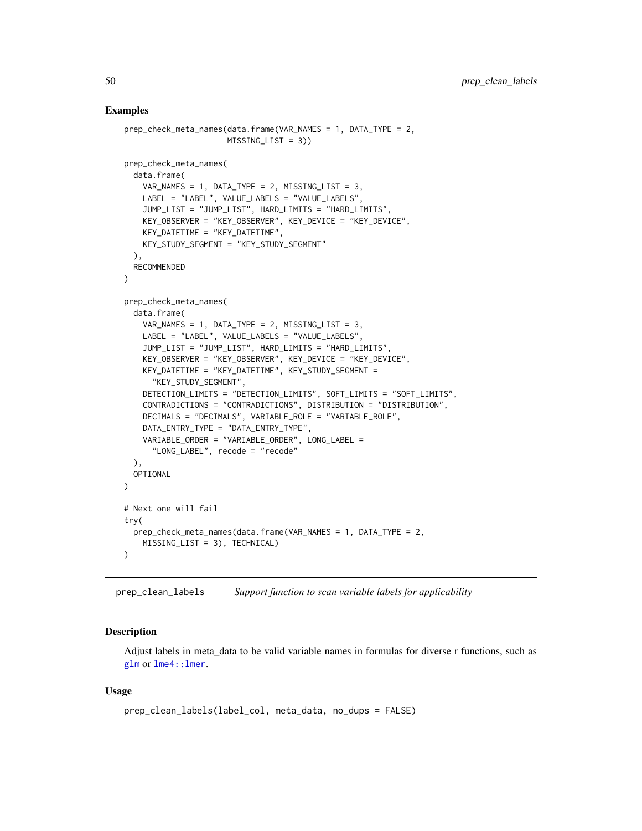### Examples

```
prep_check_meta_names(data.frame(VAR_NAMES = 1, DATA_TYPE = 2,
                      MISSING_LIST = 3))
prep_check_meta_names(
 data.frame(
   VAR_NAMES = 1, DATA_TYPE = 2, MISSING_LIST = 3,
   LABEL = "LABEL", VALUE_LABELS = "VALUE_LABELS",
   JUMP_LIST = "JUMP_LIST", HARD_LIMITS = "HARD_LIMITS",
   KEY_OBSERVER = "KEY_OBSERVER", KEY_DEVICE = "KEY_DEVICE",
   KEY_DATETIME = "KEY_DATETIME",
   KEY_STUDY_SEGMENT = "KEY_STUDY_SEGMENT"
 ),
 RECOMMENDED
)
prep_check_meta_names(
 data.frame(
   VAR_NAMES = 1, DATA_TYPE = 2, MISSING_LIST = 3,
   LABEL = "LABEL", VALUE_LABELS = "VALUE_LABELS",
   JUMP_LIST = "JUMP_LIST", HARD_LIMITS = "HARD_LIMITS",
   KEY_OBSERVER = "KEY_OBSERVER", KEY_DEVICE = "KEY_DEVICE",
   KEY_DATETIME = "KEY_DATETIME", KEY_STUDY_SEGMENT =
      "KEY_STUDY_SEGMENT",
   DETECTION_LIMITS = "DETECTION_LIMITS", SOFT_LIMITS = "SOFT_LIMITS",
   CONTRADICTIONS = "CONTRADICTIONS", DISTRIBUTION = "DISTRIBUTION",
   DECIMALS = "DECIMALS", VARIABLE_ROLE = "VARIABLE_ROLE",
   DATA_ENTRY_TYPE = "DATA_ENTRY_TYPE",
   VARIABLE_ORDER = "VARIABLE_ORDER", LONG_LABEL =
      "LONG_LABEL", recode = "recode"
 ),
 OPTIONAL
\mathcal{L}# Next one will fail
try(
 prep_check_meta_names(data.frame(VAR_NAMES = 1, DATA_TYPE = 2,
   MISSING_LIST = 3), TECHNICAL)
)
```
prep\_clean\_labels *Support function to scan variable labels for applicability*

#### **Description**

Adjust labels in meta\_data to be valid variable names in formulas for diverse r functions, such as [glm](#page-0-0) or [lme4::lmer](#page-0-0).

## Usage

```
prep_clean_labels(label_col, meta_data, no_dups = FALSE)
```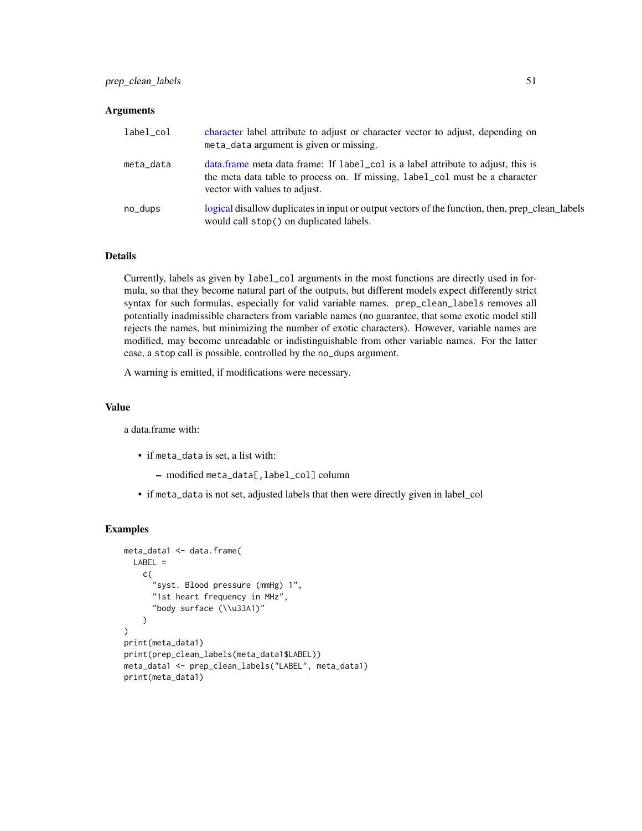#### **Arguments**

| label_col | character label attribute to adjust or character vector to adjust, depending on<br>meta_data argument is given or missing.                                                                        |
|-----------|---------------------------------------------------------------------------------------------------------------------------------------------------------------------------------------------------|
| meta_data | data frame meta data frame: If label_col is a label attribute to adjust, this is<br>the meta data table to process on. If missing, label_col must be a character<br>vector with values to adjust. |
| no_dups   | logical disallow duplicates in input or output vectors of the function, then, prep_clean_labels<br>would call stop() on duplicated labels.                                                        |

### Details

Currently, labels as given by label\_col arguments in the most functions are directly used in formula, so that they become natural part of the outputs, but different models expect differently strict syntax for such formulas, especially for valid variable names. prep\_clean\_labels removes all potentially inadmissible characters from variable names (no guarantee, that some exotic model still rejects the names, but minimizing the number of exotic characters). However, variable names are modified, may become unreadable or indistinguishable from other variable names. For the latter case, a stop call is possible, controlled by the no\_dups argument.

A warning is emitted, if modifications were necessary.

#### Value

a data.frame with:

- if meta\_data is set, a list with:
	- modified meta\_data[,label\_col] column
- if meta\_data is not set, adjusted labels that then were directly given in label\_col

```
meta_data1 <- data.frame(
  LABEL =c(
      "syst. Blood pressure (mmHg) 1",
      "1st heart frequency in MHz",
      "body surface (\\u33A1)"
    \lambda)
print(meta_data1)
print(prep_clean_labels(meta_data1$LABEL))
meta_data1 <- prep_clean_labels("LABEL", meta_data1)
print(meta_data1)
```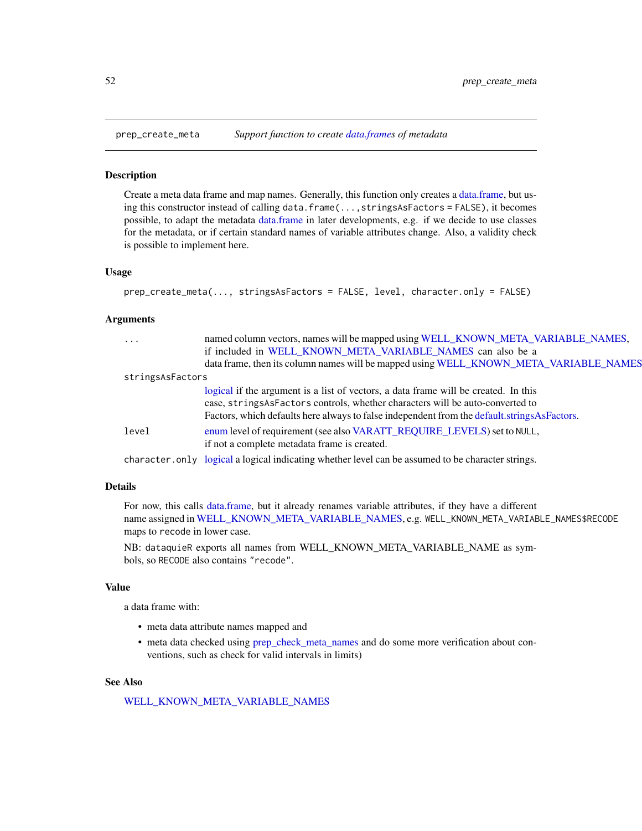#### **Description**

Create a meta data frame and map names. Generally, this function only creates a [data.frame,](#page-0-0) but using this constructor instead of calling data.frame(...,stringsAsFactors = FALSE), it becomes possible, to adapt the metadata [data.frame](#page-0-0) in later developments, e.g. if we decide to use classes for the metadata, or if certain standard names of variable attributes change. Also, a validity check is possible to implement here.

### Usage

```
prep_create_meta(..., stringsAsFactors = FALSE, level, character.only = FALSE)
```
#### Arguments

| $\cdots$         | named column vectors, names will be mapped using WELL_KNOWN_META_VARIABLE_NAMES,                  |  |
|------------------|---------------------------------------------------------------------------------------------------|--|
|                  | if included in WELL KNOWN META VARIABLE NAMES can also be a                                       |  |
|                  | data frame, then its column names will be mapped using WELL_KNOWN_META_VARIABLE_NAMES             |  |
| stringsAsFactors |                                                                                                   |  |
|                  | logical if the argument is a list of vectors, a data frame will be created. In this               |  |
|                  | case, stringsAsFactors controls, whether characters will be auto-converted to                     |  |
|                  | Factors, which defaults here always to false independent from the default strings As Factors.     |  |
| level            | enum level of requirement (see also VARATT_REQUIRE_LEVELS) set to NULL,                           |  |
|                  | if not a complete metadata frame is created.                                                      |  |
|                  | character.only logical a logical indicating whether level can be assumed to be character strings. |  |

### Details

For now, this calls [data.frame,](#page-0-0) but it already renames variable attributes, if they have a different name assigned in [WELL\\_KNOWN\\_META\\_VARIABLE\\_NAMES,](#page-103-1) e.g. WELL\_KNOWN\_META\_VARIABLE\_NAMES\$RECODE maps to recode in lower case.

NB: dataquieR exports all names from WELL\_KNOWN\_META\_VARIABLE\_NAME as symbols, so RECODE also contains "recode".

### Value

a data frame with:

- meta data attribute names mapped and
- meta data checked using [prep\\_check\\_meta\\_names](#page-48-0) and do some more verification about conventions, such as check for valid intervals in limits)

### See Also

[WELL\\_KNOWN\\_META\\_VARIABLE\\_NAMES](#page-103-1)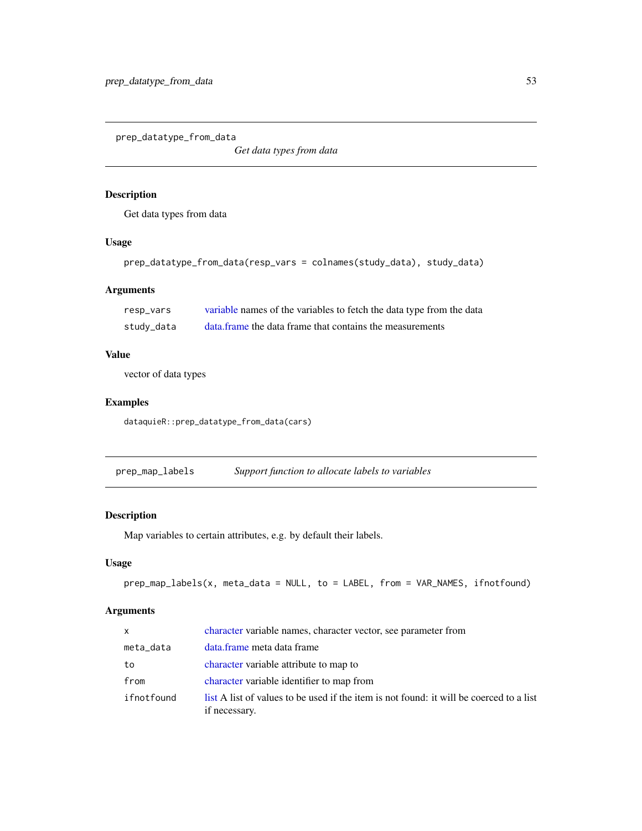prep\_datatype\_from\_data

*Get data types from data*

## Description

Get data types from data

## Usage

```
prep_datatype_from_data(resp_vars = colnames(study_data), study_data)
```
## Arguments

| resp_vars  | variable names of the variables to fetch the data type from the data |
|------------|----------------------------------------------------------------------|
| study_data | data, frame the data frame that contains the measurements            |

### Value

vector of data types

## Examples

dataquieR::prep\_datatype\_from\_data(cars)

<span id="page-52-0"></span>prep\_map\_labels *Support function to allocate labels to variables*

### Description

Map variables to certain attributes, e.g. by default their labels.

## Usage

prep\_map\_labels(x, meta\_data = NULL, to = LABEL, from = VAR\_NAMES, ifnotfound)

| $\mathsf{x}$ | character variable names, character vector, see parameter from                                           |
|--------------|----------------------------------------------------------------------------------------------------------|
| meta_data    | data.frame meta data frame                                                                               |
| to           | character variable attribute to map to                                                                   |
| from         | character variable identifier to map from                                                                |
| ifnotfound   | list A list of values to be used if the item is not found: it will be coerced to a list<br>if necessary. |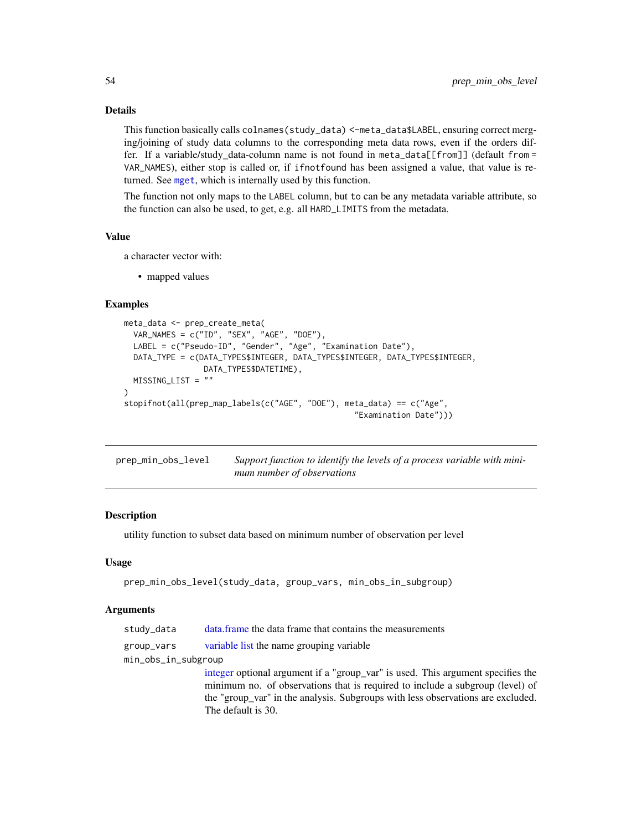# Details

This function basically calls colnames(study\_data) <-meta\_data\$LABEL, ensuring correct merging/joining of study data columns to the corresponding meta data rows, even if the orders differ. If a variable/study data-column name is not found in meta\_data[[from]] (default from = VAR\_NAMES), either stop is called or, if ifnotfound has been assigned a value, that value is returned. See [mget](#page-0-0), which is internally used by this function.

The function not only maps to the LABEL column, but to can be any metadata variable attribute, so the function can also be used, to get, e.g. all HARD\_LIMITS from the metadata.

### Value

a character vector with:

• mapped values

### Examples

```
meta_data <- prep_create_meta(
  VAR_NAMES = c("ID", "SEX", "AGE", "DOE"),
  LABEL = c("Pseudo-ID", "Gender", "Age", "Examination Date"),
  DATA_TYPE = c(DATA_TYPES$INTEGER, DATA_TYPES$INTEGER, DATA_TYPES$INTEGER,
                 DATA_TYPES$DATETIME),
  MISSING_LIST = ""
\mathcal{L}stopifnot(all(prep_map_labels(c("AGE", "DOE"), meta_data) == c("Age",
                                                   "Examination Date")))
```

| prep_min_obs_level | Support function to identify the levels of a process variable with mini- |
|--------------------|--------------------------------------------------------------------------|
|                    | mum number of observations                                               |

#### Description

utility function to subset data based on minimum number of observation per level

#### Usage

```
prep_min_obs_level(study_data, group_vars, min_obs_in_subgroup)
```
### Arguments

| study_data          | data frame the data frame that contains the measurements         |
|---------------------|------------------------------------------------------------------|
| group_vars          | variable list the name grouping variable                         |
| min_obs_in_subgroup |                                                                  |
|                     | integer optional argument if a "group_var" is used. This argum   |
|                     | minimum no. of observations that is required to include a sub    |
|                     | the "group yar" in the analysis. Subgroups with less observation |

nent specifies the peroup (level) of the "group\_var" in the analysis. Subgroups with less observations are excluded. The default is 30.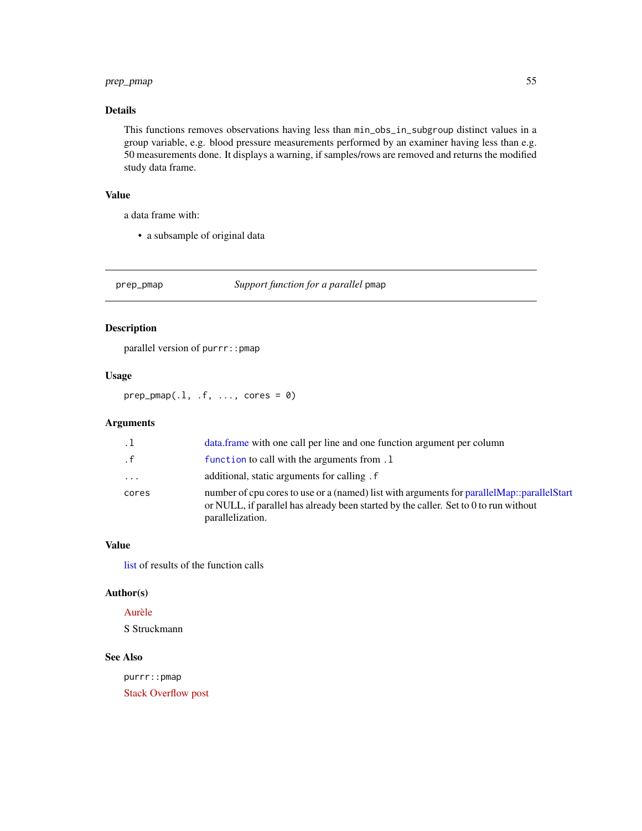## prep\_pmap 55

# Details

This functions removes observations having less than min\_obs\_in\_subgroup distinct values in a group variable, e.g. blood pressure measurements performed by an examiner having less than e.g. 50 measurements done. It displays a warning, if samples/rows are removed and returns the modified study data frame.

## Value

a data frame with:

• a subsample of original data

prep\_pmap *Support function for a parallel* pmap

## Description

parallel version of purrr::pmap

### Usage

 $prep\_pmap(.1, .f, . . ., cores = 0)$ 

### Arguments

| $\cdot$ . 1 | data, frame with one call per line and one function argument per column                                                                                                                                    |
|-------------|------------------------------------------------------------------------------------------------------------------------------------------------------------------------------------------------------------|
| . f         | function to call with the arguments from .1                                                                                                                                                                |
| $\cdot$     | additional, static arguments for calling.                                                                                                                                                                  |
| cores       | number of cpu cores to use or a (named) list with arguments for parallel Map::parallel Start<br>or NULL, if parallel has already been started by the caller. Set to $0$ to run without<br>parallelization. |

#### Value

[list](#page-0-0) of results of the function calls

#### Author(s)

### [Aurèle](https://stackoverflow.com/users/6197649)

S Struckmann

## See Also

purrr::pmap [Stack Overflow post](https://stackoverflow.com/a/47575143)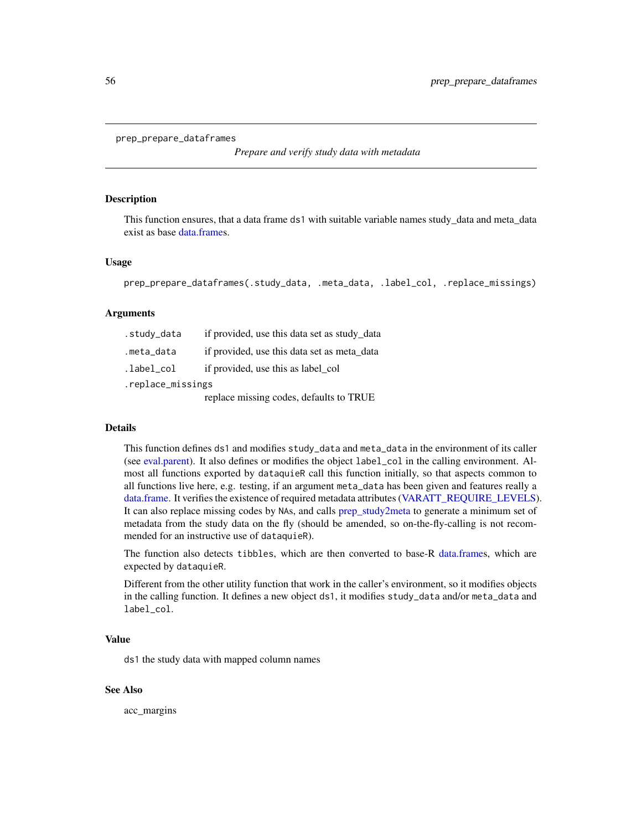```
prep_prepare_dataframes
```
*Prepare and verify study data with metadata*

#### **Description**

This function ensures, that a data frame ds1 with suitable variable names study\_data and meta\_data exist as base [data.frames](#page-0-0).

#### Usage

```
prep_prepare_dataframes(.study_data, .meta_data, .label_col, .replace_missings)
```
#### Arguments

| .study_data       | if provided, use this data set as study_data |  |
|-------------------|----------------------------------------------|--|
| .meta_data        | if provided, use this data set as meta_data  |  |
| .label_col        | if provided, use this as label_col           |  |
| .replace_missings |                                              |  |
|                   | replace missing codes, defaults to TRUE      |  |

#### Details

This function defines ds1 and modifies study\_data and meta\_data in the environment of its caller (see [eval.parent\)](#page-0-0). It also defines or modifies the object label\_col in the calling environment. Almost all functions exported by dataquieR call this function initially, so that aspects common to all functions live here, e.g. testing, if an argument meta\_data has been given and features really a [data.frame.](#page-0-0) It verifies the existence of required metadata attributes [\(VARATT\\_REQUIRE\\_LEVELS\)](#page-102-0). It can also replace missing codes by NAs, and calls [prep\\_study2meta](#page-57-0) to generate a minimum set of metadata from the study data on the fly (should be amended, so on-the-fly-calling is not recommended for an instructive use of dataquieR).

The function also detects tibbles, which are then converted to base-R [data.frames](#page-0-0), which are expected by dataquieR.

Different from the other utility function that work in the caller's environment, so it modifies objects in the calling function. It defines a new object ds1, it modifies study\_data and/or meta\_data and label col.

#### Value

ds1 the study data with mapped column names

#### See Also

acc\_margins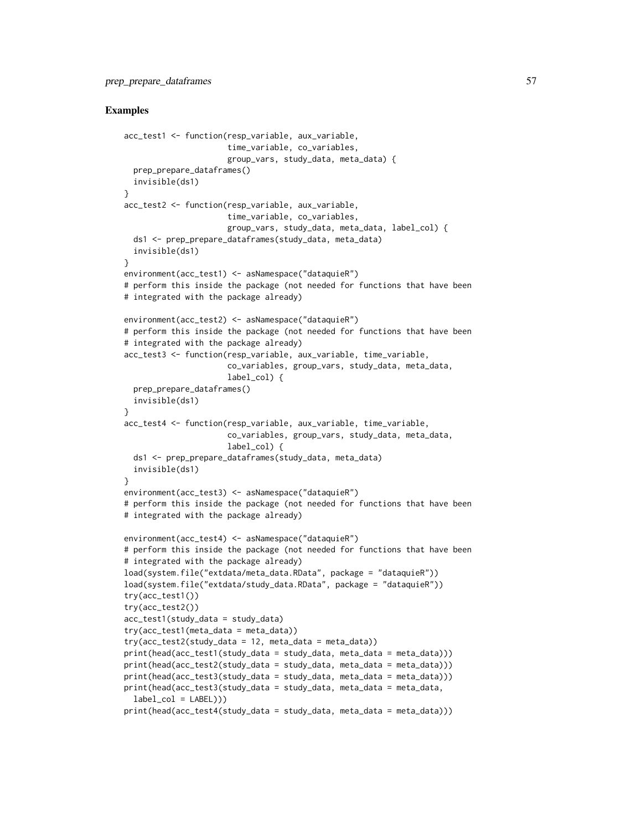```
acc_test1 <- function(resp_variable, aux_variable,
                      time_variable, co_variables,
                      group_vars, study_data, meta_data) {
 prep_prepare_dataframes()
 invisible(ds1)
}
acc_test2 <- function(resp_variable, aux_variable,
                      time_variable, co_variables,
                      group_vars, study_data, meta_data, label_col) {
 ds1 <- prep_prepare_dataframes(study_data, meta_data)
 invisible(ds1)
}
environment(acc_test1) <- asNamespace("dataquieR")
# perform this inside the package (not needed for functions that have been
# integrated with the package already)
environment(acc_test2) <- asNamespace("dataquieR")
# perform this inside the package (not needed for functions that have been
# integrated with the package already)
acc_test3 <- function(resp_variable, aux_variable, time_variable,
                      co_variables, group_vars, study_data, meta_data,
                      label_col) {
 prep_prepare_dataframes()
 invisible(ds1)
}
acc_test4 <- function(resp_variable, aux_variable, time_variable,
                      co_variables, group_vars, study_data, meta_data,
                      label_col) {
 ds1 <- prep_prepare_dataframes(study_data, meta_data)
 invisible(ds1)
}
environment(acc_test3) <- asNamespace("dataquieR")
# perform this inside the package (not needed for functions that have been
# integrated with the package already)
environment(acc_test4) <- asNamespace("dataquieR")
# perform this inside the package (not needed for functions that have been
# integrated with the package already)
load(system.file("extdata/meta_data.RData", package = "dataquieR"))
load(system.file("extdata/study_data.RData", package = "dataquieR"))
try(acc_test1())
try(acc_test2())
acc_test1(study_data = study_data)
try(acc_test1(meta_data = meta_data))
try(acc_test2(study_data = 12, meta_data = meta_data))print(head(acc_test1(study_data = study_data, meta_data = meta_data)))
print(head(acc_test2(study_data = study_data, meta_data = meta_data)))
print(head(acc_test3(study_data = study_data, meta_data = meta_data)))
print(head(acc_test3(study_data = study_data, meta_data = meta_data,
 label\_col = LABEL))print(head(acc_test4(study_data = study_data, meta_data = meta_data)))
```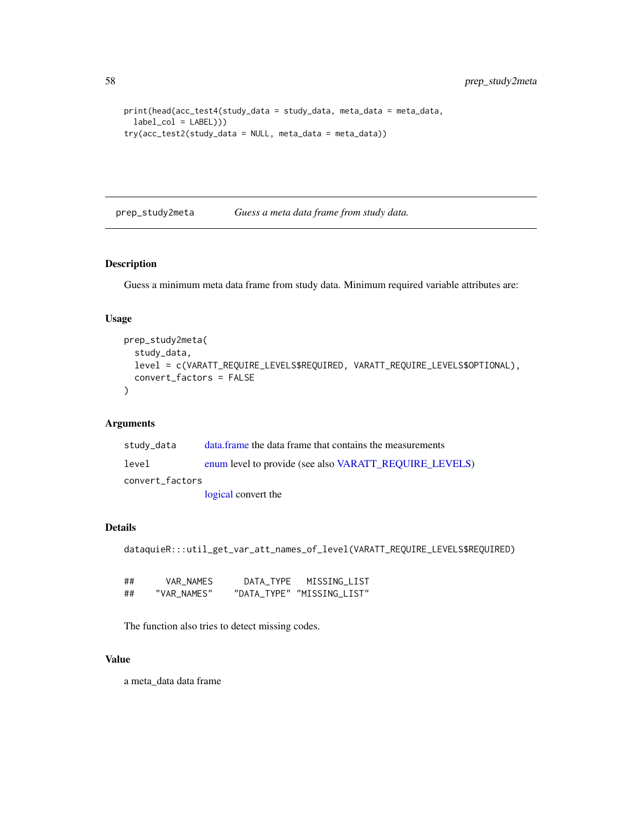```
print(head(acc_test4(study_data = study_data, meta_data = meta_data,
  label\_col = LABEL))try(acc_test2(study_data = NULL, meta_data = meta_data))
```
<span id="page-57-0"></span>prep\_study2meta *Guess a meta data frame from study data.*

#### Description

Guess a minimum meta data frame from study data. Minimum required variable attributes are:

### Usage

```
prep_study2meta(
 study_data,
 level = c(VARATT_REQUIRE_LEVELS$REQUIRED, VARATT_REQUIRE_LEVELS$OPTIONAL),
 convert_factors = FALSE
)
```
### Arguments

| study_data      | data frame the data frame that contains the measurements |
|-----------------|----------------------------------------------------------|
| level           | enum level to provide (see also VARATT_REQUIRE_LEVELS)   |
| convert factors |                                                          |
|                 | logical convert the                                      |

### Details

```
dataquieR:::util_get_var_att_names_of_level(VARATT_REQUIRE_LEVELS$REQUIRED)
```

| ## | VAR NAMES   | DATA TYPE | MISSING LIST               |
|----|-------------|-----------|----------------------------|
| ## | "VAR NAMES" |           | "DATA TYPE" "MISSING LIST" |

The function also tries to detect missing codes.

### Value

a meta\_data data frame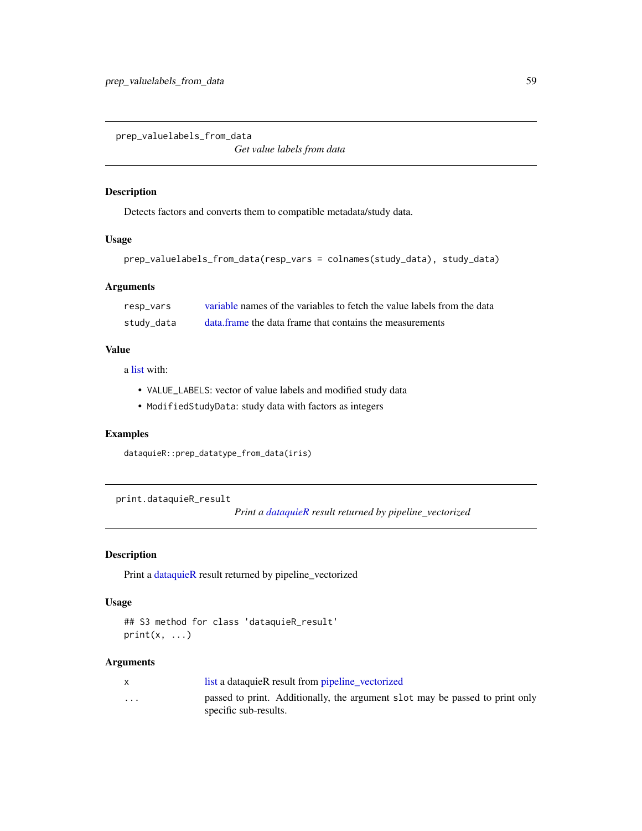prep\_valuelabels\_from\_data

*Get value labels from data*

### Description

Detects factors and converts them to compatible metadata/study data.

### Usage

```
prep_valuelabels_from_data(resp_vars = colnames(study_data), study_data)
```
# Arguments

| resp_vars  | variable names of the variables to fetch the value labels from the data |
|------------|-------------------------------------------------------------------------|
| study_data | data, frame the data frame that contains the measurements               |

# Value

a [list](#page-0-0) with:

- VALUE\_LABELS: vector of value labels and modified study data
- ModifiedStudyData: study data with factors as integers

## Examples

```
dataquieR::prep_datatype_from_data(iris)
```
print.dataquieR\_result

*Print a [dataquieR](#page-34-1) result returned by pipeline\_vectorized*

## Description

Print a [dataquieR](#page-34-1) result returned by pipeline\_vectorized

### Usage

```
## S3 method for class 'dataquieR_result'
print(x, \ldots)
```

|                         | list a dataquieR result from pipeline vectorized                             |
|-------------------------|------------------------------------------------------------------------------|
| $\cdot$ $\cdot$ $\cdot$ | passed to print. Additionally, the argument slot may be passed to print only |
|                         | specific sub-results.                                                        |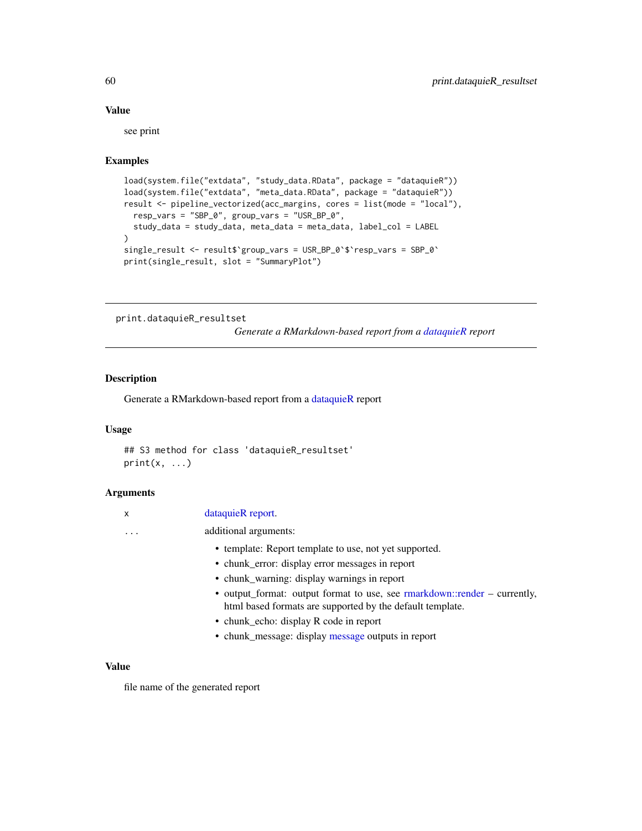### Value

see print

# Examples

```
load(system.file("extdata", "study_data.RData", package = "dataquieR"))
load(system.file("extdata", "meta_data.RData", package = "dataquieR"))
result <- pipeline_vectorized(acc_margins, cores = list(mode = "local"),
  resp_vars = "SBP_0", group_vars = "USR_BP_0",
  study_data = study_data, meta_data = meta_data, label_col = LABEL
)
single_result <- result$`group_vars = USR_BP_0`$`resp_vars = SBP_0`
print(single_result, slot = "SummaryPlot")
```
<span id="page-59-0"></span>print.dataquieR\_resultset

*Generate a RMarkdown-based report from a [dataquieR](#page-34-1) report*

### Description

Generate a RMarkdown-based report from a [dataquieR](#page-34-1) report

#### Usage

```
## S3 method for class 'dataquieR_resultset'
print(x, \ldots)
```
#### Arguments

| dataquieR report. |
|-------------------|
|                   |

... additional arguments:

- template: Report template to use, not yet supported.
- chunk\_error: display error messages in report
- chunk\_warning: display warnings in report
- output\_format: output format to use, see [rmarkdown::render](#page-0-0) currently, html based formats are supported by the default template.
- chunk\_echo: display R code in report
- chunk\_message: display [message](#page-0-0) outputs in report

### Value

file name of the generated report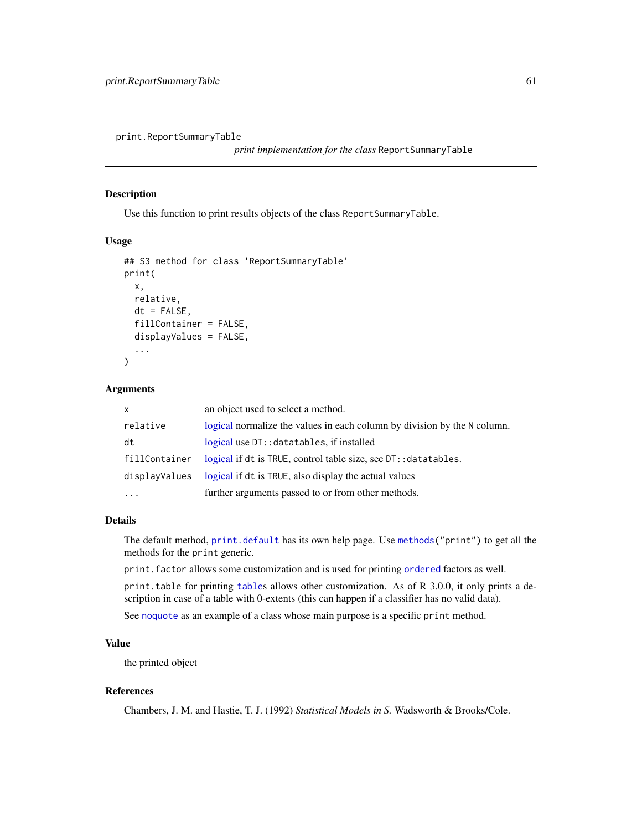print.ReportSummaryTable

*print implementation for the class* ReportSummaryTable

### Description

Use this function to print results objects of the class ReportSummaryTable.

## Usage

```
## S3 method for class 'ReportSummaryTable'
print(
  x,
  relative,
  dt = FALSE,
  fillContainer = FALSE,
  displayValues = FALSE,
  ...
)
```
### Arguments

| $\mathsf{x}$  | an object used to select a method.                                       |
|---------------|--------------------------------------------------------------------------|
| relative      | logical normalize the values in each column by division by the N column. |
| dt            | logical use DT:: datatables, if installed                                |
| fillContainer | logical if dt is TRUE, control table size, see DT:: datatables.          |
| displayValues | logical if dt is TRUE, also display the actual values                    |
| .             | further arguments passed to or from other methods.                       |

## Details

The default method, [print.default](#page-0-0) has its own help page. Use [methods\(](#page-0-0)"print") to get all the methods for the print generic.

print.factor allows some customization and is used for printing [ordered](#page-0-0) factors as well.

print.table for printing [table](#page-0-0)s allows other customization. As of R 3.0.0, it only prints a description in case of a table with 0-extents (this can happen if a classifier has no valid data).

See [noquote](#page-0-0) as an example of a class whose main purpose is a specific print method.

# Value

the printed object

# References

Chambers, J. M. and Hastie, T. J. (1992) *Statistical Models in S.* Wadsworth & Brooks/Cole.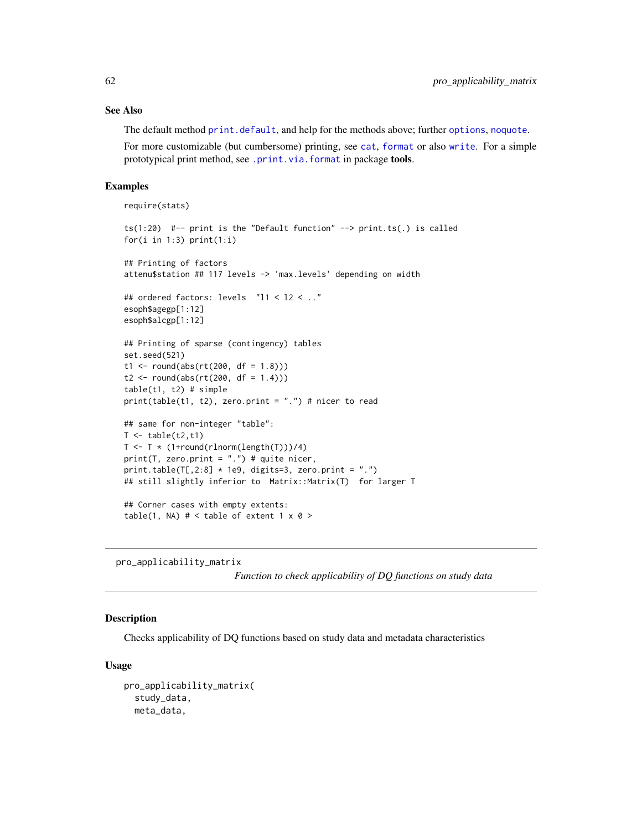### See Also

The default method [print.default](#page-0-0), and help for the methods above; further [options](#page-0-0), [noquote](#page-0-0).

For more customizable (but cumbersome) printing, see [cat](#page-0-0), [format](#page-0-0) or also [write](#page-0-0). For a simple prototypical print method, see [.print.via.format](#page-0-0) in package tools.

### Examples

```
require(stats)
```

```
ts(1:20) #-- print is the "Default function" --> print.ts(.) is called
for(i in 1:3) print(1:i)
## Printing of factors
attenu$station ## 117 levels -> 'max.levels' depending on width
## ordered factors: levels "l1 < l2 < .."
esoph$agegp[1:12]
esoph$alcgp[1:12]
## Printing of sparse (contingency) tables
set.seed(521)
t1 <- round(abs(rt(200, df = 1.8)))t2 \le round(abs(rt(200, df = 1.4)))
table(t1, t2) # simple
print(table(t1, t2), zero.print = ".")* nicer to read## same for non-integer "table":
T < - table(t2,t1)
T \leftarrow T * (1+round(rlnorm(length(T)))/4)print(T, zero.print = ".") # quite nicer,
print.table(T[,2:8] * 1e9, digits=3, zero.print = ".")
## still slightly inferior to Matrix::Matrix(T) for larger T
## Corner cases with empty extents:
table(1, NA) # < table of extent 1 x 0 >
```
pro\_applicability\_matrix

*Function to check applicability of DQ functions on study data*

### Description

Checks applicability of DQ functions based on study data and metadata characteristics

#### Usage

```
pro_applicability_matrix(
 study_data,
 meta_data,
```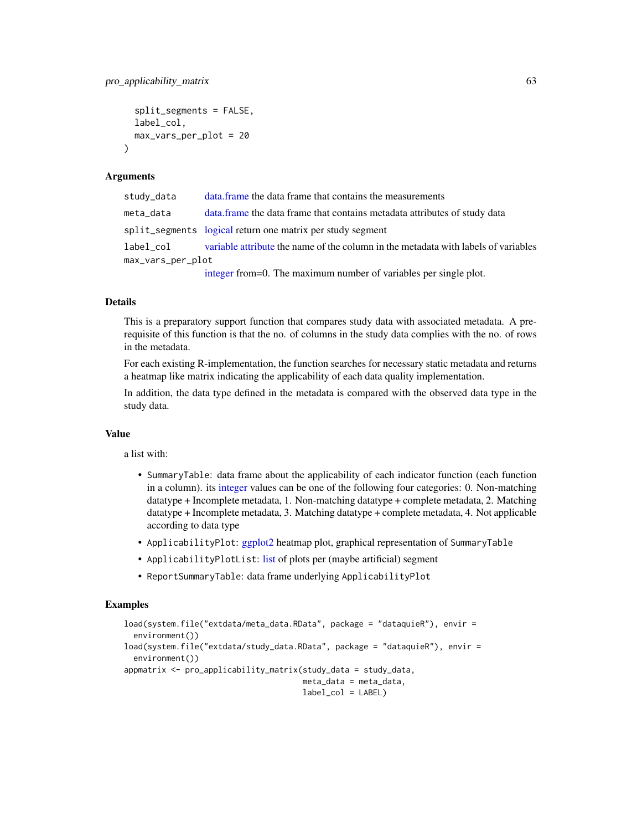```
split_segments = FALSE,
  label_col,
  max_vars_per_plot = 20
\lambda
```
#### Arguments

| study_data        | data.frame the data frame that contains the measurements                           |
|-------------------|------------------------------------------------------------------------------------|
| meta_data         | data. frame the data frame that contains metadata attributes of study data         |
|                   | split_segments logical return one matrix per study segment                         |
| label_col         | variable attribute the name of the column in the metadata with labels of variables |
| max_vars_per_plot |                                                                                    |
|                   | integer from=0. The maximum number of variables per single plot.                   |

### Details

This is a preparatory support function that compares study data with associated metadata. A prerequisite of this function is that the no. of columns in the study data complies with the no. of rows in the metadata.

For each existing R-implementation, the function searches for necessary static metadata and returns a heatmap like matrix indicating the applicability of each data quality implementation.

In addition, the data type defined in the metadata is compared with the observed data type in the study data.

#### Value

a list with:

- SummaryTable: data frame about the applicability of each indicator function (each function in a column). its [integer](#page-35-0) values can be one of the following four categories: 0. Non-matching datatype + Incomplete metadata, 1. Non-matching datatype + complete metadata, 2. Matching datatype + Incomplete metadata, 3. Matching datatype + complete metadata, 4. Not applicable according to data type
- ApplicabilityPlot: [ggplot2](#page-0-0) heatmap plot, graphical representation of SummaryTable
- ApplicabilityPlotList: [list](#page-0-0) of plots per (maybe artificial) segment
- ReportSummaryTable: data frame underlying ApplicabilityPlot

```
load(system.file("extdata/meta_data.RData", package = "dataquieR"), envir =
 environment())
load(system.file("extdata/study_data.RData", package = "dataquieR"), envir =
 environment())
appmatrix <- pro_applicability_matrix(study_data = study_data,
                                      meta_data = meta_data,
                                      label_col = LABEL)
```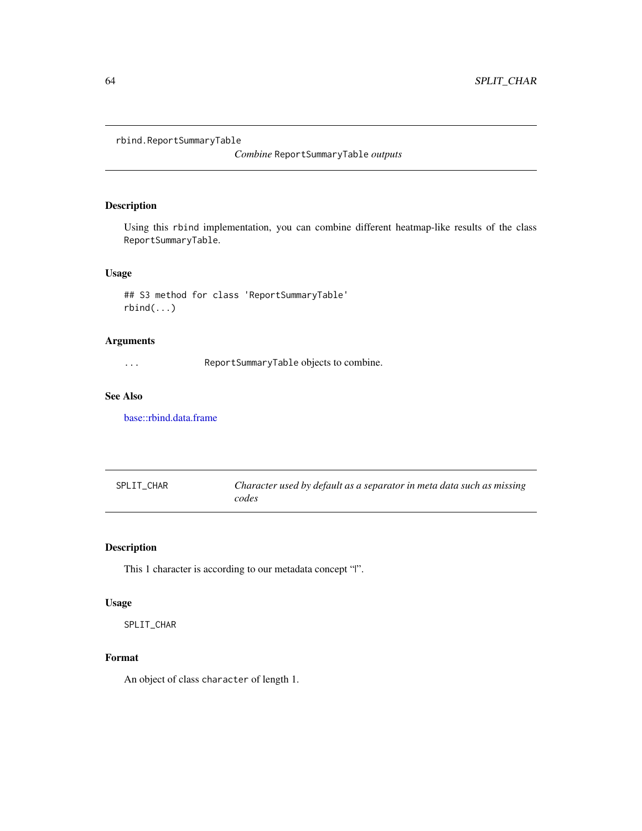```
rbind.ReportSummaryTable
```
*Combine* ReportSummaryTable *outputs*

## Description

Using this rbind implementation, you can combine different heatmap-like results of the class ReportSummaryTable.

## Usage

## S3 method for class 'ReportSummaryTable' rbind(...)

## Arguments

... ReportSummaryTable objects to combine.

### See Also

[base::rbind.data.frame](#page-0-0)

| SPLIT CHAR | Character used by default as a separator in meta data such as missing |
|------------|-----------------------------------------------------------------------|
|            | codes                                                                 |

## Description

This 1 character is according to our metadata concept "|".

### Usage

SPLIT\_CHAR

# Format

An object of class character of length 1.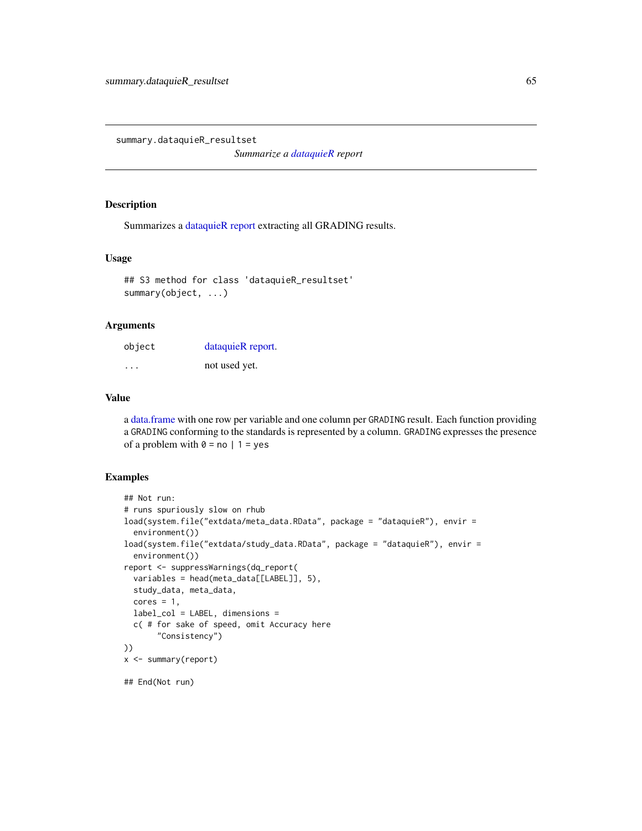<span id="page-64-0"></span>summary.dataquieR\_resultset

*Summarize a [dataquieR](#page-34-1) report*

#### Description

Summarizes a [dataquieR report](#page-37-0) extracting all GRADING results.

### Usage

```
## S3 method for class 'dataquieR_resultset'
summary(object, ...)
```
#### Arguments

| object | dataquieR report. |
|--------|-------------------|
| .      | not used yet.     |

## Value

a [data.frame](#page-0-0) with one row per variable and one column per GRADING result. Each function providing a GRADING conforming to the standards is represented by a column. GRADING expresses the presence of a problem with  $0 = no \mid 1 = yes$ 

```
## Not run:
# runs spuriously slow on rhub
load(system.file("extdata/meta_data.RData", package = "dataquieR"), envir =
  environment())
load(system.file("extdata/study_data.RData", package = "dataquieR"), envir =
  environment())
report <- suppressWarnings(dq_report(
  variables = head(meta_data[[LABEL]], 5),
  study_data, meta_data,
  cores = 1,label_col = LABEL, dimensions =
  c( # for sake of speed, omit Accuracy here
       "Consistency")
))
x <- summary(report)
## End(Not run)
```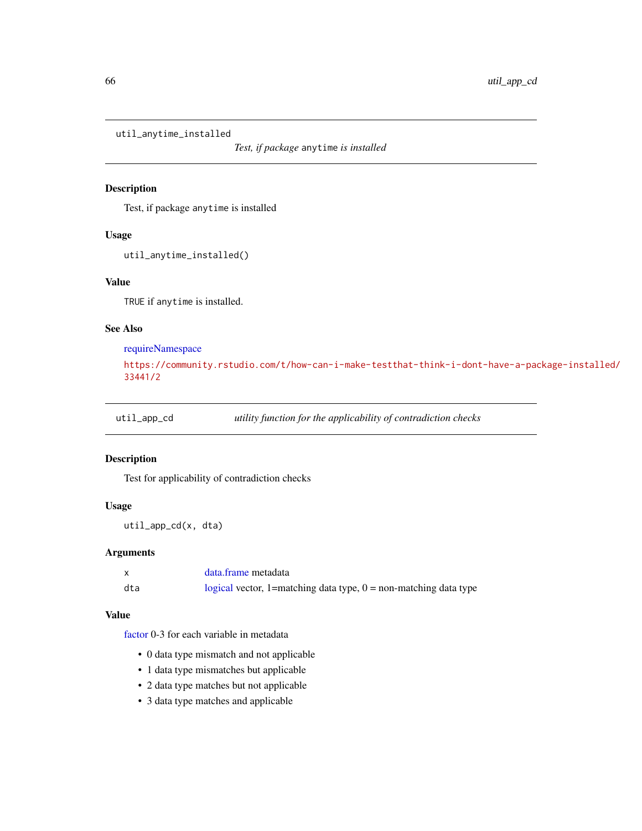util\_anytime\_installed

*Test, if package* anytime *is installed*

## Description

Test, if package anytime is installed

#### Usage

```
util_anytime_installed()
```
## Value

TRUE if anytime is installed.

### See Also

[requireNamespace](#page-0-0)

```
https://community.rstudio.com/t/how-can-i-make-testthat-think-i-dont-have-a-package-installed/
33441/2
```
util\_app\_cd *utility function for the applicability of contradiction checks*

### Description

Test for applicability of contradiction checks

### Usage

util\_app\_cd(x, dta)

## Arguments

|     | data.frame metadata                                                |
|-----|--------------------------------------------------------------------|
| dta | logical vector, 1=matching data type, $0 =$ non-matching data type |

#### Value

[factor](#page-0-0) 0-3 for each variable in metadata

- 0 data type mismatch and not applicable
- 1 data type mismatches but applicable
- 2 data type matches but not applicable
- 3 data type matches and applicable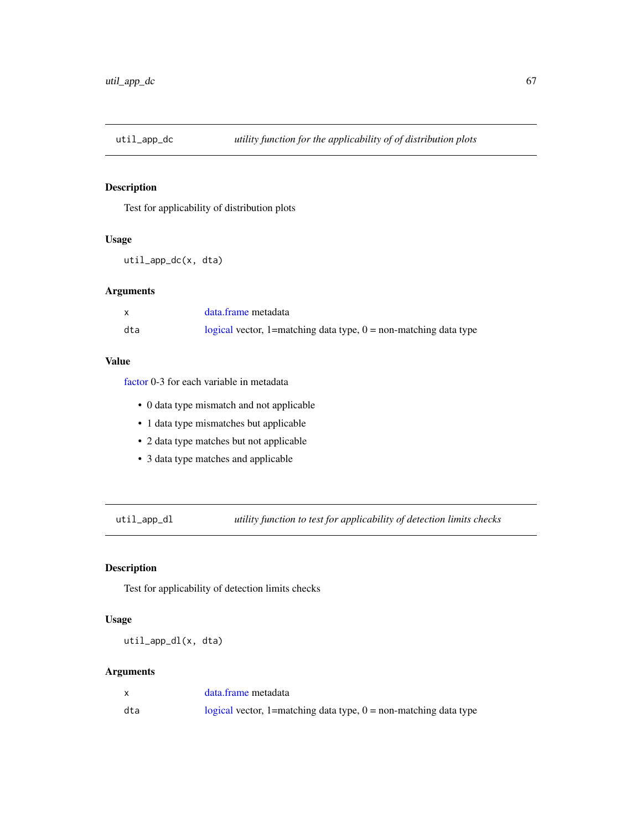# Description

Test for applicability of distribution plots

## Usage

util\_app\_dc(x, dta)

# Arguments

|     | data.frame metadata                                                |
|-----|--------------------------------------------------------------------|
| dta | logical vector, 1=matching data type, $0 =$ non-matching data type |

### Value

[factor](#page-0-0) 0-3 for each variable in metadata

- 0 data type mismatch and not applicable
- 1 data type mismatches but applicable
- 2 data type matches but not applicable
- 3 data type matches and applicable

util\_app\_dl *utility function to test for applicability of detection limits checks*

## Description

Test for applicability of detection limits checks

## Usage

util\_app\_dl(x, dta)

|     | data.frame metadata                                                |
|-----|--------------------------------------------------------------------|
| dta | logical vector, 1=matching data type, $0 =$ non-matching data type |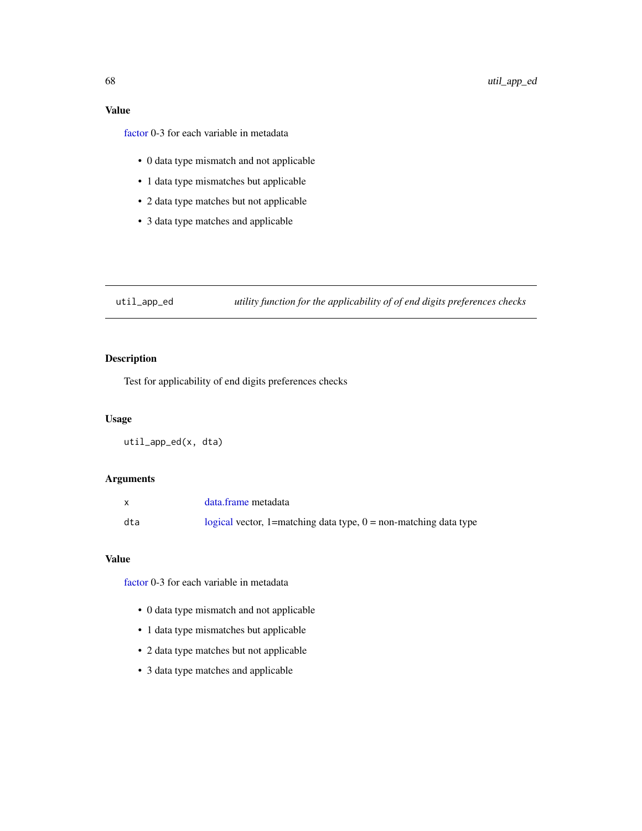# Value

[factor](#page-0-0) 0-3 for each variable in metadata

- 0 data type mismatch and not applicable
- 1 data type mismatches but applicable
- 2 data type matches but not applicable
- 3 data type matches and applicable

util\_app\_ed *utility function for the applicability of of end digits preferences checks*

# Description

Test for applicability of end digits preferences checks

# Usage

util\_app\_ed(x, dta)

## Arguments

|     | data.frame metadata                                                |
|-----|--------------------------------------------------------------------|
| dta | logical vector, 1=matching data type, $0 =$ non-matching data type |

### Value

[factor](#page-0-0) 0-3 for each variable in metadata

- 0 data type mismatch and not applicable
- 1 data type mismatches but applicable
- 2 data type matches but not applicable
- 3 data type matches and applicable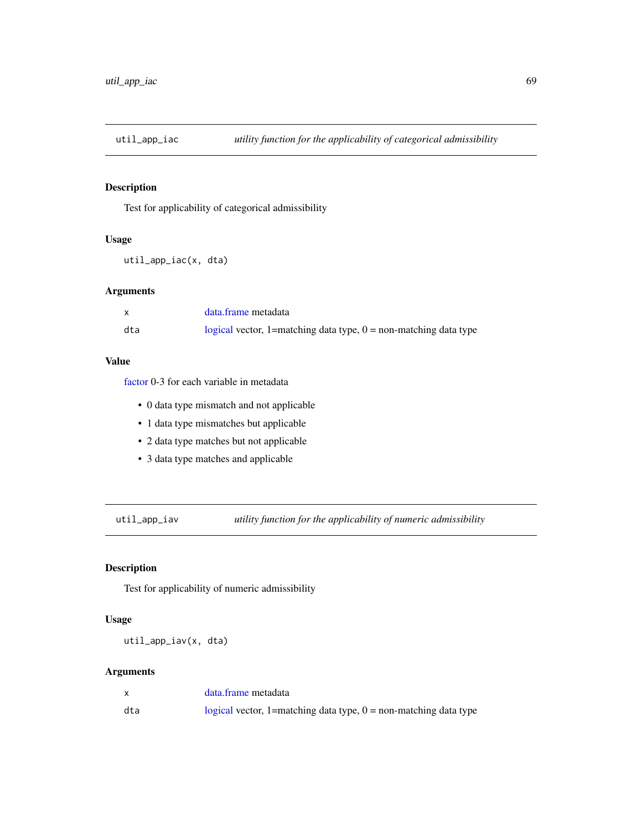# Description

Test for applicability of categorical admissibility

### Usage

```
util_app_iac(x, dta)
```
# Arguments

|     | data.frame metadata                                                |
|-----|--------------------------------------------------------------------|
| dta | logical vector, 1=matching data type, $0 =$ non-matching data type |

### Value

[factor](#page-0-0) 0-3 for each variable in metadata

- 0 data type mismatch and not applicable
- 1 data type mismatches but applicable
- 2 data type matches but not applicable
- 3 data type matches and applicable

util\_app\_iav *utility function for the applicability of numeric admissibility*

## Description

Test for applicability of numeric admissibility

### Usage

util\_app\_iav(x, dta)

|     | data.frame metadata                                                |
|-----|--------------------------------------------------------------------|
| dta | logical vector, 1=matching data type, $0 =$ non-matching data type |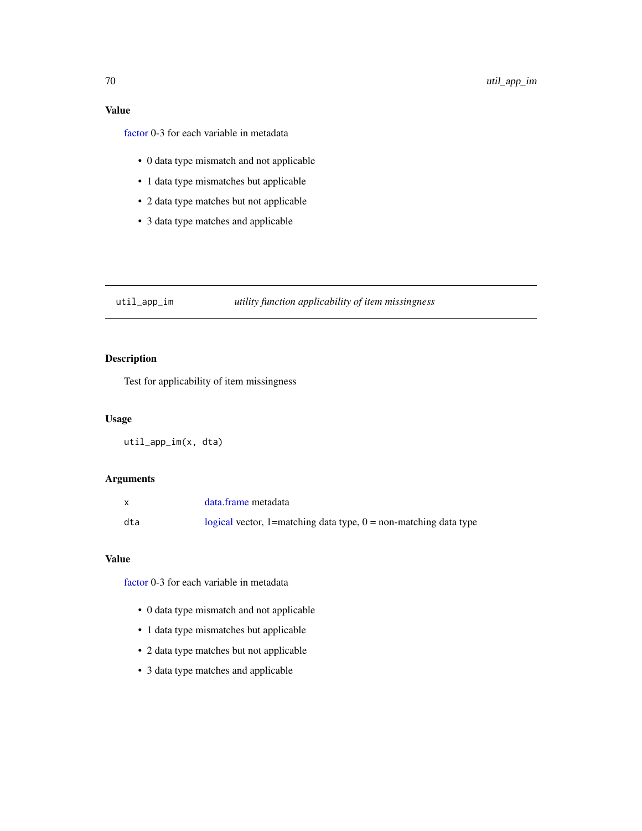# Value

[factor](#page-0-0) 0-3 for each variable in metadata

- 0 data type mismatch and not applicable
- 1 data type mismatches but applicable
- 2 data type matches but not applicable
- 3 data type matches and applicable

util\_app\_im *utility function applicability of item missingness*

# Description

Test for applicability of item missingness

## Usage

util\_app\_im(x, dta)

## Arguments

|     | data.frame metadata                                                |
|-----|--------------------------------------------------------------------|
| dta | logical vector, 1=matching data type, $0 =$ non-matching data type |

### Value

[factor](#page-0-0) 0-3 for each variable in metadata

- 0 data type mismatch and not applicable
- 1 data type mismatches but applicable
- 2 data type matches but not applicable
- 3 data type matches and applicable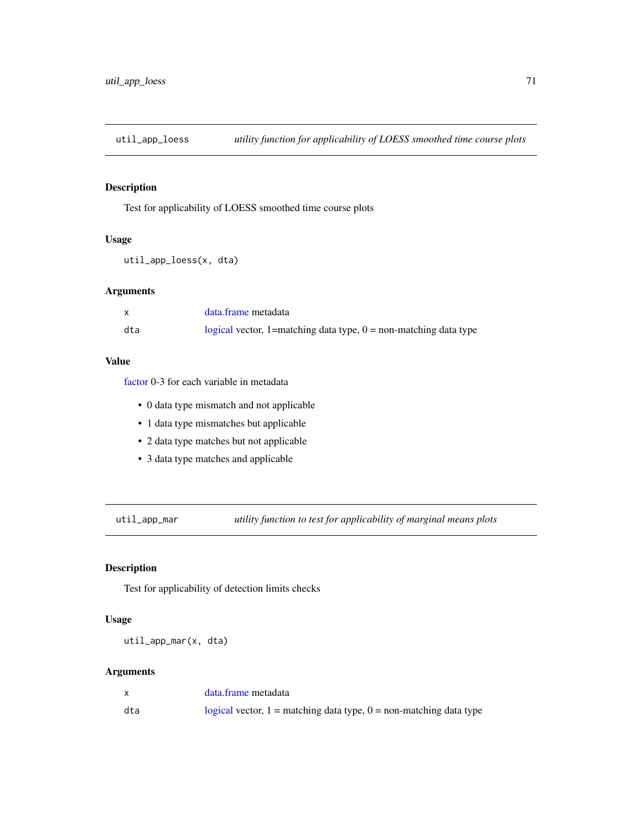## Description

Test for applicability of LOESS smoothed time course plots

## Usage

util\_app\_loess(x, dta)

# Arguments

|     | data.frame metadata                                                |
|-----|--------------------------------------------------------------------|
| dta | logical vector, 1=matching data type, $0 =$ non-matching data type |

### Value

[factor](#page-0-0) 0-3 for each variable in metadata

- 0 data type mismatch and not applicable
- 1 data type mismatches but applicable
- 2 data type matches but not applicable
- 3 data type matches and applicable

util\_app\_mar *utility function to test for applicability of marginal means plots*

## Description

Test for applicability of detection limits checks

### Usage

util\_app\_mar(x, dta)

|     | data.frame metadata                                                    |
|-----|------------------------------------------------------------------------|
| dta | logical vector, $1 =$ matching data type, $0 =$ non-matching data type |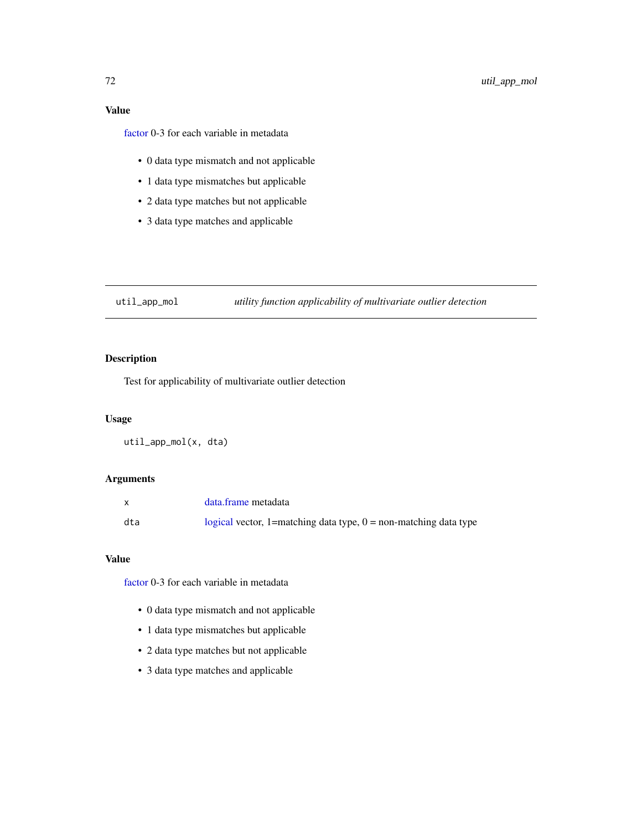# Value

[factor](#page-0-0) 0-3 for each variable in metadata

- 0 data type mismatch and not applicable
- 1 data type mismatches but applicable
- 2 data type matches but not applicable
- 3 data type matches and applicable

util\_app\_mol *utility function applicability of multivariate outlier detection*

# Description

Test for applicability of multivariate outlier detection

# Usage

util\_app\_mol(x, dta)

## Arguments

|     | data.frame metadata                                                |
|-----|--------------------------------------------------------------------|
| dta | logical vector, 1=matching data type, $0 =$ non-matching data type |

### Value

[factor](#page-0-0) 0-3 for each variable in metadata

- 0 data type mismatch and not applicable
- 1 data type mismatches but applicable
- 2 data type matches but not applicable
- 3 data type matches and applicable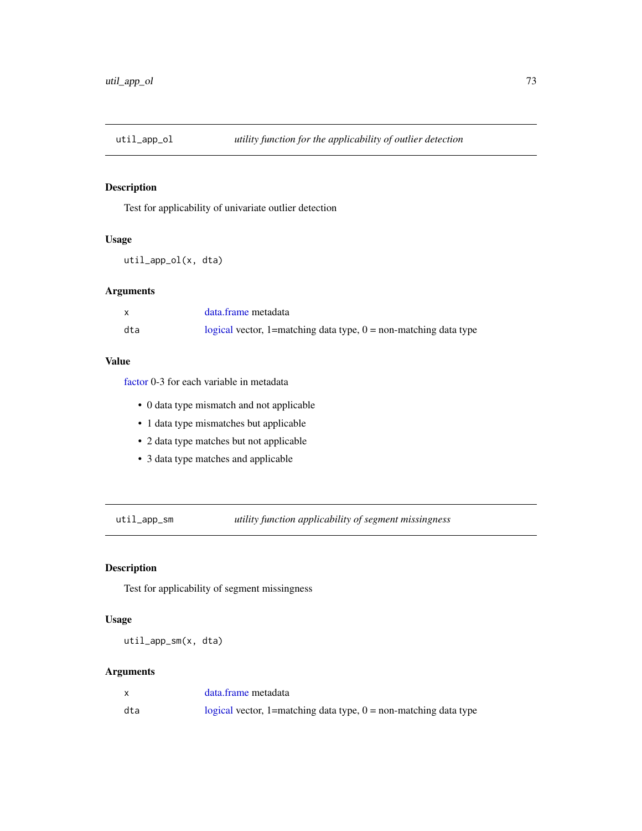Test for applicability of univariate outlier detection

## Usage

util\_app\_ol(x, dta)

# Arguments

|     | data.frame metadata                                                |
|-----|--------------------------------------------------------------------|
| dta | logical vector, 1=matching data type, $0 =$ non-matching data type |

#### Value

[factor](#page-0-0) 0-3 for each variable in metadata

- 0 data type mismatch and not applicable
- 1 data type mismatches but applicable
- 2 data type matches but not applicable
- 3 data type matches and applicable

util\_app\_sm *utility function applicability of segment missingness*

## Description

Test for applicability of segment missingness

## Usage

util\_app\_sm(x, dta)

#### Arguments

|     | data.frame metadata                                                |
|-----|--------------------------------------------------------------------|
| dta | logical vector, 1=matching data type, $0 =$ non-matching data type |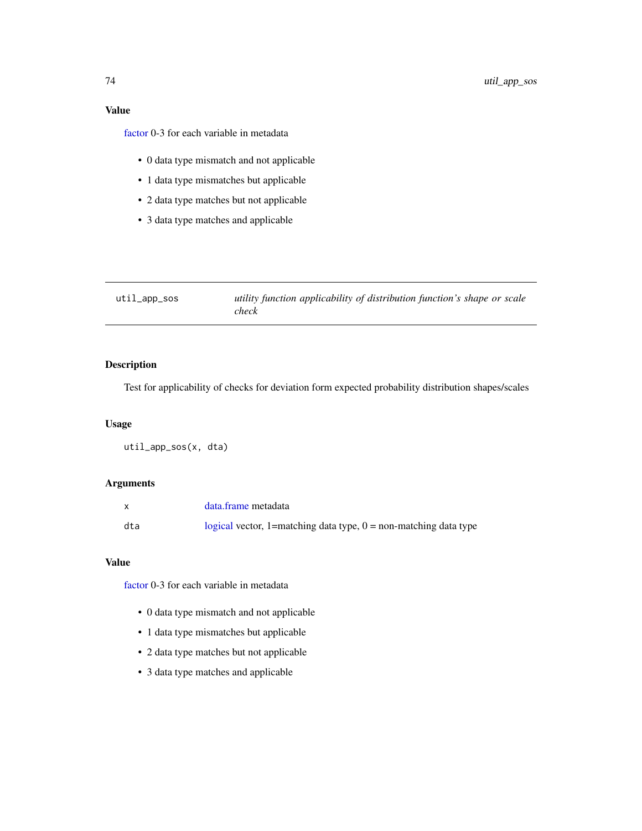# Value

[factor](#page-0-0) 0-3 for each variable in metadata

- 0 data type mismatch and not applicable
- 1 data type mismatches but applicable
- 2 data type matches but not applicable
- 3 data type matches and applicable

| $util$ _app_sos | utility function applicability of distribution function's shape or scale |
|-----------------|--------------------------------------------------------------------------|
|                 | check                                                                    |

# Description

Test for applicability of checks for deviation form expected probability distribution shapes/scales

#### Usage

util\_app\_sos(x, dta)

## Arguments

|     | data.frame metadata                                                |
|-----|--------------------------------------------------------------------|
| dta | logical vector, 1=matching data type, $0 =$ non-matching data type |

## Value

[factor](#page-0-0) 0-3 for each variable in metadata

- 0 data type mismatch and not applicable
- 1 data type mismatches but applicable
- 2 data type matches but not applicable
- 3 data type matches and applicable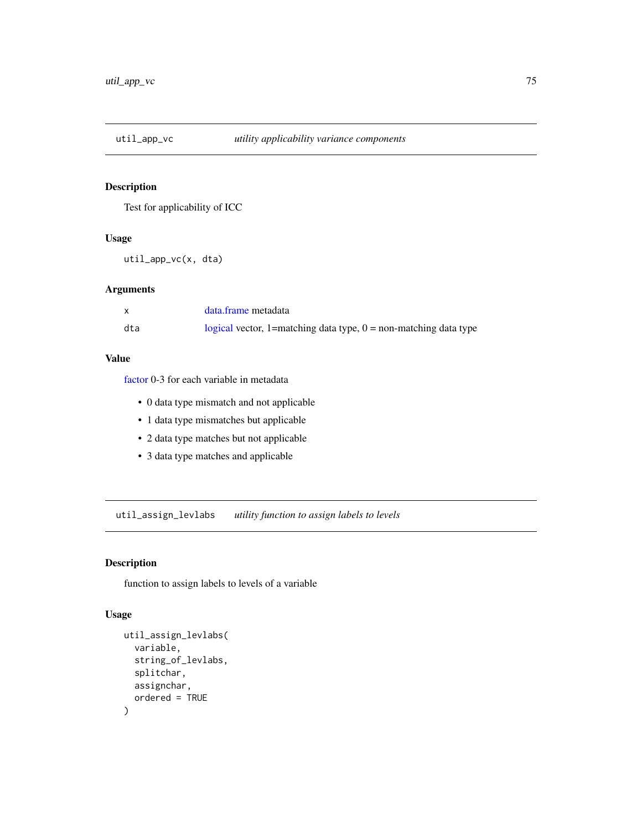<span id="page-74-0"></span>

Test for applicability of ICC

## Usage

util\_app\_vc(x, dta)

## Arguments

|     | data.frame metadata                                                |
|-----|--------------------------------------------------------------------|
| dta | logical vector, 1=matching data type, $0 =$ non-matching data type |

# Value

[factor](#page-0-0) 0-3 for each variable in metadata

- 0 data type mismatch and not applicable
- 1 data type mismatches but applicable
- 2 data type matches but not applicable
- 3 data type matches and applicable

util\_assign\_levlabs *utility function to assign labels to levels*

# Description

function to assign labels to levels of a variable

## Usage

```
util_assign_levlabs(
  variable,
  string_of_levlabs,
  splitchar,
  assignchar,
  ordered = TRUE
\mathcal{E}
```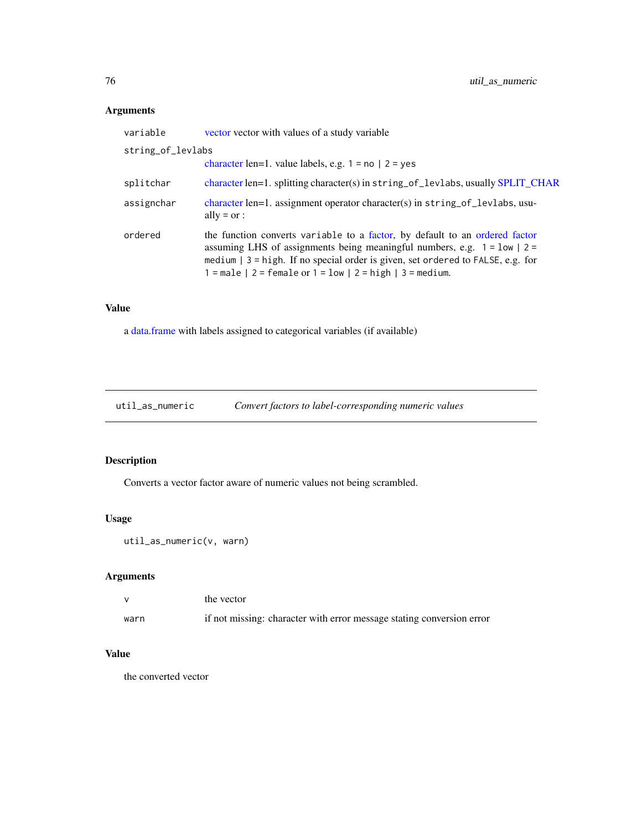# Arguments

| variable          | vector vector with values of a study variable                                                                                                                                                                                                                                                                              |  |
|-------------------|----------------------------------------------------------------------------------------------------------------------------------------------------------------------------------------------------------------------------------------------------------------------------------------------------------------------------|--|
| string_of_levlabs |                                                                                                                                                                                                                                                                                                                            |  |
|                   | character len=1. value labels, e.g. $1 = no \mid 2 = yes$                                                                                                                                                                                                                                                                  |  |
| splitchar         | character len=1. splitting character(s) in string_of_levlabs, usually SPLIT_CHAR                                                                                                                                                                                                                                           |  |
| assignchar        | character len=1. assignment operator character(s) in string_of_levlabs, usu-<br>ally = $or$ :                                                                                                                                                                                                                              |  |
| ordered           | the function converts variable to a factor, by default to an ordered factor<br>assuming LHS of assignments being meaningful numbers, e.g. $1 = \text{low}$   2 =<br>medium $\vert$ 3 = high. If no special order is given, set ordered to FALSE, e.g. for<br>$1 = male$   2 = female or $1 = low$   2 = high   3 = medium. |  |

# Value

a [data.frame](#page-0-0) with labels assigned to categorical variables (if available)

util\_as\_numeric *Convert factors to label-corresponding numeric values*

# Description

Converts a vector factor aware of numeric values not being scrambled.

## Usage

```
util_as_numeric(v, warn)
```
## Arguments

|      | the vector                                                            |
|------|-----------------------------------------------------------------------|
| warn | if not missing: character with error message stating conversion error |

## Value

the converted vector

<span id="page-75-0"></span>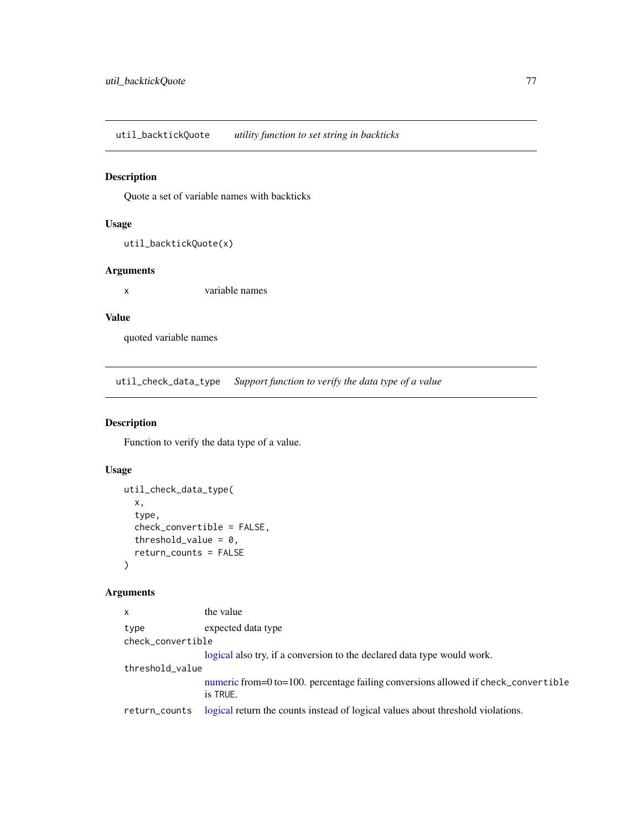<span id="page-76-0"></span>util\_backtickQuote *utility function to set string in backticks*

## Description

Quote a set of variable names with backticks

## Usage

```
util_backtickQuote(x)
```
## Arguments

x variable names

# Value

quoted variable names

util\_check\_data\_type *Support function to verify the data type of a value*

## Description

Function to verify the data type of a value.

# Usage

```
util_check_data_type(
  x,
  type,
  check_convertible = FALSE,
  threshold_value = 0,
  return_counts = FALSE
\mathcal{L}
```
## Arguments

| $\mathsf{x}$      | the value                                                                                      |  |
|-------------------|------------------------------------------------------------------------------------------------|--|
| type              | expected data type                                                                             |  |
| check_convertible |                                                                                                |  |
|                   | logical also try, if a conversion to the declared data type would work.                        |  |
| threshold_value   |                                                                                                |  |
|                   | numeric from=0 to=100. percentage failing conversions allowed if check_convertible<br>is TRUE. |  |
| return_counts     | logical return the counts instead of logical values about threshold violations.                |  |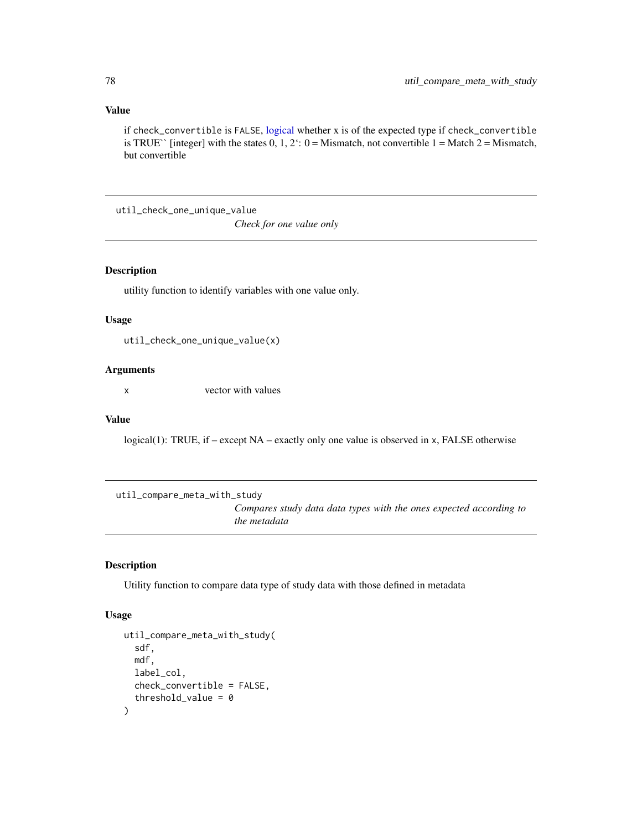## Value

if check\_convertible is FALSE, [logical](#page-0-0) whether x is of the expected type if check\_convertible is TRUE<sup> $\cdot$ </sup> [integer] with the states 0, 1, 2: 0 = Mismatch, not convertible 1 = Match 2 = Mismatch, but convertible

util\_check\_one\_unique\_value

*Check for one value only*

## Description

utility function to identify variables with one value only.

## Usage

util\_check\_one\_unique\_value(x)

## Arguments

x vector with values

#### Value

logical(1): TRUE, if – except NA – exactly only one value is observed in x, FALSE otherwise

util\_compare\_meta\_with\_study

*Compares study data data types with the ones expected according to the metadata*

## Description

Utility function to compare data type of study data with those defined in metadata

#### Usage

```
util_compare_meta_with_study(
  sdf,
 mdf,
 label_col,
 check_convertible = FALSE,
  threshold_value = 0)
```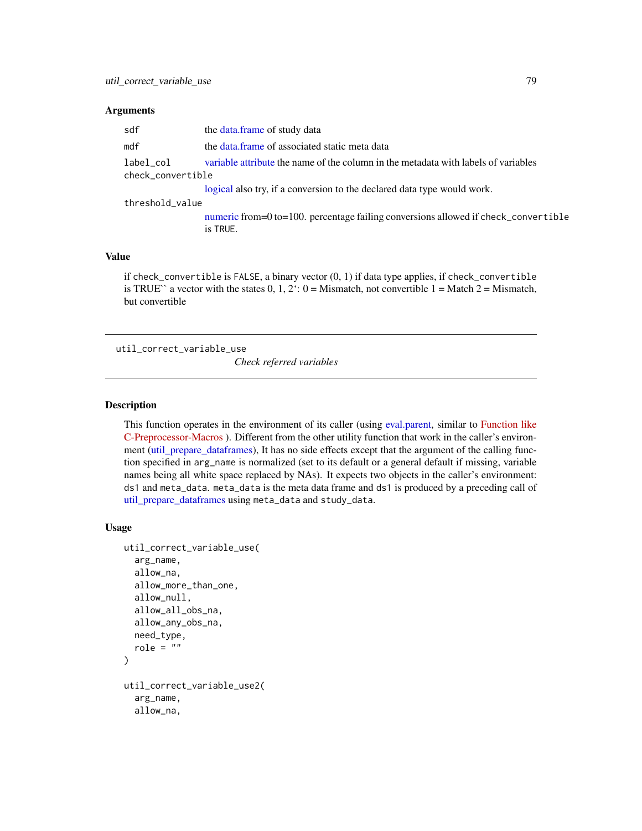#### <span id="page-78-2"></span>**Arguments**

| sdf                            | the data frame of study data                                                                   |  |
|--------------------------------|------------------------------------------------------------------------------------------------|--|
| mdf                            | the data frame of associated static meta data                                                  |  |
| label_col<br>check_convertible | variable attribute the name of the column in the metadata with labels of variables             |  |
|                                | logical also try, if a conversion to the declared data type would work.                        |  |
| threshold_value                |                                                                                                |  |
|                                | numeric from=0 to=100. percentage failing conversions allowed if check_convertible<br>is TRUE. |  |
|                                |                                                                                                |  |

#### Value

if  $check\_convertible$  is FALSE, a binary vector  $(0, 1)$  if data type applies, if  $check\_convertible$ is TRUE<sup> $\cdot$ </sup> a vector with the states 0, 1, 2: 0 = Mismatch, not convertible 1 = Match 2 = Mismatch, but convertible

<span id="page-78-0"></span>util\_correct\_variable\_use

*Check referred variables*

## <span id="page-78-1"></span>Description

This function operates in the environment of its caller (using [eval.parent,](#page-0-0) similar to [Function like](https://www.programiz.com/c-programming/c-preprocessor-macros#example-define) [C-Preprocessor-Macros](https://www.programiz.com/c-programming/c-preprocessor-macros#example-define) ). Different from the other utility function that work in the caller's environment [\(util\\_prepare\\_dataframes\)](#page-95-0), It has no side effects except that the argument of the calling function specified in arg\_name is normalized (set to its default or a general default if missing, variable names being all white space replaced by NAs). It expects two objects in the caller's environment: ds1 and meta\_data. meta\_data is the meta data frame and ds1 is produced by a preceding call of [util\\_prepare\\_dataframes](#page-95-0) using meta\_data and study\_data.

#### Usage

```
util_correct_variable_use(
  arg_name,
  allow_na,
  allow_more_than_one,
  allow_null,
  allow_all_obs_na,
  allow_any_obs_na,
  need_type,
  role = "")
util_correct_variable_use2(
  arg_name,
  allow_na,
```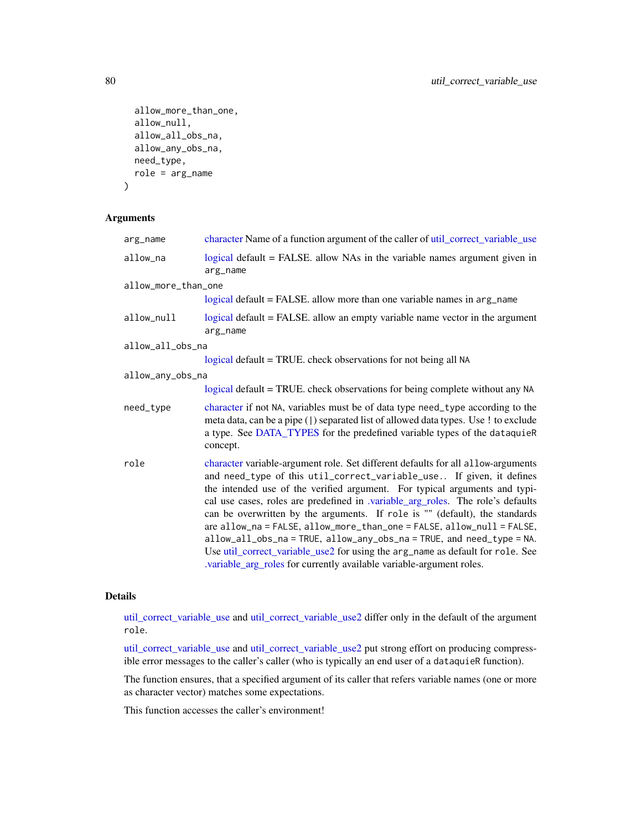```
allow_more_than_one,
  allow_null,
 allow_all_obs_na,
 allow_any_obs_na,
 need_type,
 role = arg_name
)
```
#### Arguments

| arg_name            | character Name of a function argument of the caller of util_correct_variable_use                                                                                                                                                                                                                                                                                                                                                                                                                                                                                                                                                                                                                                      |
|---------------------|-----------------------------------------------------------------------------------------------------------------------------------------------------------------------------------------------------------------------------------------------------------------------------------------------------------------------------------------------------------------------------------------------------------------------------------------------------------------------------------------------------------------------------------------------------------------------------------------------------------------------------------------------------------------------------------------------------------------------|
| allow_na            | logical default = FALSE. allow NAs in the variable names argument given in<br>arg_name                                                                                                                                                                                                                                                                                                                                                                                                                                                                                                                                                                                                                                |
| allow_more_than_one |                                                                                                                                                                                                                                                                                                                                                                                                                                                                                                                                                                                                                                                                                                                       |
|                     | logical default = FALSE. allow more than one variable names in arg_name                                                                                                                                                                                                                                                                                                                                                                                                                                                                                                                                                                                                                                               |
| allow_null          | logical default = FALSE. allow an empty variable name vector in the argument<br>arg_name                                                                                                                                                                                                                                                                                                                                                                                                                                                                                                                                                                                                                              |
| allow_all_obs_na    |                                                                                                                                                                                                                                                                                                                                                                                                                                                                                                                                                                                                                                                                                                                       |
|                     | logical default = TRUE. check observations for not being all NA                                                                                                                                                                                                                                                                                                                                                                                                                                                                                                                                                                                                                                                       |
| allow_any_obs_na    |                                                                                                                                                                                                                                                                                                                                                                                                                                                                                                                                                                                                                                                                                                                       |
|                     | logical default = TRUE. check observations for being complete without any NA                                                                                                                                                                                                                                                                                                                                                                                                                                                                                                                                                                                                                                          |
| need_type           | character if not NA, variables must be of data type need_type according to the<br>meta data, can be a pipe ( ) separated list of allowed data types. Use ! to exclude<br>a type. See DATA_TYPES for the predefined variable types of the dataquieR<br>concept.                                                                                                                                                                                                                                                                                                                                                                                                                                                        |
| role                | character variable-argument role. Set different defaults for all allow-arguments<br>and need_type of this util_correct_variable_use If given, it defines<br>the intended use of the verified argument. For typical arguments and typi-<br>cal use cases, roles are predefined in .variable_arg_roles. The role's defaults<br>can be overwritten by the arguments. If role is "" (default), the standards<br>are allow_na = FALSE, allow_more_than_one = FALSE, allow_null = FALSE,<br>allow_all_obs_na = TRUE, allow_any_obs_na = TRUE, and need_type = NA.<br>Use util_correct_variable_use2 for using the arg_name as default for role. See<br>.variable_arg_roles for currently available variable-argument roles. |

#### Details

[util\\_correct\\_variable\\_use](#page-78-0) and [util\\_correct\\_variable\\_use2](#page-78-1) differ only in the default of the argument role.

[util\\_correct\\_variable\\_use](#page-78-0) and [util\\_correct\\_variable\\_use2](#page-78-1) put strong effort on producing compressible error messages to the caller's caller (who is typically an end user of a dataquieR function).

The function ensures, that a specified argument of its caller that refers variable names (one or more as character vector) matches some expectations.

This function accesses the caller's environment!

<span id="page-79-0"></span>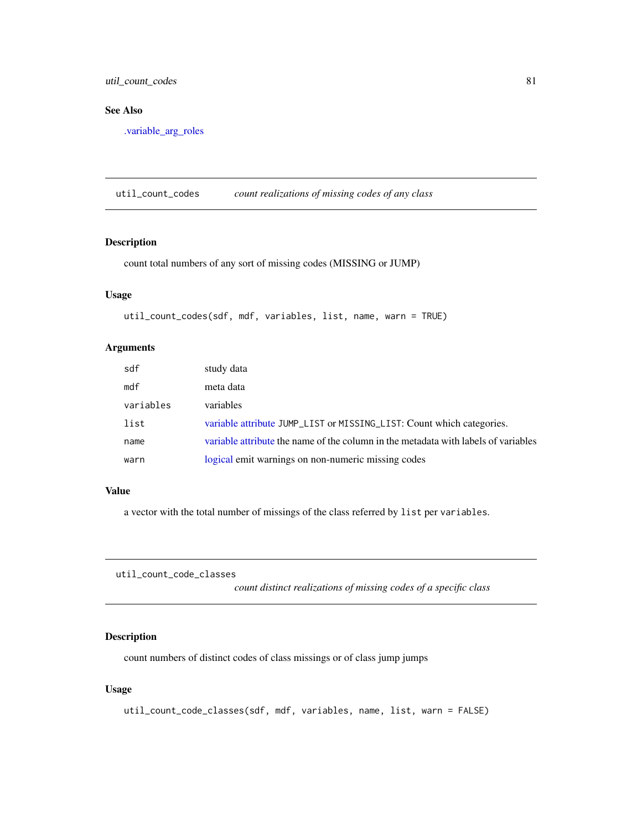<span id="page-80-0"></span>util\_count\_codes 81

## See Also

[.variable\\_arg\\_roles](#page-3-0)

util\_count\_codes *count realizations of missing codes of any class*

## Description

count total numbers of any sort of missing codes (MISSING or JUMP)

## Usage

util\_count\_codes(sdf, mdf, variables, list, name, warn = TRUE)

## Arguments

| sdf       | study data                                                                         |
|-----------|------------------------------------------------------------------------------------|
| mdf       | meta data                                                                          |
| variables | variables                                                                          |
| list      | variable attribute JUMP_LIST or MISSING_LIST: Count which categories.              |
| name      | variable attribute the name of the column in the metadata with labels of variables |
| warn      | logical emit warnings on non-numeric missing codes                                 |

## Value

a vector with the total number of missings of the class referred by list per variables.

util\_count\_code\_classes

*count distinct realizations of missing codes of a specific class*

# Description

count numbers of distinct codes of class missings or of class jump jumps

## Usage

```
util_count_code_classes(sdf, mdf, variables, name, list, warn = FALSE)
```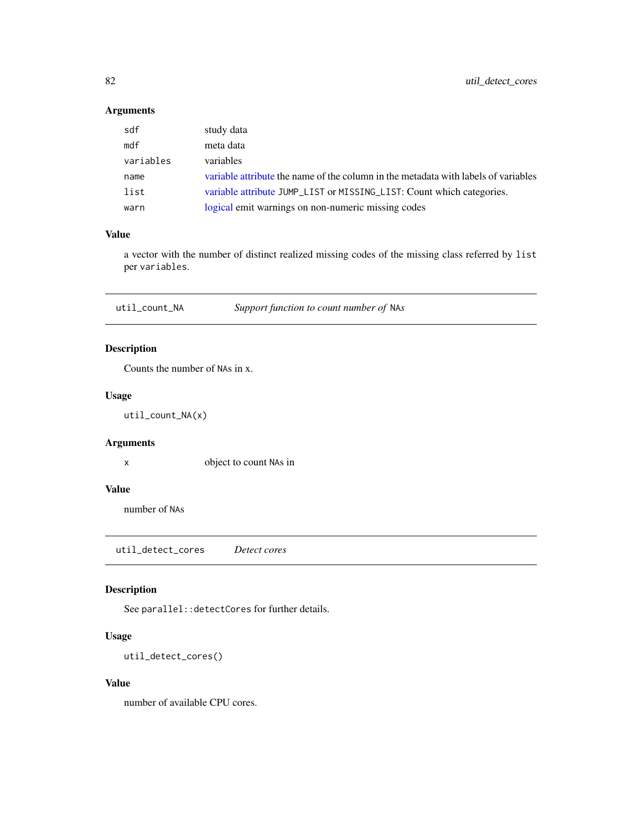# <span id="page-81-0"></span>Arguments

| sdf       | study data                                                                         |
|-----------|------------------------------------------------------------------------------------|
| mdf       | meta data                                                                          |
| variables | variables                                                                          |
| name      | variable attribute the name of the column in the metadata with labels of variables |
| list      | variable attribute JUMP_LIST or MISSING_LIST: Count which categories.              |
| warn      | logical emit warnings on non-numeric missing codes                                 |

## Value

a vector with the number of distinct realized missing codes of the missing class referred by list per variables.

util\_count\_NA *Support function to count number of* NA*s*

## Description

Counts the number of NAs in x.

## Usage

util\_count\_NA(x)

## Arguments

x object to count NAs in

#### Value

number of NAs

util\_detect\_cores *Detect cores*

# Description

See parallel::detectCores for further details.

#### Usage

```
util_detect_cores()
```
## Value

number of available CPU cores.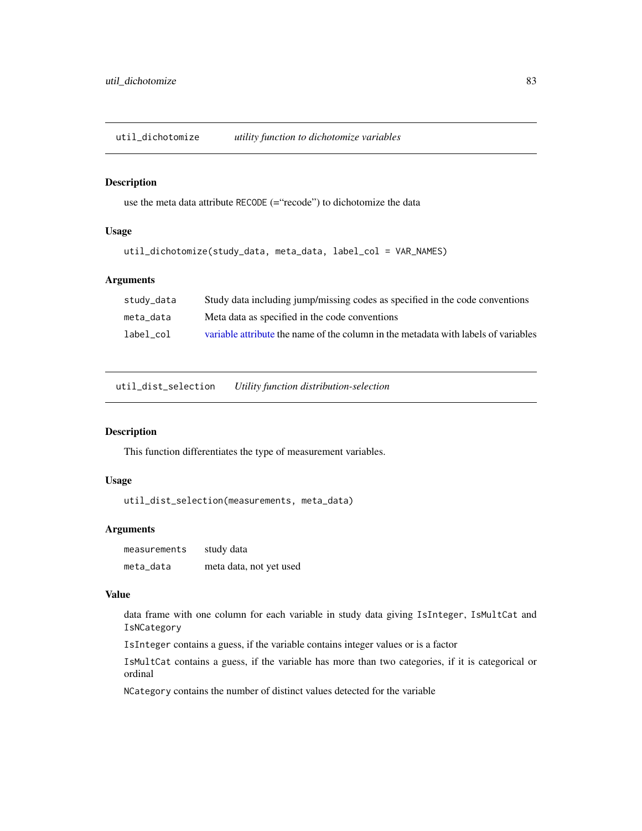util\_dichotomize *utility function to dichotomize variables*

#### Description

use the meta data attribute RECODE (="recode") to dichotomize the data

## Usage

```
util_dichotomize(study_data, meta_data, label_col = VAR_NAMES)
```
#### Arguments

| study_data | Study data including jump/missing codes as specified in the code conventions       |
|------------|------------------------------------------------------------------------------------|
| meta data  | Meta data as specified in the code conventions                                     |
| label col  | variable attribute the name of the column in the metadata with labels of variables |

util\_dist\_selection *Utility function distribution-selection*

## Description

This function differentiates the type of measurement variables.

## Usage

util\_dist\_selection(measurements, meta\_data)

#### Arguments

measurements study data meta\_data meta data, not yet used

#### Value

data frame with one column for each variable in study data giving IsInteger, IsMultCat and IsNCategory

IsInteger contains a guess, if the variable contains integer values or is a factor

IsMultCat contains a guess, if the variable has more than two categories, if it is categorical or ordinal

NCategory contains the number of distinct values detected for the variable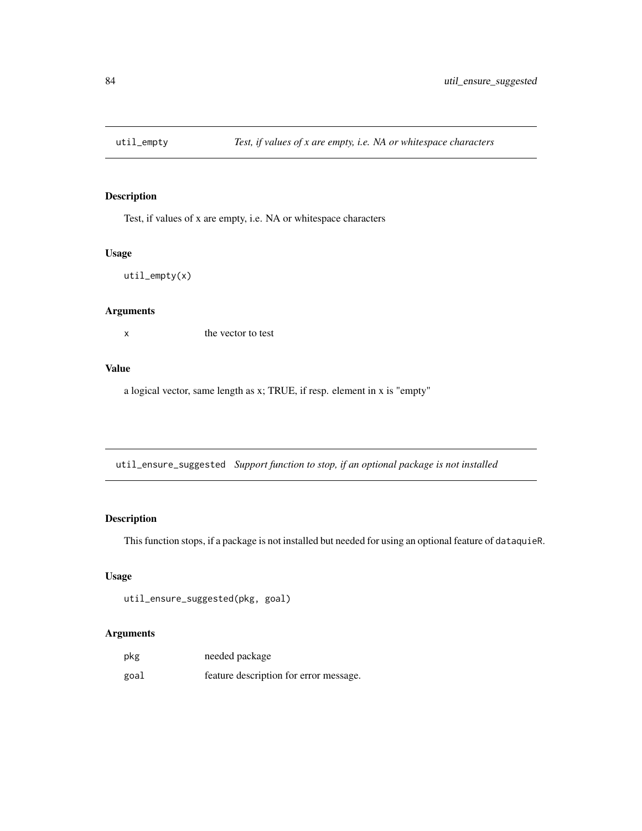Test, if values of x are empty, i.e. NA or whitespace characters

# Usage

util\_empty(x)

# Arguments

x the vector to test

## Value

a logical vector, same length as x; TRUE, if resp. element in x is "empty"

util\_ensure\_suggested *Support function to stop, if an optional package is not installed*

# Description

This function stops, if a package is not installed but needed for using an optional feature of dataquieR.

#### Usage

```
util_ensure_suggested(pkg, goal)
```
## Arguments

| pkg  | needed package                         |
|------|----------------------------------------|
| goal | feature description for error message. |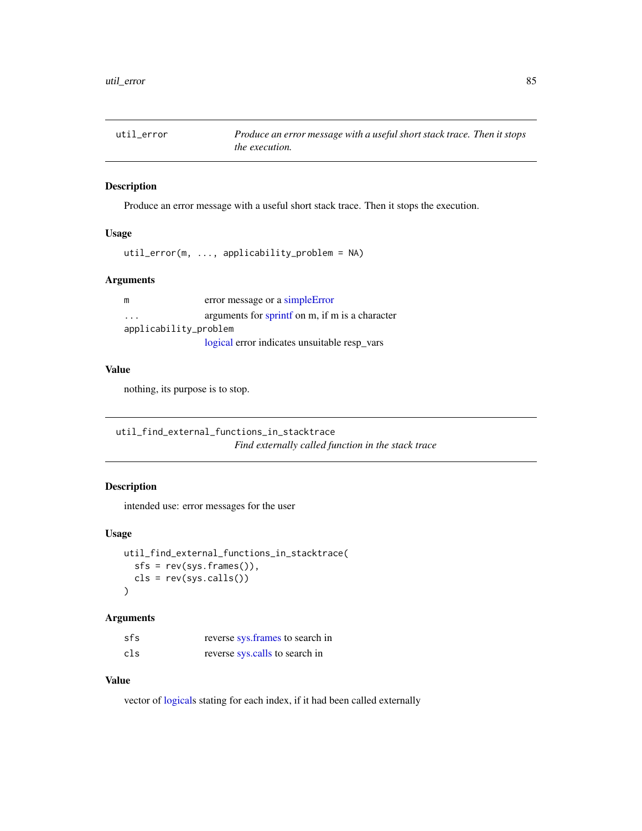<span id="page-84-0"></span>

Produce an error message with a useful short stack trace. Then it stops the execution.

## Usage

```
util_error(m, ..., applicability_problem = NA)
```
## Arguments

| m                       | error message or a simple Error                |  |
|-------------------------|------------------------------------------------|--|
| $\cdot$ $\cdot$ $\cdot$ | arguments for sprint on m, if m is a character |  |
| applicability_problem   |                                                |  |
|                         | logical error indicates unsuitable resp_vars   |  |

# Value

nothing, its purpose is to stop.

util\_find\_external\_functions\_in\_stacktrace *Find externally called function in the stack trace*

## Description

intended use: error messages for the user

## Usage

```
util_find_external_functions_in_stacktrace(
  sfs = rev(sys.frames()),
  cls = rev(sys.calls())
\mathcal{L}
```
## Arguments

| sfs | reverse sys. frames to search in |
|-----|----------------------------------|
| cls | reverse sys.calls to search in   |

# Value

vector of [logicals](#page-0-0) stating for each index, if it had been called externally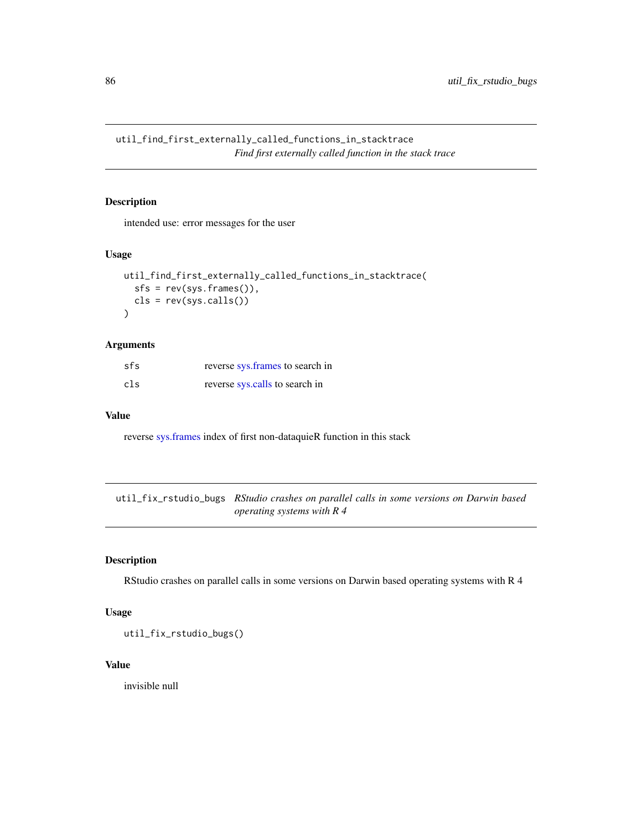<span id="page-85-0"></span>util\_find\_first\_externally\_called\_functions\_in\_stacktrace *Find first externally called function in the stack trace*

## Description

intended use: error messages for the user

## Usage

```
util_find_first_externally_called_functions_in_stacktrace(
  sfs = rev(sys.frames()),
 cls = rev(sys.class())\lambda
```
## Arguments

| sfs | reverse sys. frames to search in |
|-----|----------------------------------|
| cls | reverse sys.calls to search in   |

#### Value

reverse [sys.frames](#page-0-0) index of first non-dataquieR function in this stack

util\_fix\_rstudio\_bugs *RStudio crashes on parallel calls in some versions on Darwin based operating systems with R 4*

## Description

RStudio crashes on parallel calls in some versions on Darwin based operating systems with R 4

## Usage

util\_fix\_rstudio\_bugs()

## Value

invisible null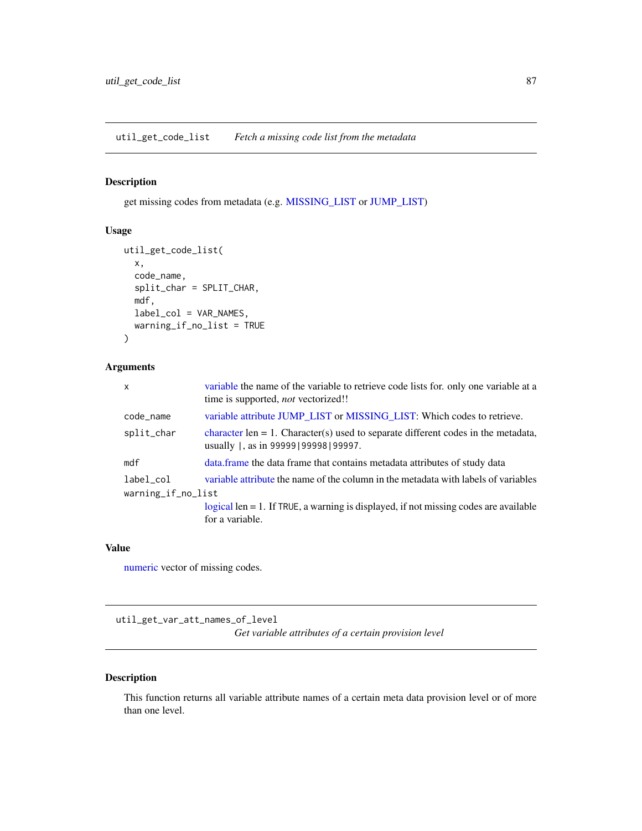<span id="page-86-0"></span>util\_get\_code\_list *Fetch a missing code list from the metadata*

## Description

get missing codes from metadata (e.g. [MISSING\\_LIST](#page-103-0) or [JUMP\\_LIST\)](#page-103-0)

# Usage

```
util_get_code_list(
 x,
 code_name,
  split_char = SPLIT_CHAR,
 mdf,
 label_col = VAR_NAMES,
 warning_if_no_list = TRUE
)
```
## Arguments

| $\mathsf{x}$       | variable the name of the variable to retrieve code lists for, only one variable at a<br>time is supported, <i>not</i> vectorized!! |  |
|--------------------|------------------------------------------------------------------------------------------------------------------------------------|--|
| code_name          | variable attribute JUMP LIST or MISSING LIST: Which codes to retrieve.                                                             |  |
| split_char         | character len $= 1$ . Character(s) used to separate different codes in the metadata,<br>usually  , as in 99999   99998   99997.    |  |
| mdf                | data frame the data frame that contains metadata attributes of study data                                                          |  |
| label_col          | variable attribute the name of the column in the metadata with labels of variables                                                 |  |
| warning_if_no_list |                                                                                                                                    |  |
|                    | $logical len = 1$ . If TRUE, a warning is displayed, if not missing codes are available                                            |  |
|                    | for a variable.                                                                                                                    |  |

## Value

[numeric](#page-35-0) vector of missing codes.

util\_get\_var\_att\_names\_of\_level *Get variable attributes of a certain provision level*

## Description

This function returns all variable attribute names of a certain meta data provision level or of more than one level.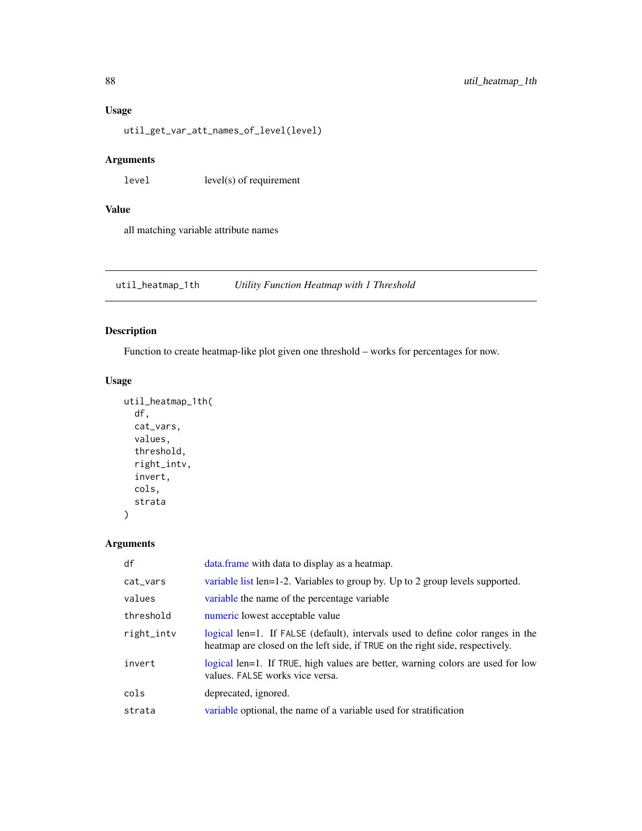## Usage

util\_get\_var\_att\_names\_of\_level(level)

## Arguments

 $level(s)$  of requirement

# Value

all matching variable attribute names

util\_heatmap\_1th *Utility Function Heatmap with 1 Threshold*

## Description

Function to create heatmap-like plot given one threshold – works for percentages for now.

# Usage

```
util_heatmap_1th(
  df,
  cat_vars,
 values,
  threshold,
  right_intv,
  invert,
  cols,
  strata
)
```
# Arguments

| df         | data. frame with data to display as a heatmap.                                                                                                                   |
|------------|------------------------------------------------------------------------------------------------------------------------------------------------------------------|
| cat_vars   | variable list len=1-2. Variables to group by. Up to 2 group levels supported.                                                                                    |
| values     | variable the name of the percentage variable                                                                                                                     |
| threshold  | numeric lowest acceptable value                                                                                                                                  |
| right_intv | logical len=1. If FALSE (default), intervals used to define color ranges in the<br>heatmap are closed on the left side, if TRUE on the right side, respectively. |
| invert     | logical len=1. If TRUE, high values are better, warning colors are used for low<br>values. FALSE works vice versa.                                               |
| cols       | deprecated, ignored.                                                                                                                                             |
| strata     | variable optional, the name of a variable used for stratification                                                                                                |

<span id="page-87-0"></span>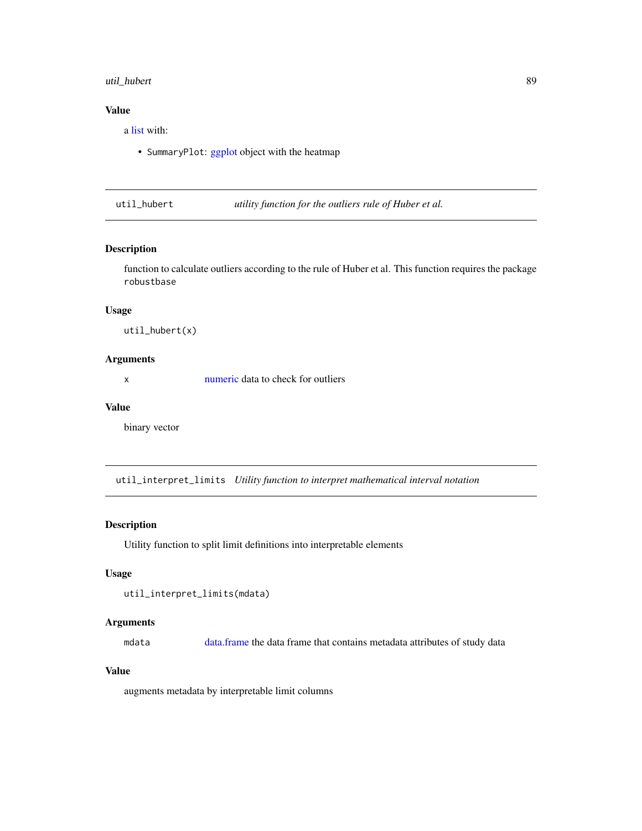## <span id="page-88-0"></span>util\_hubert 89

## Value

a [list](#page-0-0) with:

• SummaryPlot: [ggplot](#page-0-0) object with the heatmap

util\_hubert *utility function for the outliers rule of Huber et al.*

## Description

function to calculate outliers according to the rule of Huber et al. This function requires the package robustbase

## Usage

util\_hubert(x)

## Arguments

x [numeric](#page-35-0) data to check for outliers

#### Value

binary vector

util\_interpret\_limits *Utility function to interpret mathematical interval notation*

## Description

Utility function to split limit definitions into interpretable elements

#### Usage

```
util_interpret_limits(mdata)
```
#### Arguments

mdata [data.frame](#page-0-0) the data frame that contains metadata attributes of study data

# Value

augments metadata by interpretable limit columns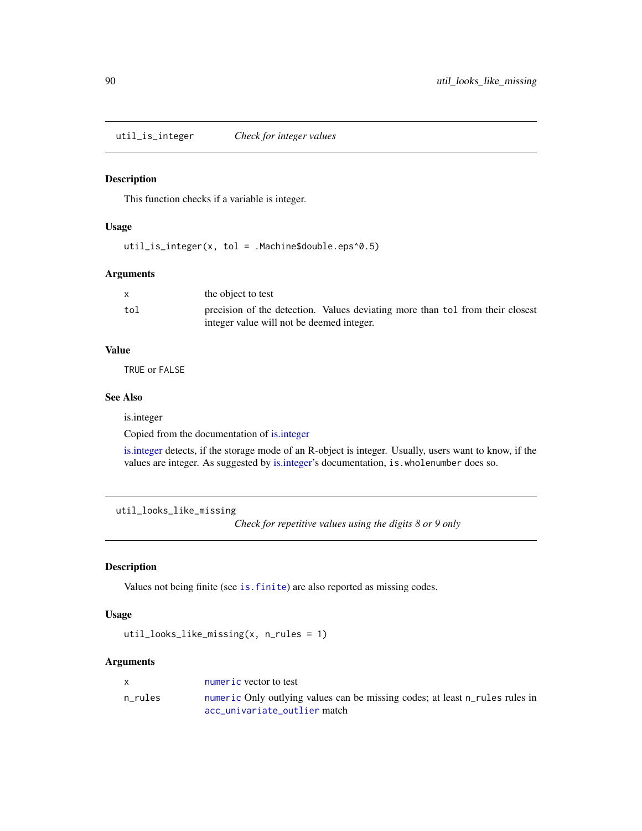<span id="page-89-0"></span>util\_is\_integer *Check for integer values*

## Description

This function checks if a variable is integer.

#### Usage

util\_is\_integer(x, tol = .Machine\$double.eps^0.5)

#### Arguments

|     | the object to test                                                                                                         |
|-----|----------------------------------------------------------------------------------------------------------------------------|
| tol | precision of the detection. Values deviating more than tol from their closest<br>integer value will not be deemed integer. |
|     |                                                                                                                            |

## Value

TRUE or FALSE

# See Also

is.integer

Copied from the documentation of [is.integer](#page-0-0)

[is.integer](#page-0-0) detects, if the storage mode of an R-object is integer. Usually, users want to know, if the values are integer. As suggested by [is.integer'](#page-0-0)s documentation, is.wholenumber does so.

```
util_looks_like_missing
```
*Check for repetitive values using the digits 8 or 9 only*

## Description

Values not being finite (see [is.finite](#page-0-0)) are also reported as missing codes.

#### Usage

util\_looks\_like\_missing(x, n\_rules = 1)

#### Arguments

| X       | numeric vector to test                                                       |
|---------|------------------------------------------------------------------------------|
| n rules | numeric Only outlying values can be missing codes; at least n_rules rules in |
|         | acc univariate outlier match                                                 |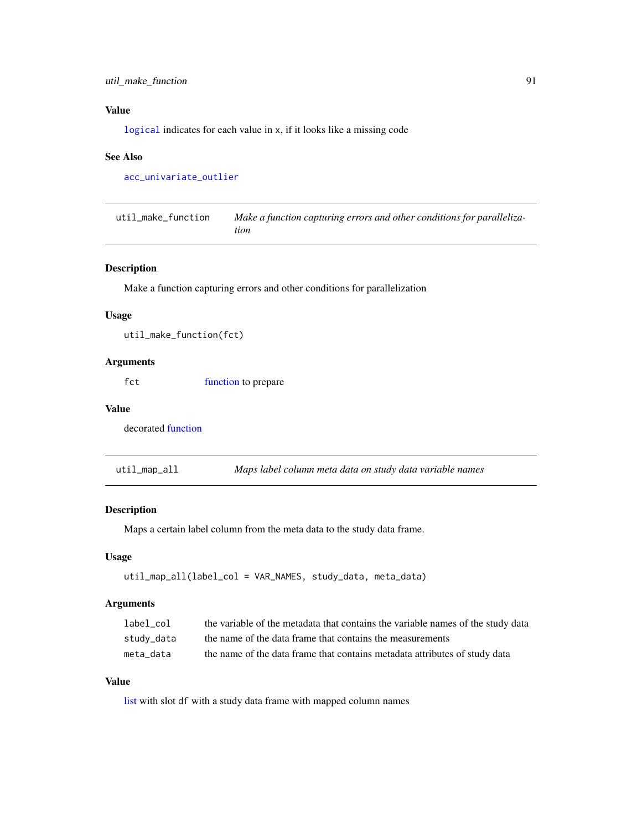# <span id="page-90-0"></span>Value

[logical](#page-0-0) indicates for each value in x, if it looks like a missing code

#### See Also

[acc\\_univariate\\_outlier](#page-15-0)

util\_make\_function *Make a function capturing errors and other conditions for parallelization*

#### Description

Make a function capturing errors and other conditions for parallelization

#### Usage

util\_make\_function(fct)

## Arguments

fct [function](#page-0-0) to prepare

#### Value

decorated [function](#page-0-0)

util\_map\_all *Maps label column meta data on study data variable names*

## Description

Maps a certain label column from the meta data to the study data frame.

#### Usage

```
util_map_all(label_col = VAR_NAMES, study_data, meta_data)
```
#### Arguments

| label col  | the variable of the metadata that contains the variable names of the study data |
|------------|---------------------------------------------------------------------------------|
| study_data | the name of the data frame that contains the measurements                       |
| meta data  | the name of the data frame that contains metadata attributes of study data      |

## Value

[list](#page-0-0) with slot df with a study data frame with mapped column names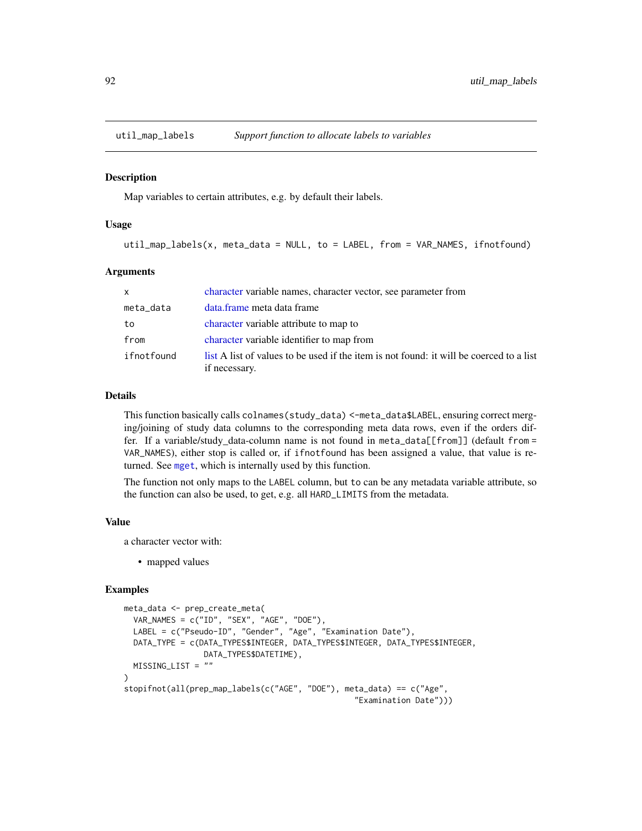<span id="page-91-0"></span>

Map variables to certain attributes, e.g. by default their labels.

#### Usage

util\_map\_labels(x, meta\_data = NULL, to = LABEL, from = VAR\_NAMES, ifnotfound)

#### Arguments

| $\mathsf{x}$ | character variable names, character vector, see parameter from                                           |
|--------------|----------------------------------------------------------------------------------------------------------|
| meta_data    | data.frame meta data frame                                                                               |
| to           | character variable attribute to map to                                                                   |
| from         | character variable identifier to map from                                                                |
| ifnotfound   | list A list of values to be used if the item is not found: it will be coerced to a list<br>if necessary. |

#### Details

This function basically calls colnames(study\_data) <-meta\_data\$LABEL, ensuring correct merging/joining of study data columns to the corresponding meta data rows, even if the orders differ. If a variable/study data-column name is not found in meta\_data[[from]] (default from = VAR\_NAMES), either stop is called or, if ifnotfound has been assigned a value, that value is returned. See [mget](#page-0-0), which is internally used by this function.

The function not only maps to the LABEL column, but to can be any metadata variable attribute, so the function can also be used, to get, e.g. all HARD\_LIMITS from the metadata.

#### Value

a character vector with:

• mapped values

#### Examples

```
meta_data <- prep_create_meta(
  VAR_NAMES = c("ID", "SEX", "AGE", "DOE"),
  LABEL = c("Pseudo-ID", "Gender", "Age", "Examination Date"),
 DATA_TYPE = c(DATA_TYPES$INTEGER, DATA_TYPES$INTEGER, DATA_TYPES$INTEGER,
                 DATA_TYPES$DATETIME),
 MISSING_LIST = ""
)
stopifnot(all(prep_map_labels(c("AGE", "DOE"), meta_data) == c("Age",
                                                  "Examination Date")))
```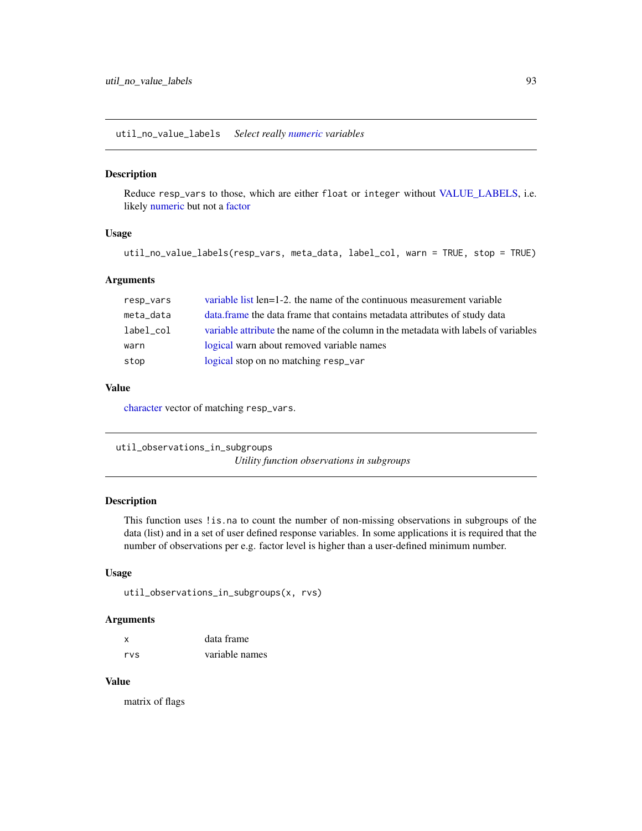<span id="page-92-0"></span>util\_no\_value\_labels *Select really [numeric](#page-35-0) variables*

## Description

Reduce resp\_vars to those, which are either float or integer without [VALUE\\_LABELS,](#page-103-0) i.e. likely [numeric](#page-35-0) but not a [factor](#page-0-0)

## Usage

```
util_no_value_labels(resp_vars, meta_data, label_col, warn = TRUE, stop = TRUE)
```
#### **Arguments**

| resp_vars | variable list len=1-2, the name of the continuous measurement variable             |
|-----------|------------------------------------------------------------------------------------|
| meta_data | data frame the data frame that contains metadata attributes of study data          |
| label col | variable attribute the name of the column in the metadata with labels of variables |
| warn      | logical warn about removed variable names                                          |
| stop      | logical stop on no matching resp_var                                               |

## Value

[character](#page-0-0) vector of matching resp\_vars.

util\_observations\_in\_subgroups *Utility function observations in subgroups*

## Description

This function uses !is.na to count the number of non-missing observations in subgroups of the data (list) and in a set of user defined response variables. In some applications it is required that the number of observations per e.g. factor level is higher than a user-defined minimum number.

## Usage

```
util_observations_in_subgroups(x, rvs)
```
#### Arguments

| X   | data frame     |  |
|-----|----------------|--|
| rvs | variable names |  |

## Value

matrix of flags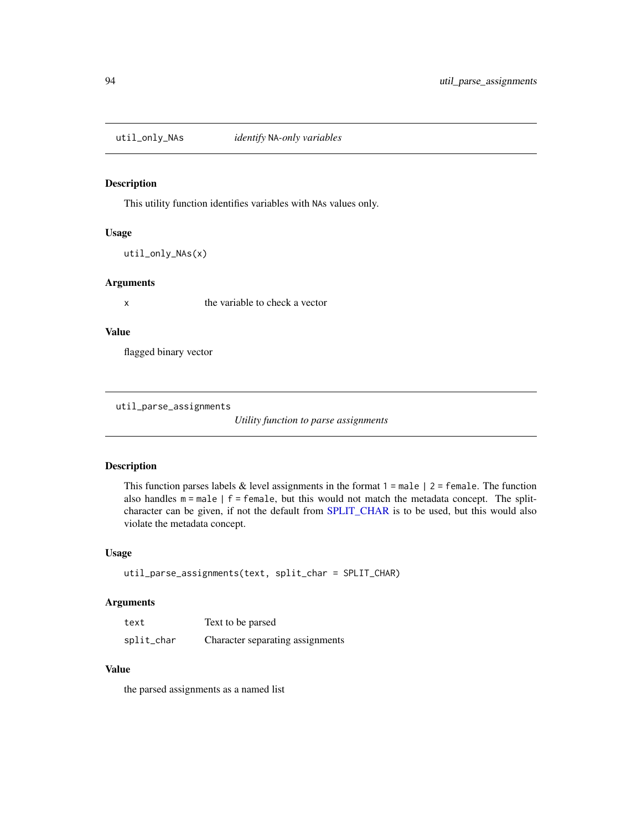<span id="page-93-0"></span>

This utility function identifies variables with NAs values only.

## Usage

util\_only\_NAs(x)

## Arguments

x the variable to check a vector

#### Value

flagged binary vector

util\_parse\_assignments

*Utility function to parse assignments*

#### Description

This function parses labels  $&$  level assignments in the format  $1 =$  male  $\mid 2 =$  female. The function also handles  $m = male \mid f = female$ , but this would not match the metadata concept. The splitcharacter can be given, if not the default from [SPLIT\\_CHAR](#page-63-0) is to be used, but this would also violate the metadata concept.

## Usage

```
util_parse_assignments(text, split_char = SPLIT_CHAR)
```
#### Arguments

| text       | Text to be parsed                |
|------------|----------------------------------|
| split_char | Character separating assignments |

# Value

the parsed assignments as a named list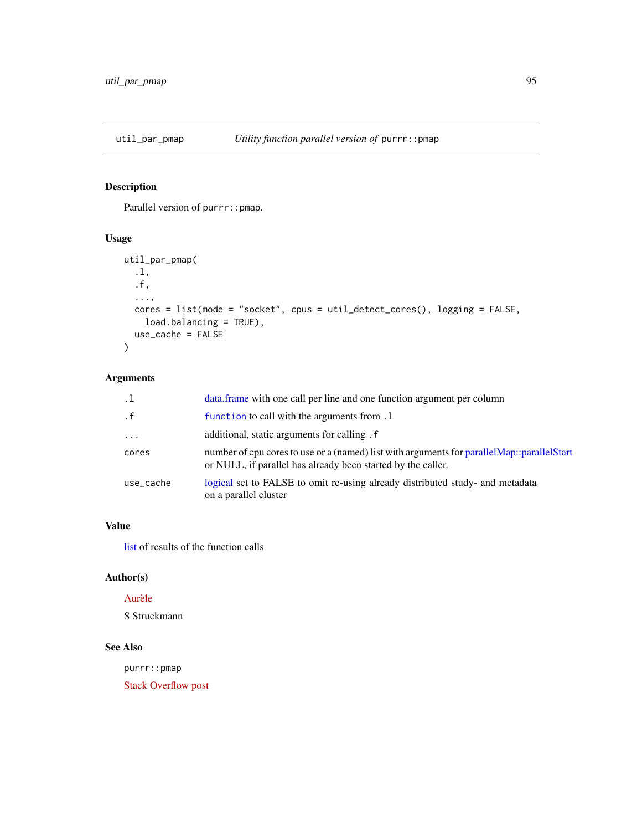<span id="page-94-0"></span>

Parallel version of purrr:: pmap.

## Usage

```
util_par_pmap(
  .l,
  .f,
  ...,
  cores = list(mode = "socket", cpus = util_detect_cores(), logging = FALSE,
    load.balancing = TRUE),
 use_cache = FALSE
\mathcal{L}
```
# Arguments

|           | data.frame with one call per line and one function argument per column                                                                                       |
|-----------|--------------------------------------------------------------------------------------------------------------------------------------------------------------|
| . f       | function to call with the arguments from .1                                                                                                                  |
| $\ddotsc$ | additional, static arguments for calling. f                                                                                                                  |
| cores     | number of cpu cores to use or a (named) list with arguments for parallel Map::parallel Start<br>or NULL, if parallel has already been started by the caller. |
| use cache | logical set to FALSE to omit re-using already distributed study- and metadata<br>on a parallel cluster                                                       |

# Value

[list](#page-0-0) of results of the function calls

# Author(s)

## [Aurèle](https://stackoverflow.com/users/6197649)

S Struckmann

## See Also

purrr::pmap

[Stack Overflow post](https://stackoverflow.com/a/47575143)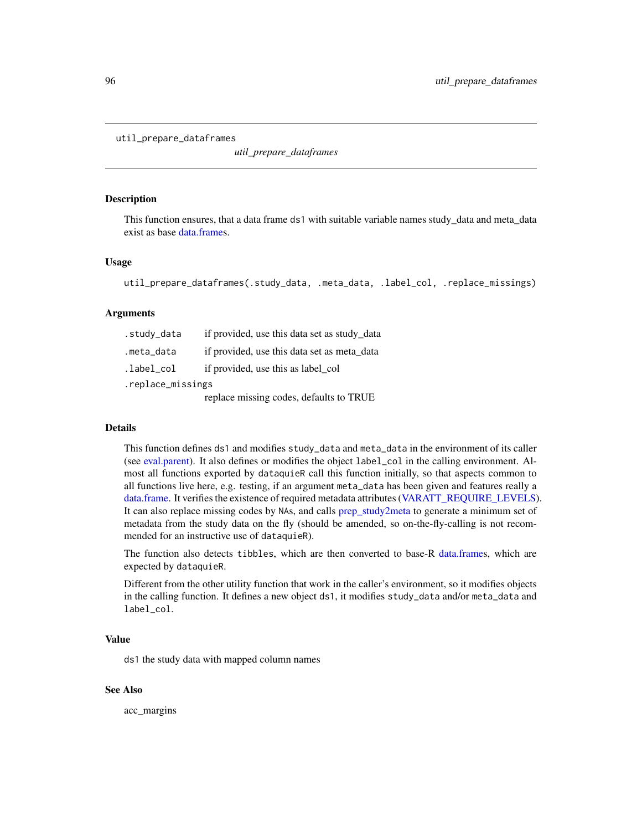```
util_prepare_dataframes
```
*util\_prepare\_dataframes*

#### **Description**

This function ensures, that a data frame ds1 with suitable variable names study\_data and meta\_data exist as base [data.frames](#page-0-0).

#### Usage

```
util_prepare_dataframes(.study_data, .meta_data, .label_col, .replace_missings)
```
#### Arguments

| .study_data       | if provided, use this data set as study_data |  |
|-------------------|----------------------------------------------|--|
| .meta_data        | if provided, use this data set as meta_data  |  |
| .label_col        | if provided, use this as label_col           |  |
| .replace_missings |                                              |  |
|                   | replace missing codes, defaults to TRUE      |  |

#### Details

This function defines ds1 and modifies study\_data and meta\_data in the environment of its caller (see [eval.parent\)](#page-0-0). It also defines or modifies the object label\_col in the calling environment. Almost all functions exported by dataquieR call this function initially, so that aspects common to all functions live here, e.g. testing, if an argument meta\_data has been given and features really a [data.frame.](#page-0-0) It verifies the existence of required metadata attributes [\(VARATT\\_REQUIRE\\_LEVELS\)](#page-102-0). It can also replace missing codes by NAs, and calls [prep\\_study2meta](#page-57-0) to generate a minimum set of metadata from the study data on the fly (should be amended, so on-the-fly-calling is not recommended for an instructive use of dataquieR).

The function also detects tibbles, which are then converted to base-R [data.frames](#page-0-0), which are expected by dataquieR.

Different from the other utility function that work in the caller's environment, so it modifies objects in the calling function. It defines a new object ds1, it modifies study\_data and/or meta\_data and label\_col.

#### Value

ds1 the study data with mapped column names

#### See Also

acc\_margins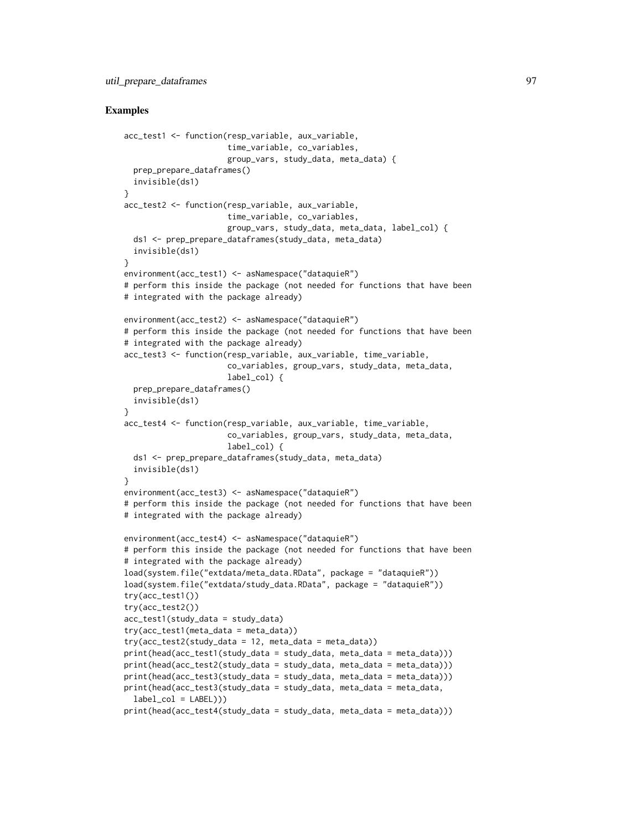#### Examples

```
acc_test1 <- function(resp_variable, aux_variable,
                      time_variable, co_variables,
                      group_vars, study_data, meta_data) {
 prep_prepare_dataframes()
 invisible(ds1)
}
acc_test2 <- function(resp_variable, aux_variable,
                      time_variable, co_variables,
                      group_vars, study_data, meta_data, label_col) {
 ds1 <- prep_prepare_dataframes(study_data, meta_data)
 invisible(ds1)
}
environment(acc_test1) <- asNamespace("dataquieR")
# perform this inside the package (not needed for functions that have been
# integrated with the package already)
environment(acc_test2) <- asNamespace("dataquieR")
# perform this inside the package (not needed for functions that have been
# integrated with the package already)
acc_test3 <- function(resp_variable, aux_variable, time_variable,
                      co_variables, group_vars, study_data, meta_data,
                      label_col) {
 prep_prepare_dataframes()
 invisible(ds1)
}
acc_test4 <- function(resp_variable, aux_variable, time_variable,
                      co_variables, group_vars, study_data, meta_data,
                      label_col) {
 ds1 <- prep_prepare_dataframes(study_data, meta_data)
 invisible(ds1)
}
environment(acc_test3) <- asNamespace("dataquieR")
# perform this inside the package (not needed for functions that have been
# integrated with the package already)
environment(acc_test4) <- asNamespace("dataquieR")
# perform this inside the package (not needed for functions that have been
# integrated with the package already)
load(system.file("extdata/meta_data.RData", package = "dataquieR"))
load(system.file("extdata/study_data.RData", package = "dataquieR"))
try(acc_test1())
try(acc_test2())
acc_test1(study_data = study_data)
try(acc_test1(meta_data = meta_data))
try(acc_test2(study_data = 12, meta_data = meta_data))print(head(acc_test1(study_data = study_data, meta_data = meta_data)))
print(head(acc_test2(study_data = study_data, meta_data = meta_data)))
print(head(acc_test3(study_data = study_data, meta_data = meta_data)))
print(head(acc_test3(study_data = study_data, meta_data = meta_data,
 label\_col = LABEL))print(head(acc_test4(study_data = study_data, meta_data = meta_data)))
```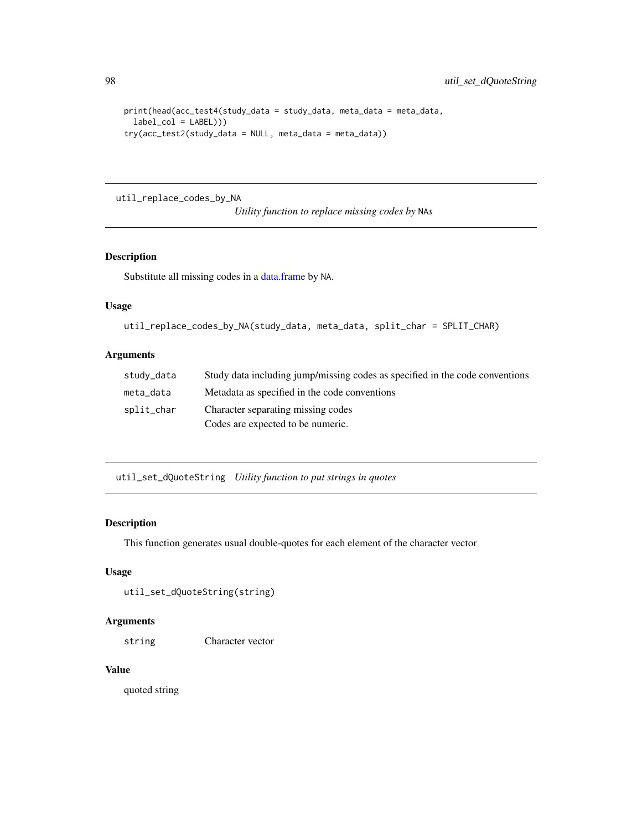```
print(head(acc_test4(study_data = study_data, meta_data = meta_data,
  label\_col = LABEL))try(acc_test2(study_data = NULL, meta_data = meta_data))
```
util\_replace\_codes\_by\_NA

*Utility function to replace missing codes by* NA*s*

## Description

Substitute all missing codes in a [data.frame](#page-0-0) by NA.

# Usage

```
util_replace_codes_by_NA(study_data, meta_data, split_char = SPLIT_CHAR)
```
#### Arguments

| study_data | Study data including jump/missing codes as specified in the code conventions |
|------------|------------------------------------------------------------------------------|
| meta data  | Metadata as specified in the code conventions                                |
| split_char | Character separating missing codes                                           |
|            | Codes are expected to be numeric.                                            |

util\_set\_dQuoteString *Utility function to put strings in quotes*

#### Description

This function generates usual double-quotes for each element of the character vector

## Usage

```
util_set_dQuoteString(string)
```
## Arguments

string Character vector

## Value

quoted string

<span id="page-97-0"></span>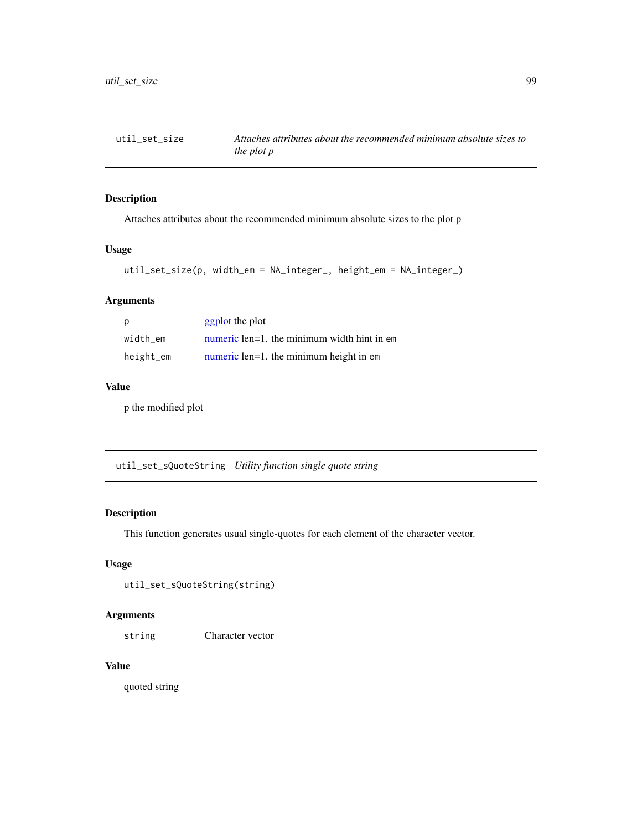<span id="page-98-0"></span>

Attaches attributes about the recommended minimum absolute sizes to the plot p

## Usage

```
util_set_size(p, width_em = NA_integer_, height_em = NA_integer_)
```
# Arguments

| p         | ggplot the plot                             |
|-----------|---------------------------------------------|
| width em  | numeric len=1. the minimum width hint in em |
| height_em | numeric len=1. the minimum height in em     |

# Value

p the modified plot

util\_set\_sQuoteString *Utility function single quote string*

## Description

This function generates usual single-quotes for each element of the character vector.

## Usage

```
util_set_sQuoteString(string)
```
# Arguments

string Character vector

# Value

quoted string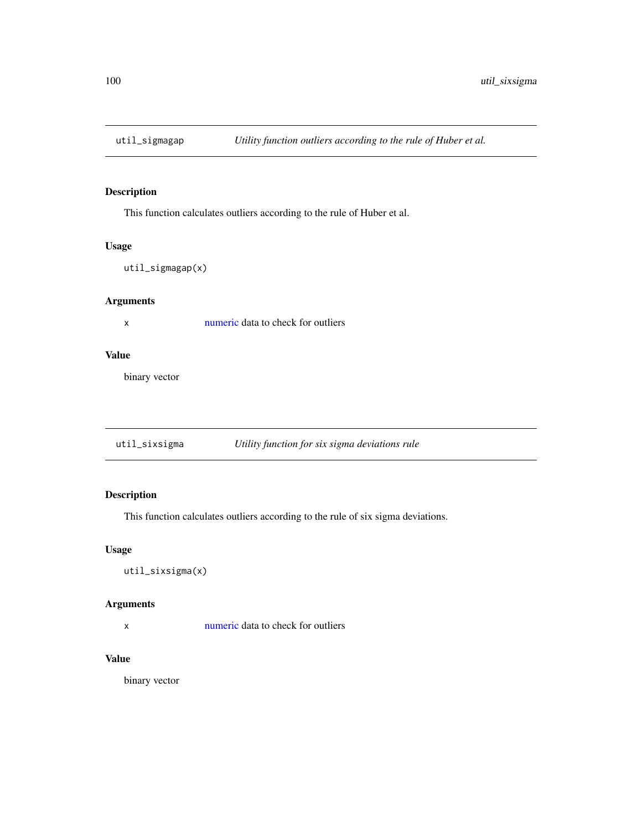This function calculates outliers according to the rule of Huber et al.

#### Usage

util\_sigmagap(x)

# Arguments

x [numeric](#page-35-0) data to check for outliers

#### Value

binary vector

util\_sixsigma *Utility function for six sigma deviations rule*

# Description

This function calculates outliers according to the rule of six sigma deviations.

## Usage

util\_sixsigma(x)

## Arguments

x [numeric](#page-35-0) data to check for outliers

## Value

binary vector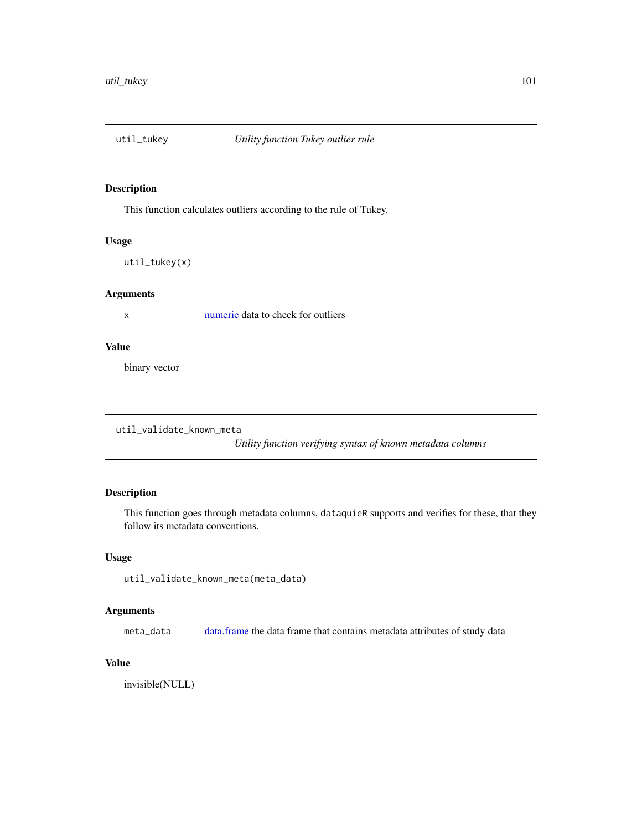<span id="page-100-0"></span>

This function calculates outliers according to the rule of Tukey.

## Usage

util\_tukey(x)

## Arguments

x [numeric](#page-35-0) data to check for outliers

#### Value

binary vector

util\_validate\_known\_meta

*Utility function verifying syntax of known metadata columns*

# Description

This function goes through metadata columns, dataquieR supports and verifies for these, that they follow its metadata conventions.

## Usage

```
util_validate_known_meta(meta_data)
```
# Arguments

meta\_data [data.frame](#page-0-0) the data frame that contains metadata attributes of study data

## Value

invisible(NULL)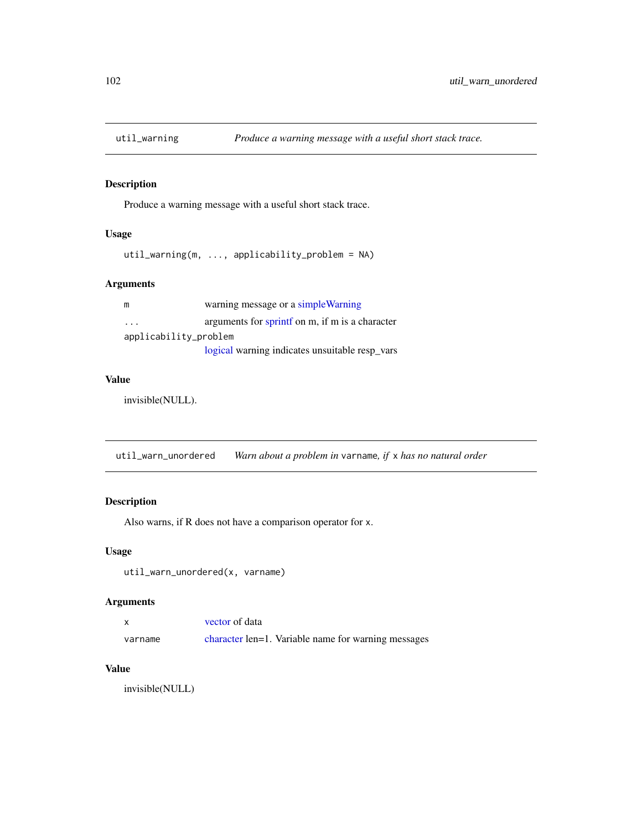<span id="page-101-0"></span>

Produce a warning message with a useful short stack trace.

## Usage

```
util_warning(m, ..., applicability_problem = NA)
```
# Arguments

| m                     | warning message or a simple Warning             |
|-----------------------|-------------------------------------------------|
| .                     | arguments for sprintf on m, if m is a character |
| applicability_problem |                                                 |
|                       | logical warning indicates unsuitable resp_vars  |

#### Value

invisible(NULL).

util\_warn\_unordered *Warn about a problem in* varname*, if* x *has no natural order*

## Description

Also warns, if R does not have a comparison operator for x.

# Usage

util\_warn\_unordered(x, varname)

## Arguments

| $\times$ | vector of data                                      |  |
|----------|-----------------------------------------------------|--|
| varname  | character len=1. Variable name for warning messages |  |

#### Value

invisible(NULL)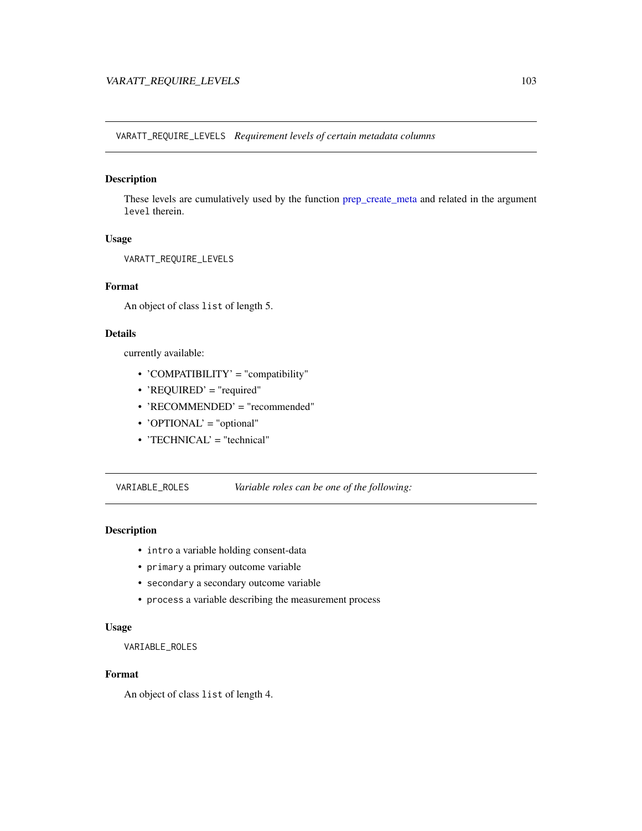<span id="page-102-1"></span><span id="page-102-0"></span>VARATT\_REQUIRE\_LEVELS *Requirement levels of certain metadata columns*

## Description

These levels are cumulatively used by the function [prep\\_create\\_meta](#page-51-0) and related in the argument level therein.

#### Usage

VARATT\_REQUIRE\_LEVELS

## Format

An object of class list of length 5.

## Details

currently available:

- 'COMPATIBILITY' = "compatibility"
- 'REQUIRED' = "required"
- 'RECOMMENDED' = "recommended"
- 'OPTIONAL' = "optional"
- 'TECHNICAL' = "technical"

VARIABLE\_ROLES *Variable roles can be one of the following:*

## Description

- intro a variable holding consent-data
- primary a primary outcome variable
- secondary a secondary outcome variable
- process a variable describing the measurement process

#### Usage

VARIABLE\_ROLES

# Format

An object of class list of length 4.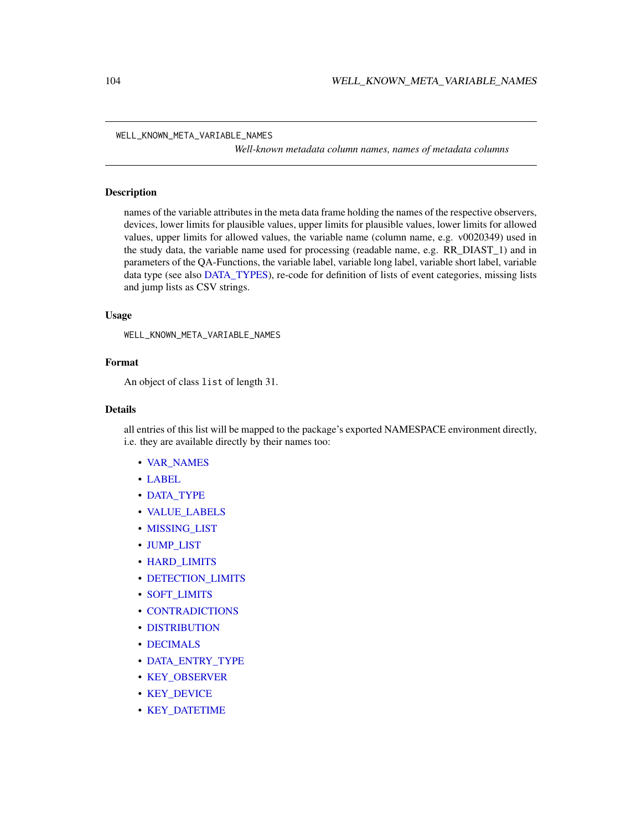<span id="page-103-1"></span>WELL\_KNOWN\_META\_VARIABLE\_NAMES

*Well-known metadata column names, names of metadata columns*

#### <span id="page-103-0"></span>Description

names of the variable attributes in the meta data frame holding the names of the respective observers, devices, lower limits for plausible values, upper limits for plausible values, lower limits for allowed values, upper limits for allowed values, the variable name (column name, e.g. v0020349) used in the study data, the variable name used for processing (readable name, e.g. RR\_DIAST\_1) and in parameters of the QA-Functions, the variable label, variable long label, variable short label, variable data type (see also [DATA\\_TYPES\)](#page-35-1), re-code for definition of lists of event categories, missing lists and jump lists as CSV strings.

#### Usage

WELL\_KNOWN\_META\_VARIABLE\_NAMES

#### Format

An object of class list of length 31.

## Details

all entries of this list will be mapped to the package's exported NAMESPACE environment directly, i.e. they are available directly by their names too:

- [VAR\\_NAMES](#page-103-0)
- [LABEL](#page-103-0)
- [DATA\\_TYPE](#page-103-0)
- [VALUE\\_LABELS](#page-103-0)
- [MISSING\\_LIST](#page-103-0)
- [JUMP\\_LIST](#page-103-0)
- [HARD\\_LIMITS](#page-103-0)
- DETECTION LIMITS
- [SOFT\\_LIMITS](#page-103-0)
- [CONTRADICTIONS](#page-103-0)
- [DISTRIBUTION](#page-103-0)
- [DECIMALS](#page-103-0)
- [DATA\\_ENTRY\\_TYPE](#page-103-0)
- [KEY\\_OBSERVER](#page-103-0)
- [KEY\\_DEVICE](#page-103-0)
- [KEY\\_DATETIME](#page-103-0)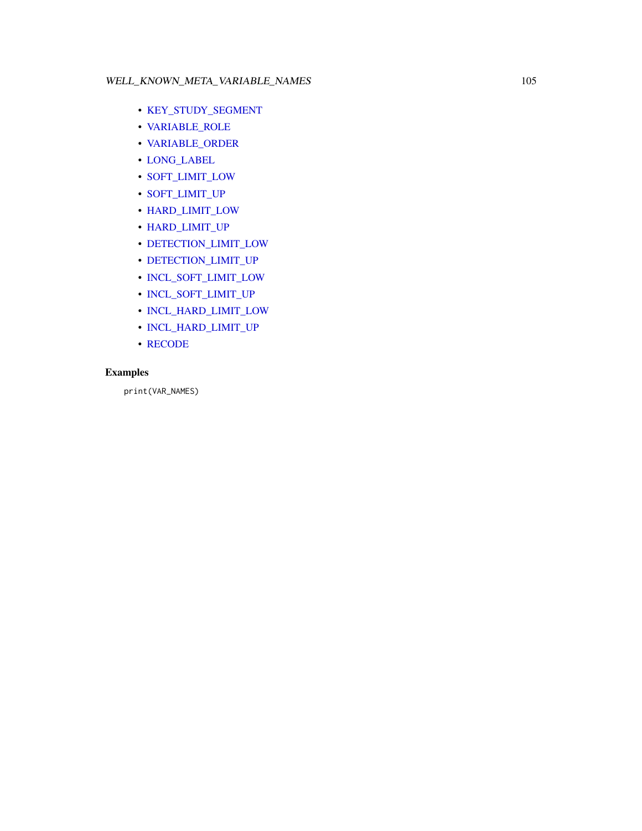# <span id="page-104-0"></span>WELL\_KNOWN\_META\_VARIABLE\_NAMES 105

- [KEY\\_STUDY\\_SEGMENT](#page-103-0)
- [VARIABLE\\_ROLE](#page-103-0)
- [VARIABLE\\_ORDER](#page-103-0)
- [LONG\\_LABEL](#page-103-0)
- [SOFT\\_LIMIT\\_LOW](#page-103-0)
- [SOFT\\_LIMIT\\_UP](#page-103-0)
- [HARD\\_LIMIT\\_LOW](#page-103-0)
- [HARD\\_LIMIT\\_UP](#page-103-0)
- [DETECTION\\_LIMIT\\_LOW](#page-103-0)
- [DETECTION\\_LIMIT\\_UP](#page-103-0)
- [INCL\\_SOFT\\_LIMIT\\_LOW](#page-103-0)
- [INCL\\_SOFT\\_LIMIT\\_UP](#page-103-0)
- [INCL\\_HARD\\_LIMIT\\_LOW](#page-103-0)
- [INCL\\_HARD\\_LIMIT\\_UP](#page-103-0)
- [RECODE](#page-103-0)

# Examples

print(VAR\_NAMES)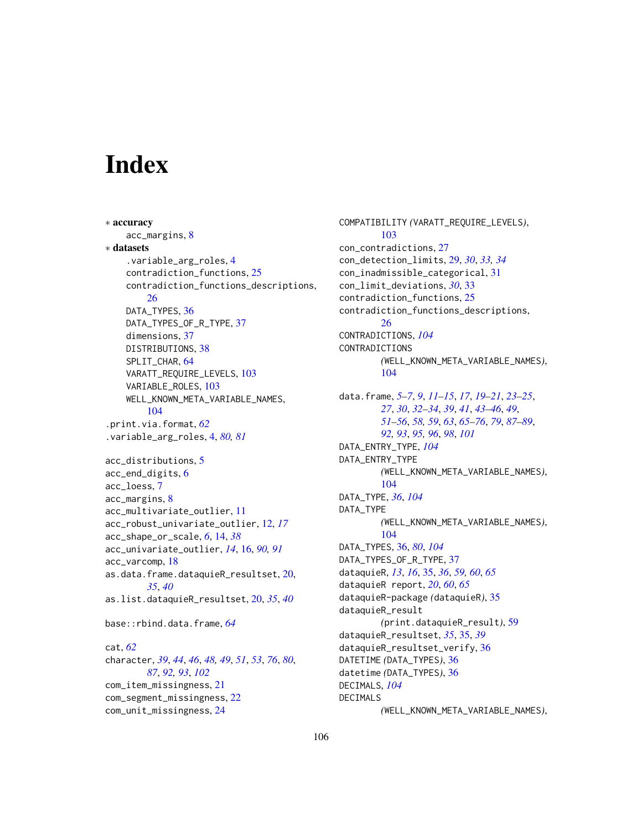# **Index**

∗ accuracy acc\_margins, [8](#page-7-0) ∗ datasets .variable\_arg\_roles, [4](#page-3-1) contradiction\_functions, [25](#page-24-0) contradiction\_functions\_descriptions, [26](#page-25-0) DATA\_TYPES, [36](#page-35-2) DATA\_TYPES\_OF\_R\_TYPE, [37](#page-36-0) dimensions, [37](#page-36-0) DISTRIBUTIONS, [38](#page-37-0) SPLIT\_CHAR, [64](#page-63-1) VARATT\_REQUIRE\_LEVELS, [103](#page-102-1) VARIABLE\_ROLES, [103](#page-102-1) WELL\_KNOWN\_META\_VARIABLE\_NAMES, [104](#page-103-1) .print.via.format, *[62](#page-61-0)* .variable\_arg\_roles, [4,](#page-3-1) *[80,](#page-79-0) [81](#page-80-0)* acc\_distributions, [5](#page-4-0) acc\_end\_digits, [6](#page-5-0) acc\_loess, [7](#page-6-0) acc\_margins, [8](#page-7-0) acc\_multivariate\_outlier, [11](#page-10-0) acc\_robust\_univariate\_outlier, [12,](#page-11-0) *[17](#page-16-0)* acc\_shape\_or\_scale, *[6](#page-5-0)*, [14,](#page-13-0) *[38](#page-37-0)* acc\_univariate\_outlier, *[14](#page-13-0)*, [16,](#page-15-1) *[90,](#page-89-0) [91](#page-90-0)* acc\_varcomp, [18](#page-17-0) as.data.frame.dataquieR\_resultset, [20,](#page-19-0) *[35](#page-34-0)*, *[40](#page-39-0)* as.list.dataquieR\_resultset, [20,](#page-19-0) *[35](#page-34-0)*, *[40](#page-39-0)* base::rbind.data.frame, *[64](#page-63-1)* cat, *[62](#page-61-0)* character, *[39](#page-38-0)*, *[44](#page-43-0)*, *[46](#page-45-0)*, *[48,](#page-47-0) [49](#page-48-0)*, *[51](#page-50-0)*, *[53](#page-52-0)*, *[76](#page-75-0)*, *[80](#page-79-0)*, *[87](#page-86-0)*, *[92,](#page-91-0) [93](#page-92-0)*, *[102](#page-101-0)* com\_item\_missingness, [21](#page-20-0) com\_segment\_missingness, [22](#page-21-0) com\_unit\_missingness, [24](#page-23-0)

COMPATIBILITY *(*VARATT\_REQUIRE\_LEVELS*)*, [103](#page-102-1) con\_contradictions, [27](#page-26-0) con\_detection\_limits, [29,](#page-28-0) *[30](#page-29-0)*, *[33,](#page-32-0) [34](#page-33-0)* con\_inadmissible\_categorical, [31](#page-30-0) con\_limit\_deviations, *[30](#page-29-0)*, [33](#page-32-0) contradiction\_functions, [25](#page-24-0) contradiction\_functions\_descriptions, [26](#page-25-0) CONTRADICTIONS, *[104](#page-103-1)* CONTRADICTIONS *(*WELL\_KNOWN\_META\_VARIABLE\_NAMES*)*, [104](#page-103-1) data.frame, *[5](#page-4-0)[–7](#page-6-0)*, *[9](#page-8-0)*, *[11](#page-10-0)[–15](#page-14-0)*, *[17](#page-16-0)*, *[19](#page-18-0)[–21](#page-20-0)*, *[23](#page-22-0)[–25](#page-24-0)*, *[27](#page-26-0)*, *[30](#page-29-0)*, *[32](#page-31-0)[–34](#page-33-0)*, *[39](#page-38-0)*, *[41](#page-40-0)*, *[43](#page-42-0)[–46](#page-45-0)*, *[49](#page-48-0)*, *[51](#page-50-0)[–56](#page-55-0)*, *[58,](#page-57-1) [59](#page-58-0)*, *[63](#page-62-0)*, *[65](#page-64-0)[–76](#page-75-0)*, *[79](#page-78-2)*, *[87](#page-86-0)[–89](#page-88-0)*, *[92,](#page-91-0) [93](#page-92-0)*, *[95,](#page-94-0) [96](#page-95-1)*, *[98](#page-97-0)*, *[101](#page-100-0)* DATA\_ENTRY\_TYPE, *[104](#page-103-1)* DATA\_ENTRY\_TYPE *(*WELL\_KNOWN\_META\_VARIABLE\_NAMES*)*, [104](#page-103-1) DATA\_TYPE, *[36](#page-35-2)*, *[104](#page-103-1)* DATA\_TYPE *(*WELL\_KNOWN\_META\_VARIABLE\_NAMES*)*, [104](#page-103-1) DATA\_TYPES, [36,](#page-35-2) *[80](#page-79-0)*, *[104](#page-103-1)* DATA\_TYPES\_OF\_R\_TYPE, [37](#page-36-0) dataquieR, *[13](#page-12-0)*, *[16](#page-15-1)*, [35,](#page-34-0) *[36](#page-35-2)*, *[59,](#page-58-0) [60](#page-59-0)*, *[65](#page-64-0)* dataquieR report, *[20](#page-19-0)*, *[60](#page-59-0)*, *[65](#page-64-0)* dataquieR-package *(*dataquieR*)*, [35](#page-34-0) dataquieR\_result *(*print.dataquieR\_result*)*, [59](#page-58-0) dataquieR\_resultset, *[35](#page-34-0)*, [35,](#page-34-0) *[39](#page-38-0)* dataquieR\_resultset\_verify, [36](#page-35-2) DATETIME *(*DATA\_TYPES*)*, [36](#page-35-2) datetime *(*DATA\_TYPES*)*, [36](#page-35-2) DECIMALS, *[104](#page-103-1)* DECIMALS *(*WELL\_KNOWN\_META\_VARIABLE\_NAMES*)*,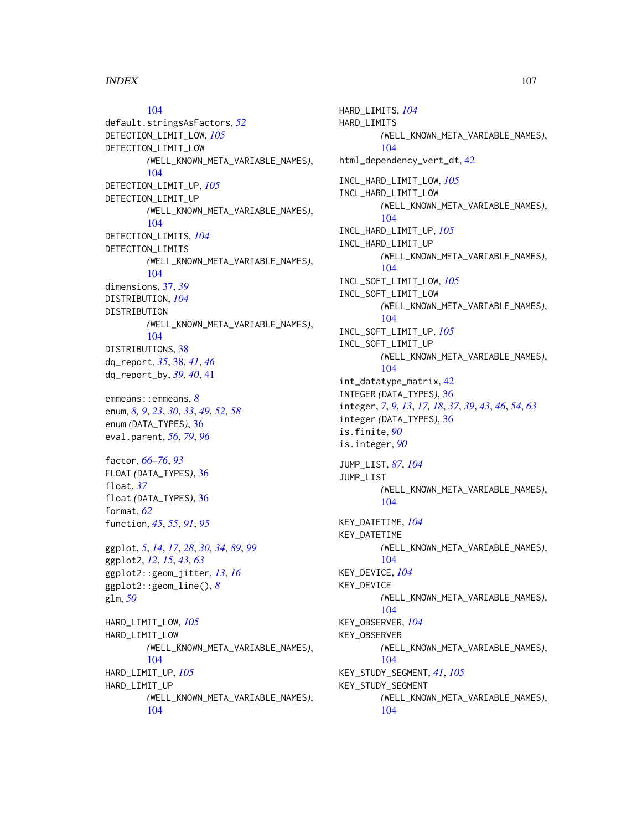#### INDEX  $107$

[104](#page-103-1)

default.stringsAsFactors, *[52](#page-51-1)* DETECTION\_LIMIT\_LOW, *[105](#page-104-0)* DETECTION\_LIMIT\_LOW *(*WELL\_KNOWN\_META\_VARIABLE\_NAMES*)*, [104](#page-103-1) DETECTION\_LIMIT\_UP, *[105](#page-104-0)* DETECTION\_LIMIT\_UP *(*WELL\_KNOWN\_META\_VARIABLE\_NAMES*)*, [104](#page-103-1) DETECTION\_LIMITS, *[104](#page-103-1)* DETECTION\_LIMITS *(*WELL\_KNOWN\_META\_VARIABLE\_NAMES*)*, [104](#page-103-1) dimensions, [37,](#page-36-0) *[39](#page-38-0)* DISTRIBUTION, *[104](#page-103-1)* DISTRIBUTION *(*WELL\_KNOWN\_META\_VARIABLE\_NAMES*)*, [104](#page-103-1) DISTRIBUTIONS, [38](#page-37-0) dq\_report, *[35](#page-34-0)*, [38,](#page-37-0) *[41](#page-40-0)*, *[46](#page-45-0)* dq\_report\_by, *[39,](#page-38-0) [40](#page-39-0)*, [41](#page-40-0)

emmeans::emmeans, *[8](#page-7-0)* enum, *[8,](#page-7-0) [9](#page-8-0)*, *[23](#page-22-0)*, *[30](#page-29-0)*, *[33](#page-32-0)*, *[49](#page-48-0)*, *[52](#page-51-1)*, *[58](#page-57-1)* enum *(*DATA\_TYPES*)*, [36](#page-35-2) eval.parent, *[56](#page-55-0)*, *[79](#page-78-2)*, *[96](#page-95-1)*

factor, *[66](#page-65-0)[–76](#page-75-0)*, *[93](#page-92-0)* FLOAT *(*DATA\_TYPES*)*, [36](#page-35-2) float, *[37](#page-36-0)* float *(*DATA\_TYPES*)*, [36](#page-35-2) format, *[62](#page-61-0)* function, *[45](#page-44-0)*, *[55](#page-54-0)*, *[91](#page-90-0)*, *[95](#page-94-0)*

ggplot, *[5](#page-4-0)*, *[14](#page-13-0)*, *[17](#page-16-0)*, *[28](#page-27-0)*, *[30](#page-29-0)*, *[34](#page-33-0)*, *[89](#page-88-0)*, *[99](#page-98-0)* ggplot2, *[12](#page-11-0)*, *[15](#page-14-0)*, *[43](#page-42-0)*, *[63](#page-62-0)* ggplot2::geom\_jitter, *[13](#page-12-0)*, *[16](#page-15-1)* ggplot2::geom\_line(), *[8](#page-7-0)* glm, *[50](#page-49-0)*

HARD\_LIMIT\_LOW, *[105](#page-104-0)* HARD\_LIMIT\_LOW *(*WELL\_KNOWN\_META\_VARIABLE\_NAMES*)*, [104](#page-103-1) HARD\_LIMIT\_UP, *[105](#page-104-0)* HARD\_LIMIT\_UP *(*WELL\_KNOWN\_META\_VARIABLE\_NAMES*)*, [104](#page-103-1)

HARD\_LIMITS, *[104](#page-103-1)* HARD\_LIMITS *(*WELL\_KNOWN\_META\_VARIABLE\_NAMES*)*, [104](#page-103-1) html\_dependency\_vert\_dt, [42](#page-41-0) INCL\_HARD\_LIMIT\_LOW, *[105](#page-104-0)* INCL\_HARD\_LIMIT\_LOW *(*WELL\_KNOWN\_META\_VARIABLE\_NAMES*)*, [104](#page-103-1) INCL\_HARD\_LIMIT\_UP, *[105](#page-104-0)* INCL\_HARD\_LIMIT\_UP *(*WELL\_KNOWN\_META\_VARIABLE\_NAMES*)*, [104](#page-103-1) INCL\_SOFT\_LIMIT\_LOW, *[105](#page-104-0)* INCL\_SOFT\_LIMIT\_LOW *(*WELL\_KNOWN\_META\_VARIABLE\_NAMES*)*, [104](#page-103-1) INCL\_SOFT\_LIMIT\_UP, *[105](#page-104-0)* INCL\_SOFT\_LIMIT\_UP *(*WELL\_KNOWN\_META\_VARIABLE\_NAMES*)*, [104](#page-103-1) int\_datatype\_matrix, [42](#page-41-0) INTEGER *(*DATA\_TYPES*)*, [36](#page-35-2) integer, *[7](#page-6-0)*, *[9](#page-8-0)*, *[13](#page-12-0)*, *[17,](#page-16-0) [18](#page-17-0)*, *[37](#page-36-0)*, *[39](#page-38-0)*, *[43](#page-42-0)*, *[46](#page-45-0)*, *[54](#page-53-0)*, *[63](#page-62-0)* integer *(*DATA\_TYPES*)*, [36](#page-35-2) is.finite, *[90](#page-89-0)* is.integer, *[90](#page-89-0)* JUMP\_LIST, *[87](#page-86-0)*, *[104](#page-103-1)* JUMP\_LIST *(*WELL\_KNOWN\_META\_VARIABLE\_NAMES*)*, [104](#page-103-1) KEY\_DATETIME, *[104](#page-103-1)* KEY\_DATETIME *(*WELL\_KNOWN\_META\_VARIABLE\_NAMES*)*, [104](#page-103-1) KEY\_DEVICE, *[104](#page-103-1)* KEY\_DEVICE *(*WELL\_KNOWN\_META\_VARIABLE\_NAMES*)*, [104](#page-103-1) KEY\_OBSERVER, *[104](#page-103-1)* KEY\_OBSERVER *(*WELL\_KNOWN\_META\_VARIABLE\_NAMES*)*, [104](#page-103-1) KEY\_STUDY\_SEGMENT, *[41](#page-40-0)*, *[105](#page-104-0)* KEY\_STUDY\_SEGMENT *(*WELL\_KNOWN\_META\_VARIABLE\_NAMES*)*, [104](#page-103-1)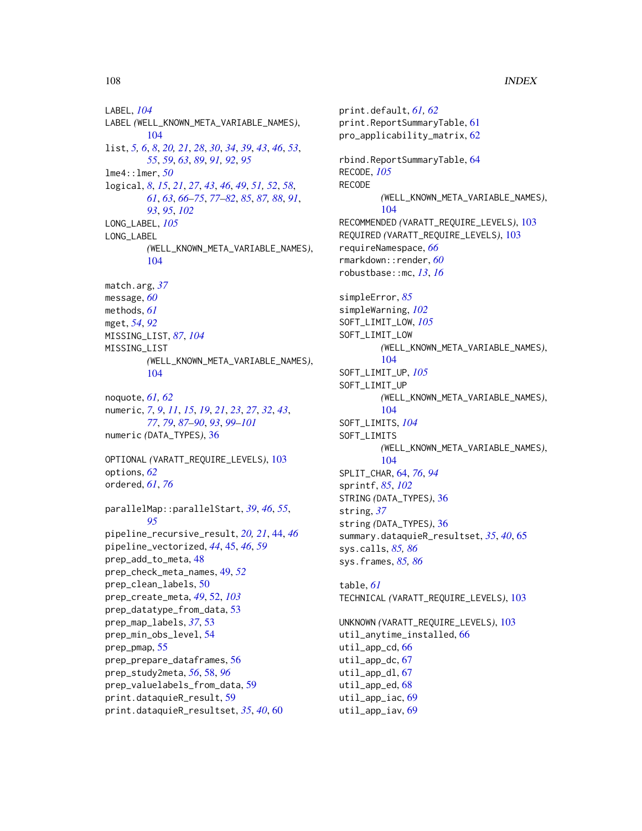LABEL, *[104](#page-103-1)* LABEL *(*WELL\_KNOWN\_META\_VARIABLE\_NAMES*)*, [104](#page-103-1) list, *[5,](#page-4-0) [6](#page-5-0)*, *[8](#page-7-0)*, *[20,](#page-19-0) [21](#page-20-0)*, *[28](#page-27-0)*, *[30](#page-29-0)*, *[34](#page-33-0)*, *[39](#page-38-0)*, *[43](#page-42-0)*, *[46](#page-45-0)*, *[53](#page-52-0)*, *[55](#page-54-0)*, *[59](#page-58-0)*, *[63](#page-62-0)*, *[89](#page-88-0)*, *[91,](#page-90-0) [92](#page-91-0)*, *[95](#page-94-0)* lme4::lmer, *[50](#page-49-0)* logical, *[8](#page-7-0)*, *[15](#page-14-0)*, *[21](#page-20-0)*, *[27](#page-26-0)*, *[43](#page-42-0)*, *[46](#page-45-0)*, *[49](#page-48-0)*, *[51,](#page-50-0) [52](#page-51-1)*, *[58](#page-57-1)*, *[61](#page-60-0)*, *[63](#page-62-0)*, *[66](#page-65-0)[–75](#page-74-0)*, *[77–](#page-76-0)[82](#page-81-0)*, *[85](#page-84-0)*, *[87,](#page-86-0) [88](#page-87-0)*, *[91](#page-90-0)*, *[93](#page-92-0)*, *[95](#page-94-0)*, *[102](#page-101-0)* LONG\_LABEL, *[105](#page-104-0)* LONG\_LABEL *(*WELL\_KNOWN\_META\_VARIABLE\_NAMES*)*, [104](#page-103-1) match.arg, *[37](#page-36-0)* message, *[60](#page-59-0)* methods, *[61](#page-60-0)* mget, *[54](#page-53-0)*, *[92](#page-91-0)* MISSING\_LIST, *[87](#page-86-0)*, *[104](#page-103-1)* MISSING\_LIST *(*WELL\_KNOWN\_META\_VARIABLE\_NAMES*)*, [104](#page-103-1) noquote, *[61,](#page-60-0) [62](#page-61-0)* numeric, *[7](#page-6-0)*, *[9](#page-8-0)*, *[11](#page-10-0)*, *[15](#page-14-0)*, *[19](#page-18-0)*, *[21](#page-20-0)*, *[23](#page-22-0)*, *[27](#page-26-0)*, *[32](#page-31-0)*, *[43](#page-42-0)*, *[77](#page-76-0)*, *[79](#page-78-2)*, *[87](#page-86-0)[–90](#page-89-0)*, *[93](#page-92-0)*, *[99–](#page-98-0)[101](#page-100-0)* numeric *(*DATA\_TYPES*)*, [36](#page-35-2) OPTIONAL *(*VARATT\_REQUIRE\_LEVELS*)*, [103](#page-102-1) options, *[62](#page-61-0)* ordered, *[61](#page-60-0)*, *[76](#page-75-0)* parallelMap::parallelStart, *[39](#page-38-0)*, *[46](#page-45-0)*, *[55](#page-54-0)*, *[95](#page-94-0)* pipeline\_recursive\_result, *[20,](#page-19-0) [21](#page-20-0)*, [44,](#page-43-0) *[46](#page-45-0)* pipeline\_vectorized, *[44](#page-43-0)*, [45,](#page-44-0) *[46](#page-45-0)*, *[59](#page-58-0)* prep\_add\_to\_meta, [48](#page-47-0) prep\_check\_meta\_names, [49,](#page-48-0) *[52](#page-51-1)* prep\_clean\_labels, [50](#page-49-0) prep\_create\_meta, *[49](#page-48-0)*, [52,](#page-51-1) *[103](#page-102-1)* prep\_datatype\_from\_data, [53](#page-52-0) prep\_map\_labels, *[37](#page-36-0)*, [53](#page-52-0) prep\_min\_obs\_level, [54](#page-53-0) prep\_pmap, [55](#page-54-0) prep\_prepare\_dataframes, [56](#page-55-0) prep\_study2meta, *[56](#page-55-0)*, [58,](#page-57-1) *[96](#page-95-1)* prep\_valuelabels\_from\_data, [59](#page-58-0) print.dataquieR\_result, [59](#page-58-0) print.dataquieR\_resultset, *[35](#page-34-0)*, *[40](#page-39-0)*, [60](#page-59-0)

print.default, *[61,](#page-60-0) [62](#page-61-0)* print.ReportSummaryTable, [61](#page-60-0) pro\_applicability\_matrix, [62](#page-61-0) rbind.ReportSummaryTable, [64](#page-63-1) RECODE, *[105](#page-104-0)* RECODE *(*WELL\_KNOWN\_META\_VARIABLE\_NAMES*)*, [104](#page-103-1) RECOMMENDED *(*VARATT\_REQUIRE\_LEVELS*)*, [103](#page-102-1) REQUIRED *(*VARATT\_REQUIRE\_LEVELS*)*, [103](#page-102-1) requireNamespace, *[66](#page-65-0)* rmarkdown::render, *[60](#page-59-0)* robustbase::mc, *[13](#page-12-0)*, *[16](#page-15-1)* simpleError, *[85](#page-84-0)* simpleWarning, *[102](#page-101-0)* SOFT\_LIMIT\_LOW, *[105](#page-104-0)* SOFT\_LIMIT\_LOW *(*WELL\_KNOWN\_META\_VARIABLE\_NAMES*)*, [104](#page-103-1) SOFT\_LIMIT\_UP, *[105](#page-104-0)* SOFT\_LIMIT\_UP *(*WELL\_KNOWN\_META\_VARIABLE\_NAMES*)*, [104](#page-103-1) SOFT\_LIMITS, *[104](#page-103-1)* SOFT\_LIMITS *(*WELL\_KNOWN\_META\_VARIABLE\_NAMES*)*, [104](#page-103-1) SPLIT\_CHAR, [64,](#page-63-1) *[76](#page-75-0)*, *[94](#page-93-0)* sprintf, *[85](#page-84-0)*, *[102](#page-101-0)* STRING *(*DATA\_TYPES*)*, [36](#page-35-2) string, *[37](#page-36-0)* string *(*DATA\_TYPES*)*, [36](#page-35-2) summary.dataquieR\_resultset, *[35](#page-34-0)*, *[40](#page-39-0)*, [65](#page-64-0) sys.calls, *[85,](#page-84-0) [86](#page-85-0)* sys.frames, *[85,](#page-84-0) [86](#page-85-0)* table, *[61](#page-60-0)* TECHNICAL *(*VARATT\_REQUIRE\_LEVELS*)*, [103](#page-102-1) UNKNOWN *(*VARATT\_REQUIRE\_LEVELS*)*, [103](#page-102-1) util\_anytime\_installed, [66](#page-65-0) util\_app\_cd, [66](#page-65-0) util\_app\_dc, [67](#page-66-0) util\_app\_dl,  $67$ util\_app\_ed, [68](#page-67-0) util\_app\_iac, [69](#page-68-0) util\_app\_iav, [69](#page-68-0)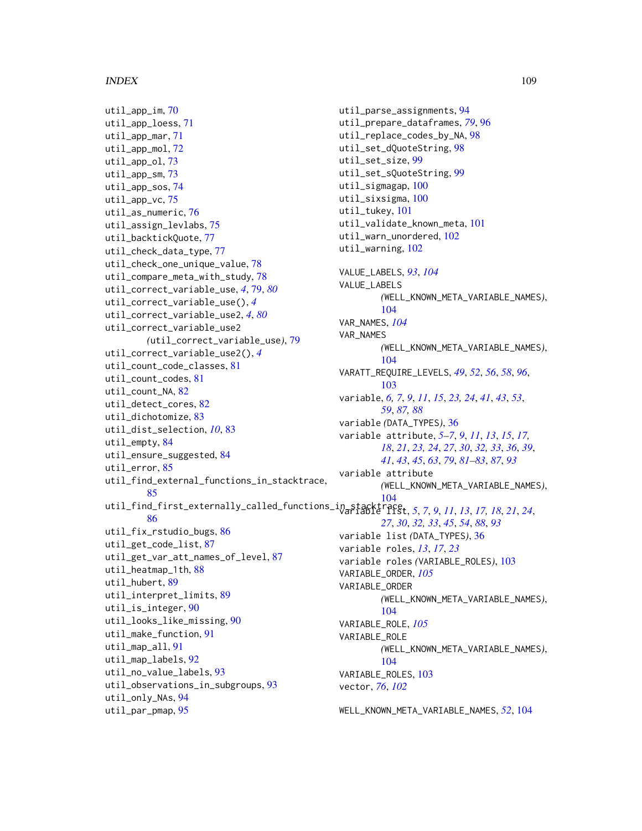```
util_app_im, 70
util_app_loess, 71
util_app_mar, 71
util_app_mol, 72
util_app_ol, 73
util_app_sm, 73
util_app_sos, 74
util_app_vc, 75
util_as_numeric, 76
util_assign_levlabs, 75
util_backtickQuote, 77
util_check_data_type, 77
util_check_one_unique_value, 78
util_compare_meta_with_study, 78
util_correct_variable_use, 4, 79, 80
util_correct_variable_use(), 4
util_correct_variable_use2, 4, 80
util_correct_variable_use2
        (util_correct_variable_use), 79
util_correct_variable_use2(), 4
util_count_code_classes, 81
util_count_codes, 81
util_count_NA, 82
util_detect_cores, 82
util_dichotomize, 83
util_dist_selection, 10, 83
util_empty, 84
util_ensure_suggested, 84
util_error, 85
util_find_external_functions_in_stacktrace,
        85
104<br>+atil_find_first_externally_called_functions_in<del>_stackt</del>race,
        86
util_fix_rstudio_bugs, 86
util_get_code_list, 87
util_get_var_att_names_of_level, 87
util_heatmap_1th, 88
util_hubert, 89
util_interpret_limits, 89
util_is_integer, 90
util_looks_like_missing, 90
util_make_function, 91
util_map_all, 91
util_map_labels, 92
util_no_value_labels, 93
util_observations_in_subgroups, 93
util_only_NAs, 94
util_par_pmap, 95
```

```
util_parse_assignments, 94
util_prepare_dataframes, 79, 96
util_replace_codes_by_NA, 98
util_set_dQuoteString, 98
util_set_size, 99
util_set_sQuoteString, 99
util_sigmagap, 100
util_sixsigma, 100
util_tukey, 101
util_validate_known_meta, 101
util_warn_unordered, 102
util_warning, 102
VALUE_LABELS, 93, 104
VALUE_LABELS
         (WELL_KNOWN_META_VARIABLE_NAMES),
         104
VAR_NAMES, 104
VAR_NAMES
         (WELL_KNOWN_META_VARIABLE_NAMES),
         104
VARATT_REQUIRE_LEVELS, 49, 52, 56, 58, 96,
         103
variable, 6, 7, 9, 11, 15, 23, 24, 41, 43, 53,
        59, 87, 88
variable (DATA_TYPES), 36
variable attribute, 5–7, 9, 11, 13, 15, 17,
         18, 21, 23, 24, 27, 30, 32, 33, 36, 39,
         41, 43, 45, 63, 79, 81–83, 87, 93
variable attribute
         (WELL_KNOWN_META_VARIABLE_NAMES),
variable list, 5, 7, 9, 11, 13, 17, 18, 21, 24,
         27, 30, 32, 33, 45, 54, 88, 93
variable list (DATA_TYPES), 36
variable roles, 13, 17, 23
variable roles (VARIABLE_ROLES), 103
VARIABLE_ORDER, 105
VARIABLE_ORDER
         (WELL_KNOWN_META_VARIABLE_NAMES),
         104
VARIABLE_ROLE, 105
VARIABLE_ROLE
         (WELL_KNOWN_META_VARIABLE_NAMES),
         104
VARIABLE_ROLES, 103
vector, 76, 102
```
WELL\_KNOWN\_META\_VARIABLE\_NAMES, *[52](#page-51-0)*, [104](#page-103-0)